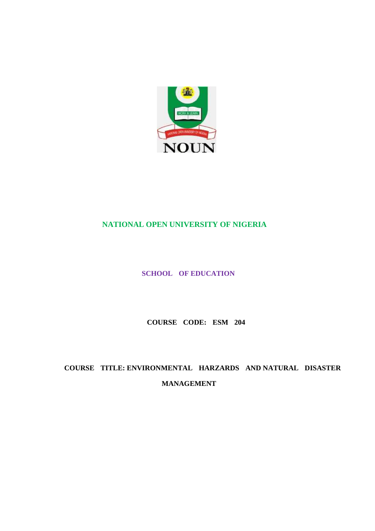

# **NATIONAL OPEN UNIVERSITY OF NIGERIA**

**SCHOOL OF EDUCATION** 

**COURSE CODE: ESM 204** 

**COURSE TITLE: ENVIRONMENTAL HARZARDS AND NATURAL DISASTER MANAGEMENT**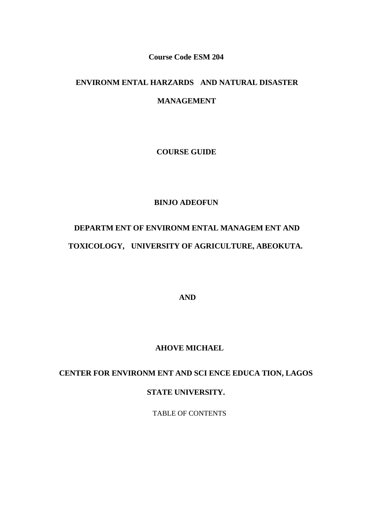#### **Course Code ESM 204**

## **ENVIRONM ENTAL HARZARDS AND NATURAL DISASTER**

## **MANAGEMENT**

**COURSE GUIDE** 

#### **BINJO ADEOFUN**

# **DEPARTM ENT OF ENVIRONM ENTAL MANAGEM ENT AND TOXICOLOGY, UNIVERSITY OF AGRICULTURE, ABEOKUTA.**

**AND** 

#### **AHOVE MICHAEL**

# **CENTER FOR ENVIRONM ENT AND SCI ENCE EDUCA TION, LAGOS**

## **STATE UNIVERSITY.**

TABLE OF CONTENTS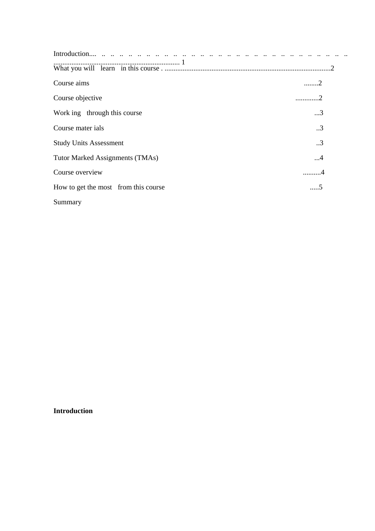| Course aims                            | 2               |
|----------------------------------------|-----------------|
| Course objective                       | 2               |
| Work ing through this course           | $\ldots$ 3      |
| Course mater ials                      | $\cdot \cdot$ 3 |
| <b>Study Units Assessment</b>          | $\cdot$ .3      |
| <b>Tutor Marked Assignments (TMAs)</b> | 4               |
| Course overview                        |                 |
| How to get the most from this course   | 5               |
| Summary                                |                 |

## **Introduction**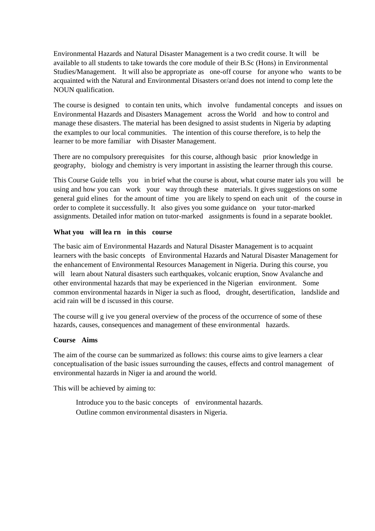Environmental Hazards and Natural Disaster Management is a two credit course. It will be available to all students to take towards the core module of their B.Sc (Hons) in Environmental Studies/Management. It will also be appropriate as one-off course for anyone who wants to be acquainted with the Natural and Environmental Disasters or/and does not intend to comp lete the NOUN qualification.

The course is designed to contain ten units, which involve fundamental concepts and issues on Environmental Hazards and Disasters Management across the World and how to control and manage these disasters. The material has been designed to assist students in Nigeria by adapting the examples to our local communities. The intention of this course therefore, is to help the learner to be more familiar with Disaster Management.

There are no compulsory prerequisites for this course, although basic prior knowledge in geography, biology and chemistry is very important in assisting the learner through this course.

This Course Guide tells you in brief what the course is about, what course mater ials you will be using and how you can work your way through these materials. It gives suggestions on some general guid elines for the amount of time you are likely to spend on each unit of the course in order to complete it successfully. It also gives you some guidance on your tutor-marked assignments. Detailed infor mation on tutor-marked assignments is found in a separate booklet.

#### **What you will lea rn in this course**

The basic aim of Environmental Hazards and Natural Disaster Management is to acquaint learners with the basic concepts of Environmental Hazards and Natural Disaster Management for the enhancement of Environmental Resources Management in Nigeria. During this course, you will learn about Natural disasters such earthquakes, volcanic eruption, Snow Avalanche and other environmental hazards that may be experienced in the Nigerian environment. Some common environmental hazards in Niger ia such as flood, drought, desertification, landslide and acid rain will be d iscussed in this course.

The course will g ive you general overview of the process of the occurrence of some of these hazards, causes, consequences and management of these environmental hazards.

#### **Course Aims**

The aim of the course can be summarized as follows: this course aims to give learners a clear conceptualisation of the basic issues surrounding the causes, effects and control management of environmental hazards in Niger ia and around the world.

This will be achieved by aiming to:

 Introduce you to the basic concepts of environmental hazards. Outline common environmental disasters in Nigeria.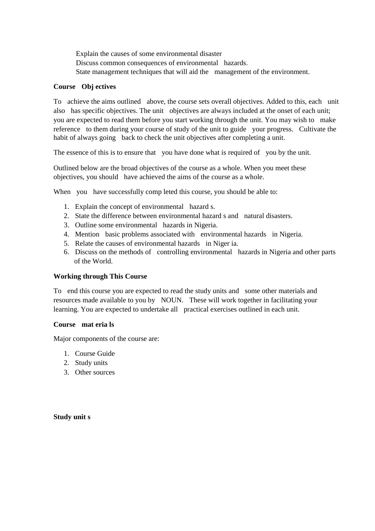Explain the causes of some environmental disaster Discuss common consequences of environmental hazards. State management techniques that will aid the management of the environment.

#### **Course Obj ectives**

To achieve the aims outlined above, the course sets overall objectives. Added to this, each unit also has specific objectives. The unit objectives are always included at the onset of each unit; you are expected to read them before you start working through the unit. You may wish to make reference to them during your course of study of the unit to guide your progress. Cultivate the habit of always going back to check the unit objectives after completing a unit.

The essence of this is to ensure that you have done what is required of you by the unit.

Outlined below are the broad objectives of the course as a whole. When you meet these objectives, you should have achieved the aims of the course as a whole.

When you have successfully comp leted this course, you should be able to:

- 1. Explain the concept of environmental hazard s.
- 2. State the difference between environmental hazard s and natural disasters.
- 3. Outline some environmental hazards in Nigeria.
- 4. Mention basic problems associated with environmental hazards in Nigeria.
- 5. Relate the causes of environmental hazards in Niger ia.
- 6. Discuss on the methods of controlling environmental hazards in Nigeria and other parts of the World.

#### **Working through This Course**

To end this course you are expected to read the study units and some other materials and resources made available to you by NOUN. These will work together in facilitating your learning. You are expected to undertake all practical exercises outlined in each unit.

#### **Course mat eria ls**

Major components of the course are:

- 1. Course Guide
- 2. Study units
- 3. Other sources

#### **Study unit s**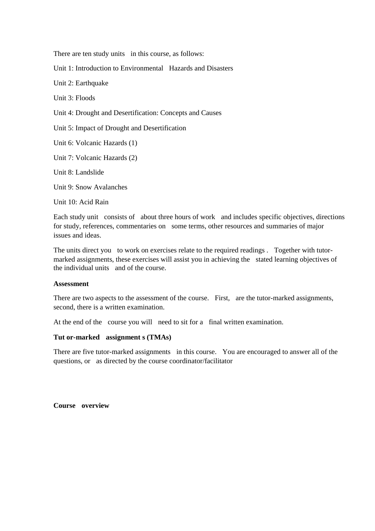There are ten study units in this course, as follows:

Unit 1: Introduction to Environmental Hazards and Disasters

Unit 2: Earthquake

Unit 3: Floods

Unit 4: Drought and Desertification: Concepts and Causes

Unit 5: Impact of Drought and Desertification

Unit 6: Volcanic Hazards (1)

Unit 7: Volcanic Hazards (2)

Unit 8: Landslide

Unit 9: Snow Avalanches

Unit 10: Acid Rain

Each study unit consists of about three hours of work and includes specific objectives, directions for study, references, commentaries on some terms, other resources and summaries of major issues and ideas.

The units direct you to work on exercises relate to the required readings . Together with tutormarked assignments, these exercises will assist you in achieving the stated learning objectives of the individual units and of the course.

#### **Assessment**

There are two aspects to the assessment of the course. First, are the tutor-marked assignments, second, there is a written examination.

At the end of the course you will need to sit for a final written examination.

#### **Tut or-marked assignment s (TMAs)**

There are five tutor-marked assignments in this course. You are encouraged to answer all of the questions, or as directed by the course coordinator/facilitator

**Course overview**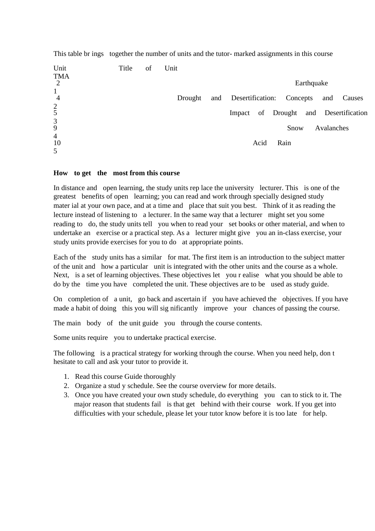| Unit                           | Title | of | Unit    |        |                               |                                |
|--------------------------------|-------|----|---------|--------|-------------------------------|--------------------------------|
| <b>TMA</b><br>2                |       |    |         |        | Earthquake                    |                                |
| $\mathbf{1}$<br>$\overline{4}$ |       |    | Drought |        | and Desertification: Concepts | and<br>Causes                  |
| $rac{2}{5}$                    |       |    |         | Impact |                               | of Drought and Desertification |
| $\mathfrak{Z}$<br>9            |       |    |         |        | Snow                          | Avalanches                     |
| $\overline{4}$<br>10           |       |    |         | Acid   | Rain                          |                                |
| 5                              |       |    |         |        |                               |                                |

This table br ings together the number of units and the tutor- marked assignments in this course

#### **How to get the most from this course**

In distance and open learning, the study units rep lace the university lecturer. This is one of the greatest benefits of open learning; you can read and work through specially designed study mater ial at your own pace, and at a time and place that suit you best. Think of it as reading the lecture instead of listening to a lecturer. In the same way that a lecturer might set you some reading to do, the study units tell you when to read your set books or other material, and when to undertake an exercise or a practical step. As a lecturer might give you an in-class exercise, your study units provide exercises for you to do at appropriate points.

Each of the study units has a similar for mat. The first item is an introduction to the subject matter of the unit and how a particular unit is integrated with the other units and the course as a whole. Next, is a set of learning objectives. These objectives let you r ealise what you should be able to do by the time you have completed the unit. These objectives are to be used as study guide.

On completion of a unit, go back and ascertain if you have achieved the objectives. If you have made a habit of doing this you will significantly improve your chances of passing the course.

The main body of the unit guide you through the course contents.

Some units require you to undertake practical exercise.

The following is a practical strategy for working through the course. When you need help, don t hesitate to call and ask your tutor to provide it.

- 1. Read this course Guide thoroughly
- 2. Organize a stud y schedule. See the course overview for more details.
- 3. Once you have created your own study schedule, do everything you can to stick to it. The major reason that students fail is that get behind with their course work. If you get into difficulties with your schedule, please let your tutor know before it is too late for help.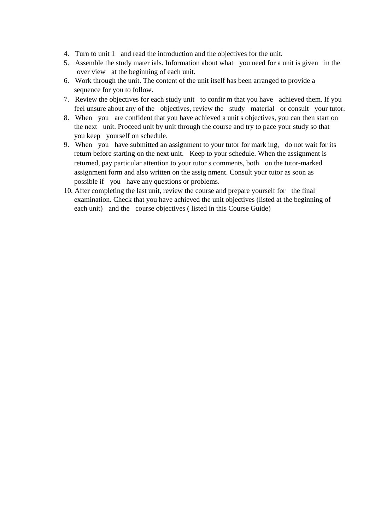- 4. Turn to unit 1 and read the introduction and the objectives for the unit.
- 5. Assemble the study mater ials. Information about what you need for a unit is given in the over view at the beginning of each unit.
- 6. Work through the unit. The content of the unit itself has been arranged to provide a sequence for you to follow.
- 7. Review the objectives for each study unit to confir m that you have achieved them. If you feel unsure about any of the objectives, review the study material or consult your tutor.
- 8. When you are confident that you have achieved a unit s objectives, you can then start on the next unit. Proceed unit by unit through the course and try to pace your study so that you keep yourself on schedule.
- 9. When you have submitted an assignment to your tutor for mark ing, do not wait for its return before starting on the next unit. Keep to your schedule. When the assignment is returned, pay particular attention to your tutor s comments, both on the tutor-marked assignment form and also written on the assig nment. Consult your tutor as soon as possible if you have any questions or problems.
- 10. After completing the last unit, review the course and prepare yourself for the final examination. Check that you have achieved the unit objectives (listed at the beginning of each unit) and the course objectives ( listed in this Course Guide)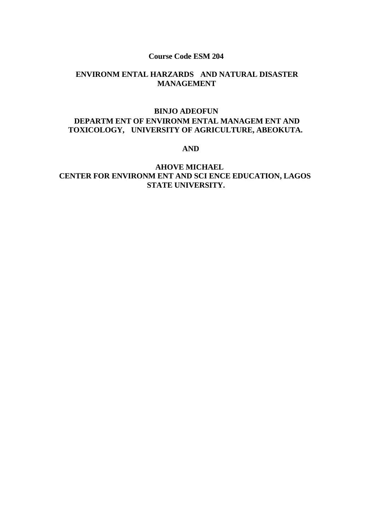#### **Course Code ESM 204**

# **ENVIRONM ENTAL HARZARDS AND NATURAL DISASTER MANAGEMENT**

## **BINJO ADEOFUN DEPARTM ENT OF ENVIRONM ENTAL MANAGEM ENT AND TOXICOLOGY, UNIVERSITY OF AGRICULTURE, ABEOKUTA.**

 **AND** 

## **AHOVE MICHAEL CENTER FOR ENVIRONM ENT AND SCI ENCE EDUCATION, LAGOS STATE UNIVERSITY.**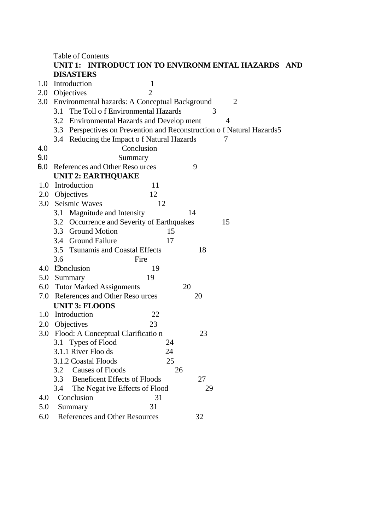|     | <b>Table of Contents</b>                                              |                |  |  |  |  |
|-----|-----------------------------------------------------------------------|----------------|--|--|--|--|
|     | UNIT 1: INTRODUCT ION TO ENVIRONM ENTAL HAZARDS AND                   |                |  |  |  |  |
|     | <b>DISASTERS</b>                                                      |                |  |  |  |  |
| 1.0 | Introduction<br>$\mathbf 1$                                           |                |  |  |  |  |
|     | 2.0 Objectives<br>$\overline{2}$                                      |                |  |  |  |  |
|     | 3.0 Environmental hazards: A Conceptual Background                    | $\overline{2}$ |  |  |  |  |
|     | The Toll of Environmental Hazards<br>3.1                              | 3              |  |  |  |  |
|     | 3.2 Environmental Hazards and Develop ment                            | 4              |  |  |  |  |
|     | 3.3 Perspectives on Prevention and Reconstruction of Natural Hazards5 |                |  |  |  |  |
|     | 3.4 Reducing the Impact of Natural Hazards                            |                |  |  |  |  |
| 4.0 | Conclusion                                                            |                |  |  |  |  |
| 9.0 | Summary                                                               |                |  |  |  |  |
| 0.0 | References and Other Reso urces                                       | 9              |  |  |  |  |
|     | <b>UNIT 2: EARTHQUAKE</b>                                             |                |  |  |  |  |
| 1.0 | Introduction<br>11                                                    |                |  |  |  |  |
|     | 12<br>2.0 Objectives                                                  |                |  |  |  |  |
|     | 3.0 Seismic Waves<br>12                                               |                |  |  |  |  |
|     | Magnitude and Intensity<br>3.1                                        | 14             |  |  |  |  |
|     | 3.2 Occurrence and Severity of Earthquakes                            | 15             |  |  |  |  |
|     | 3.3 Ground Motion                                                     | 15             |  |  |  |  |
|     | 3.4 Ground Failure<br>17                                              |                |  |  |  |  |
|     | 3.5 Tsunamis and Coastal Effects                                      | 18             |  |  |  |  |
|     | Fire<br>3.6                                                           |                |  |  |  |  |
|     | 4.0 Conclusion<br>19                                                  |                |  |  |  |  |
|     | 19<br>5.0 Summary                                                     |                |  |  |  |  |
|     | 6.0 Tutor Marked Assignments                                          | 20             |  |  |  |  |
| 7.0 | References and Other Reso urces                                       | 20             |  |  |  |  |
|     | <b>UNIT 3: FLOODS</b>                                                 |                |  |  |  |  |
| 1.0 | 22<br>Introduction                                                    |                |  |  |  |  |
| 2.0 | Objectives<br>23                                                      |                |  |  |  |  |
| 3.0 | Flood: A Conceptual Clarificatio n                                    | 23             |  |  |  |  |
|     | Types of Flood<br>24<br>3.1                                           |                |  |  |  |  |
|     | 3.1.1 River Floo ds<br>24                                             |                |  |  |  |  |
|     | 3.1.2 Coastal Floods                                                  | 25             |  |  |  |  |
|     | <b>Causes of Floods</b><br>3.2                                        | 26             |  |  |  |  |
|     | <b>Beneficent Effects of Floods</b><br>3.3                            | 27             |  |  |  |  |
|     | 3.4<br>The Negat ive Effects of Flood                                 | 29             |  |  |  |  |
| 4.0 | Conclusion<br>31                                                      |                |  |  |  |  |
| 5.0 | 31<br>Summary                                                         |                |  |  |  |  |
| 6.0 | References and Other Resources                                        | 32             |  |  |  |  |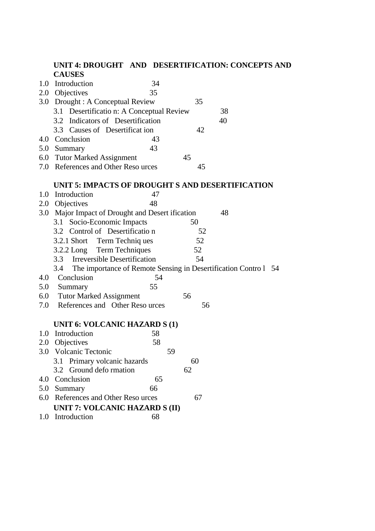## **UNIT 4: DROUGHT AND DESERTIFICATION: CONCEPTS AND CAUSES**  1.0 Introduction 34 2.0 Objectives 35

- 3.0 Drought : A Conceptual Review 35
- 3.1 Desertificatio n: A Conceptual Review 38
- 3.2 Indicators of Desertification 40
- 3.3 Causes of Desertificat ion 42 4.0 Conclusion 43
- 5.0 Summary 43
- 6.0 Tutor Marked Assignment 45
- 7.0 References and Other Reso urces 45

#### **UNIT 5: IMPACTS OF DROUGHT S AND DESERTIFICATION**

- 1.0 Introduction 47 2.0 Objectives 48 3.0 Major Impact of Drought and Desert ification 48 3.1 Socio-Economic Impacts 50 3.2 Control of Desertificatio n 52 3.2.1 Short Term Techniq ues 52 3.2.2 Long Term Techniques 52 3.3 Irreversible Desertification 54 3.4 The importance of Remote Sensing in Desertification Contro l 54 4.0 Conclusion 54 5.0 Summary 55 6.0 Tutor Marked Assignment 56 7.0 References and Other Reso urces 56 **UNIT 6: VOLCANIC HAZARD S (1)**  1.0 Introduction 58 2.0 Objectives 58
- 3.0 Volcanic Tectonic 59 3.1 Primary volcanic hazards 60 3.2 Ground defo rmation 62
- 4.0 Conclusion 65
- 5.0 Summary 66
- 6.0 References and Other Reso urces 67 **UNIT 7: VOLCANIC HAZARD S (II)**
- 1.0 Introduction 68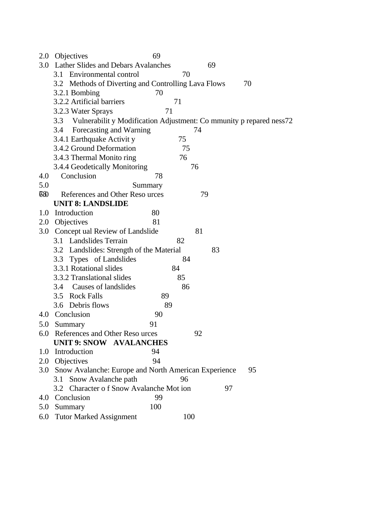| 2.0       | <b>Objectives</b>                                                       | 69  |     |    |    |    |  |
|-----------|-------------------------------------------------------------------------|-----|-----|----|----|----|--|
| 3.0       | <b>Lather Slides and Debars Avalanches</b>                              |     |     | 69 |    |    |  |
|           | 3.1 Environmental control                                               |     | 70  |    |    |    |  |
|           | 3.2 Methods of Diverting and Controlling Lava Flows                     |     |     |    |    | 70 |  |
|           | 3.2.1 Bombing                                                           | 70  |     |    |    |    |  |
|           | 3.2.2 Artificial barriers                                               | 71  |     |    |    |    |  |
|           | 3.2.3 Water Sprays                                                      | 71  |     |    |    |    |  |
|           | 3.3 Vulnerabilit y Modification Adjustment: Co mmunity p repared ness72 |     |     |    |    |    |  |
|           | Forecasting and Warning<br>3.4                                          |     |     | 74 |    |    |  |
|           | 3.4.1 Earthquake Activity                                               |     | 75  |    |    |    |  |
|           | 3.4.2 Ground Deformation                                                |     | 75  |    |    |    |  |
|           | 3.4.3 Thermal Monito ring                                               |     | 76  |    |    |    |  |
|           | 3.4.4 Geodetically Monitoring                                           |     |     | 76 |    |    |  |
| 4.0       | Conclusion                                                              | 78  |     |    |    |    |  |
| 5.0       | Summary                                                                 |     |     |    |    |    |  |
| <b>68</b> | References and Other Reso urces                                         |     |     | 79 |    |    |  |
|           | <b>UNIT 8: LANDSLIDE</b>                                                |     |     |    |    |    |  |
| 1.0       | Introduction                                                            | 80  |     |    |    |    |  |
|           | 2.0 Objectives                                                          | 81  |     |    |    |    |  |
|           | 3.0 Concept ual Review of Landslide                                     |     |     | 81 |    |    |  |
|           | 3.1 Landslides Terrain                                                  | 82  |     |    |    |    |  |
|           | 3.2 Landslides: Strength of the Material                                |     |     | 83 |    |    |  |
|           | 3.3 Types of Landslides                                                 |     | 84  |    |    |    |  |
|           | 3.3.1 Rotational slides                                                 | 84  |     |    |    |    |  |
|           | 3.3.2 Translational slides                                              |     | 85  |    |    |    |  |
|           | 3.4 Causes of landslides                                                |     | 86  |    |    |    |  |
|           | 3.5 Rock Falls                                                          | 89  |     |    |    |    |  |
|           | 3.6 Debris flows                                                        | 89  |     |    |    |    |  |
| 4.0       | Conclusion                                                              | 90  |     |    |    |    |  |
|           | 5.0 Summary<br>91                                                       |     |     |    |    |    |  |
|           | 6.0 References and Other Reso urces                                     |     |     | 92 |    |    |  |
|           | <b>UNIT 9: SNOW AVALANCHES</b>                                          |     |     |    |    |    |  |
|           | 1.0 Introduction                                                        | 94  |     |    |    |    |  |
|           | 2.0 Objectives                                                          | 94  |     |    |    |    |  |
|           | 3.0 Snow Avalanche: Europe and North American Experience                |     |     |    |    | 95 |  |
|           | 3.1 Snow Avalanche path                                                 |     | 96  |    |    |    |  |
|           | 3.2 Character of Snow Avalanche Mot ion                                 |     |     |    | 97 |    |  |
|           | 4.0 Conclusion                                                          | 99  |     |    |    |    |  |
|           | 5.0 Summary                                                             | 100 |     |    |    |    |  |
| 6.0       | <b>Tutor Marked Assignment</b>                                          |     | 100 |    |    |    |  |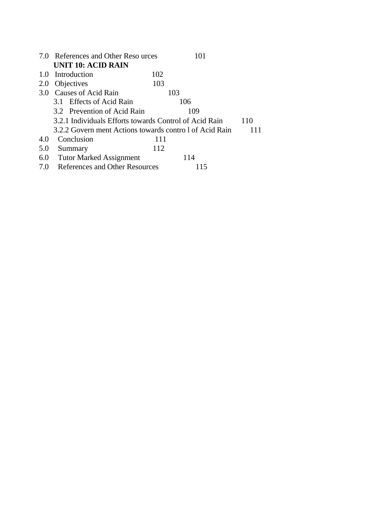|     | 7.0 References and Other Reso urces                     |     | 101 |     |
|-----|---------------------------------------------------------|-----|-----|-----|
|     | <b>UNIT 10: ACID RAIN</b>                               |     |     |     |
|     | 1.0 Introduction                                        | 102 |     |     |
| 2.0 | Objectives                                              | 103 |     |     |
| 3.0 | <b>Causes of Acid Rain</b>                              | 103 |     |     |
|     | 3.1 Effects of Acid Rain                                |     | 106 |     |
|     | 3.2 Prevention of Acid Rain                             |     | 109 |     |
|     | 3.2.1 Individuals Efforts towards Control of Acid Rain  |     |     | 110 |
|     | 3.2.2 Govern ment Actions towards contro 1 of Acid Rain |     |     |     |
| 4.0 | Conclusion                                              | 111 |     |     |
| 5.0 | Summary                                                 | 112 |     |     |
| 6.0 | <b>Tutor Marked Assignment</b>                          |     | 114 |     |
| 7.0 | <b>References and Other Resources</b>                   |     | 115 |     |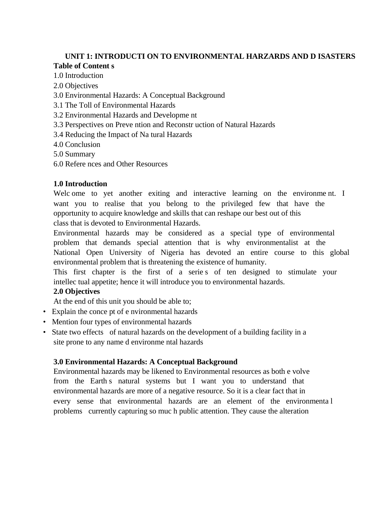# **UNIT 1: INTRODUCTI ON TO ENVIRONMENTAL HARZARDS AND D ISASTERS Table of Content s**

# 1.0 Introduction

- 2.0 Objectives
- 3.0 Environmental Hazards: A Conceptual Background
- 3.1 The Toll of Environmental Hazards
- 3.2 Environmental Hazards and Developme nt
- 3.3 Perspectives on Preve ntion and Reconstr uction of Natural Hazards
- 3.4 Reducing the Impact of Na tural Hazards
- 4.0 Conclusion
- 5.0 Summary
- 6.0 Refere nces and Other Resources

## **1.0 Introduction**

Welc ome to yet another exiting and interactive learning on the environment. I want you to realise that you belong to the privileged few that have the opportunity to acquire knowledge and skills that can reshape our best out of this class that is devoted to Environmental Hazards.

Environmental hazards may be considered as a special type of environmental problem that demands special attention that is why environmentalist at the National Open University of Nigeria has devoted an entire course to this global environmental problem that is threatening the existence of humanity.

This first chapter is the first of a serie s of ten designed to stimulate your intellec tual appetite; hence it will introduce you to environmental hazards.

## **2.0 Objectives**

At the end of this unit you should be able to;

- Explain the conce pt of e nvironmental hazards
- Mention four types of environmental hazards
- State two effects of natural hazards on the development of a building facility in a site prone to any name d environme ntal hazards

## **3.0 Environmental Hazards: A Conceptual Background**

Environmental hazards may be likened to Environmental resources as both e volve from the Earth s natural systems but I want you to understand that environmental hazards are more of a negative resource. So it is a clear fact that in every sense that environmental hazards are an element of the environmenta l problems currently capturing so muc h public attention. They cause the alteration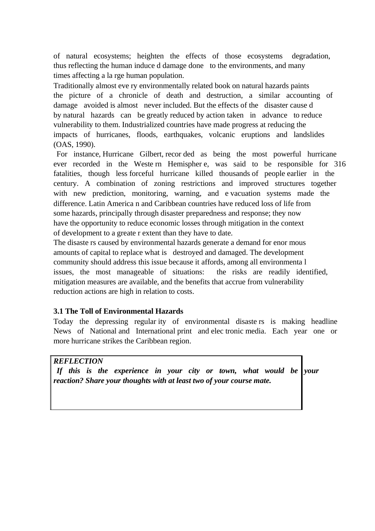of natural ecosystems; heighten the effects of those ecosystems degradation, thus reflecting the human induce d damage done to the environments, and many times affecting a la rge human population.

Traditionally almost eve ry environmentally related book on natural hazards paints the picture of a chronicle of death and destruction, a similar accounting of damage avoided is almost never included. But the effects of the disaster cause d by natural hazards can be greatly reduced by action taken in advance to reduce vulnerability to them. Industrialized countries have made progress at reducing the impacts of hurricanes, floods, earthquakes, volcanic eruptions and landslides (OAS, 1990).

 For instance, Hurricane Gilbert, recor ded as being the most powerful hurricane ever recorded in the Weste rn Hemispher e, was said to be responsible for 316 fatalities, though less forceful hurricane killed thousands of people earlier in the century. A combination of zoning restrictions and improved structures together with new prediction, monitoring, warning, and e-vacuation systems made the difference. Latin America n and Caribbean countries have reduced loss of life from some hazards, principally through disaster preparedness and response; they now have the opportunity to reduce economic losses through mitigation in the context of development to a greate r extent than they have to date.

The disaste rs caused by environmental hazards generate a demand for enor mous amounts of capital to replace what is destroyed and damaged. The development community should address this issue because it affords, among all environmenta l issues, the most manageable of situations: the risks are readily identified, mitigation measures are available, and the benefits that accrue from vulnerability reduction actions are high in relation to costs.

## **3.1 The Toll of Environmental Hazards**

Today the depressing regular ity of environmental disaste rs is making headline News of National and International print and elec tronic media. Each year one or more hurricane strikes the Caribbean region.

## *REFLECTION*

 *If this is the experience in your city or town, what would be your reaction? Share your thoughts with at least two of your course mate.*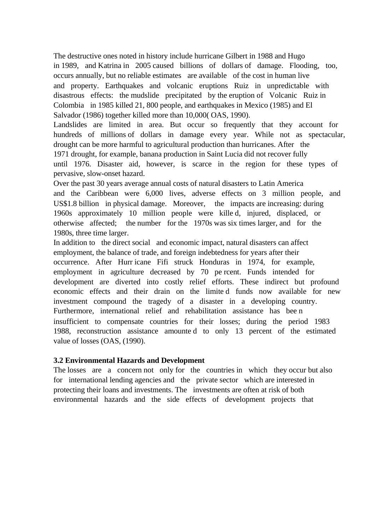The destructive ones noted in history include hurricane Gilbert in 1988 and Hugo in 1989, and Katrina in 2005 caused billions of dollars of damage. Flooding, too, occurs annually, but no reliable estimates are available of the cost in human live and property. Earthquakes and volcanic eruptions Ruiz in unpredictable with disastrous effects: the mudslide precipitated by the eruption of Volcanic Ruiz in Colombia in 1985 killed 21, 800 people, and earthquakes in Mexico (1985) and El Salvador (1986) together killed more than 10,000( OAS, 1990).

Landslides are limited in area. But occur so frequently that they account for hundreds of millions of dollars in damage every year. While not as spectacular, drought can be more harmful to agricultural production than hurricanes. After the 1971 drought, for example, banana production in Saint Lucia did not recover fully until 1976. Disaster aid, however, is scarce in the region for these types of pervasive, slow-onset hazard.

Over the past 30 years average annual costs of natural disasters to Latin America and the Caribbean were 6,000 lives, adverse effects on 3 million people, and US\$1.8 billion in physical damage. Moreover, the impacts are increasing: during 1960s approximately 10 million people were kille d, injured, displaced, or otherwise affected; the number for the 1970s was six times larger, and for the 1980s, three time larger.

In addition to the direct social and economic impact, natural disasters can affect employment, the balance of trade, and foreign indebtedness for years after their occurrence. After Hurr icane Fifi struck Honduras in 1974, for example, employment in agriculture decreased by 70 pe rcent. Funds intended for development are diverted into costly relief efforts. These indirect but profound economic effects and their drain on the limite d funds now available for new investment compound the tragedy of a disaster in a developing country. Furthermore, international relief and rehabilitation assistance has bee n insufficient to compensate countries for their losses; during the period 1983 1988, reconstruction assistance amounte d to only 13 percent of the estimated value of losses (OAS, (1990).

#### **3.2 Environmental Hazards and Development**

The losses are a concern not only for the countries in which they occur but also for international lending agencies and the private sector which are interested in protecting their loans and investments. The investments are often at risk of both environmental hazards and the side effects of development projects that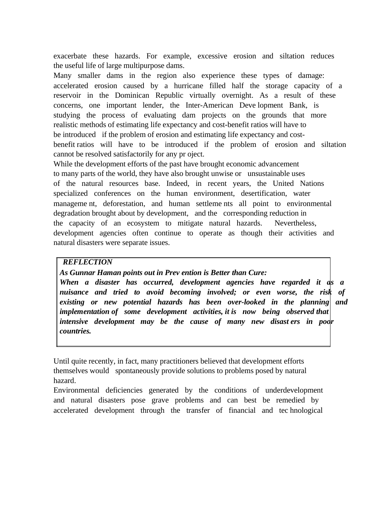exacerbate these hazards. For example, excessive erosion and siltation reduces the useful life of large multipurpose dams.

Many smaller dams in the region also experience these types of damage: accelerated erosion caused by a hurricane filled half the storage capacity of a reservoir in the Dominican Republic virtually overnight. As a result of these concerns, one important lender, the Inter-American Deve lopment Bank, is studying the process of evaluating dam projects on the grounds that more realistic methods of estimating life expectancy and cost-benefit ratios will have to be introduced if the problem of erosion and estimating life expectancy and costbenefit ratios will have to be introduced if the problem of erosion and siltation cannot be resolved satisfactorily for any pr oject.

While the development efforts of the past have brought economic advancement to many parts of the world, they have also brought unwise or unsustainable uses of the natural resources base. Indeed, in recent years, the United Nations specialized conferences on the human environment, desertification, water manageme nt, deforestation, and human settleme nts all point to environmental degradation brought about by development, and the corresponding reduction in the capacity of an ecosystem to mitigate natural hazards. Nevertheless, development agencies often continue to operate as though their activities and natural disasters were separate issues.

## *REFLECTION*

*As Gunnar Haman points out in Prev ention is Better than Cure:* 

*When a disaster has occurred, development agencies have regarded it as a nuisance and tried to avoid becoming involved; or even worse, the risk of existing or new potential hazards has been over-looked in the planning and implementation of some development activities, it is now being observed that intensive development may be the cause of many new disast ers in poor countries.* 

Until quite recently, in fact, many practitioners believed that development efforts themselves would spontaneously provide solutions to problems posed by natural hazard.

Environmental deficiencies generated by the conditions of underdevelopment and natural disasters pose grave problems and can best be remedied by accelerated development through the transfer of financial and tec hnological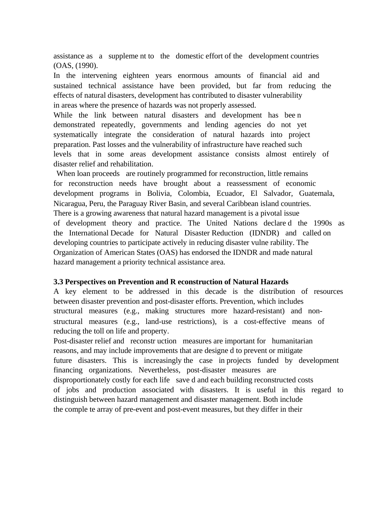assistance as a suppleme nt to the domestic effort of the development countries (OAS, (1990).

In the intervening eighteen years enormous amounts of financial aid and sustained technical assistance have been provided, but far from reducing the effects of natural disasters, development has contributed to disaster vulnerability in areas where the presence of hazards was not properly assessed.

While the link between natural disasters and development has bee n demonstrated repeatedly, governments and lending agencies do not yet systematically integrate the consideration of natural hazards into project preparation. Past losses and the vulnerability of infrastructure have reached such levels that in some areas development assistance consists almost entirely of disaster relief and rehabilitation.

When loan proceeds are routinely programmed for reconstruction, little remains for reconstruction needs have brought about a reassessment of economic development programs in Bolivia, Colombia, Ecuador, El Salvador, Guatemala, Nicaragua, Peru, the Paraguay River Basin, and several Caribbean island countries. There is a growing awareness that natural hazard management is a pivotal issue of development theory and practice. The United Nations declare d the 1990s as the International Decade for Natural Disaster Reduction (IDNDR) and called on developing countries to participate actively in reducing disaster vulne rability. The Organization of American States (OAS) has endorsed the IDNDR and made natural hazard management a priority technical assistance area.

## **3.3 Perspectives on Prevention and R econstruction of Natural Hazards**

A key element to be addressed in this decade is the distribution of resources between disaster prevention and post-disaster efforts. Prevention, which includes structural measures (e.g., making structures more hazard-resistant) and nonstructural measures (e.g., land-use restrictions), is a cost-effective means of reducing the toll on life and property.

Post-disaster relief and reconstr uction measures are important for humanitarian reasons, and may include improvements that are designe d to prevent or mitigate future disasters. This is increasingly the case in projects funded by development financing organizations. Nevertheless, post-disaster measures are disproportionately costly for each life save d and each building reconstructed costs of jobs and production associated with disasters. It is useful in this regard to distinguish between hazard management and disaster management. Both include the comple te array of pre-event and post-event measures, but they differ in their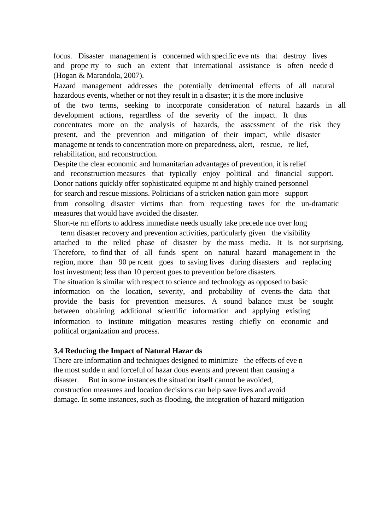focus. Disaster management is concerned with specific eve nts that destroy lives and prope rty to such an extent that international assistance is often neede d (Hogan & Marandola, 2007).

Hazard management addresses the potentially detrimental effects of all natural hazardous events, whether or not they result in a disaster; it is the more inclusive of the two terms, seeking to incorporate consideration of natural hazards in all development actions, regardless of the severity of the impact. It thus concentrates more on the analysis of hazards, the assessment of the risk they present, and the prevention and mitigation of their impact, while disaster manageme nt tends to concentration more on preparedness, alert, rescue, re lief, rehabilitation, and reconstruction.

Despite the clear economic and humanitarian advantages of prevention, it is relief and reconstruction measures that typically enjoy political and financial support. Donor nations quickly offer sophisticated equipme nt and highly trained personnel for search and rescue missions. Politicians of a stricken nation gain more support from consoling disaster victims than from requesting taxes for the un-dramatic measures that would have avoided the disaster.

Short-te rm efforts to address immediate needs usually take precede nce over long

 term disaster recovery and prevention activities, particularly given the visibility attached to the relied phase of disaster by the mass media. It is not surprising. Therefore, to find that of all funds spent on natural hazard management in the region, more than 90 pe rcent goes to saving lives during disasters and replacing lost investment; less than 10 percent goes to prevention before disasters.

The situation is similar with respect to science and technology as opposed to basic information on the location, severity, and probability of events-the data that provide the basis for prevention measures. A sound balance must be sought between obtaining additional scientific information and applying existing information to institute mitigation measures resting chiefly on economic and political organization and process.

## **3.4 Reducing the Impact of Natural Hazar ds**

There are information and techniques designed to minimize the effects of eve n the most sudde n and forceful of hazar dous events and prevent than causing a disaster. But in some instances the situation itself cannot be avoided, construction measures and location decisions can help save lives and avoid damage. In some instances, such as flooding, the integration of hazard mitigation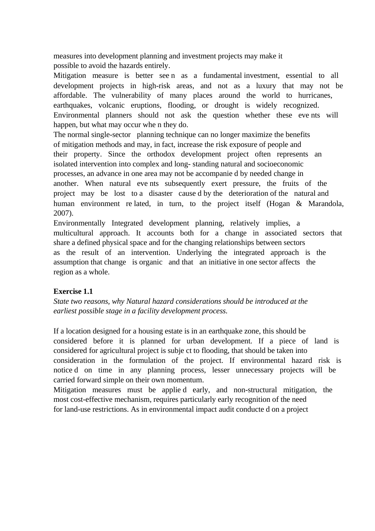measures into development planning and investment projects may make it possible to avoid the hazards entirely.

Mitigation measure is better see n as a fundamental investment, essential to all development projects in high-risk areas, and not as a luxury that may not be affordable. The vulnerability of many places around the world to hurricanes, earthquakes, volcanic eruptions, flooding, or drought is widely recognized. Environmental planners should not ask the question whether these eve nts will happen, but what may occur whe n they do.

The normal single-sector planning technique can no longer maximize the benefits of mitigation methods and may, in fact, increase the risk exposure of people and their property. Since the orthodox development project often represents an isolated intervention into complex and long- standing natural and socioeconomic processes, an advance in one area may not be accompanie d by needed change in another. When natural eve nts subsequently exert pressure, the fruits of the project may be lost to a disaster cause d by the deterioration of the natural and human environment re lated, in turn, to the project itself (Hogan & Marandola, 2007).

Environmentally Integrated development planning, relatively implies, a multicultural approach. It accounts both for a change in associated sectors that share a defined physical space and for the changing relationships between sectors as the result of an intervention. Underlying the integrated approach is the assumption that change is organic and that an initiative in one sector affects the region as a whole.

## **Exercise 1.1**

*State two reasons, why Natural hazard considerations should be introduced at the earliest possible stage in a facility development process.* 

If a location designed for a housing estate is in an earthquake zone, this should be considered before it is planned for urban development. If a piece of land is considered for agricultural project is subje ct to flooding, that should be taken into consideration in the formulation of the project. If environmental hazard risk is notice d on time in any planning process, lesser unnecessary projects will be carried forward simple on their own momentum.

Mitigation measures must be applie d early, and non-structural mitigation, the most cost-effective mechanism, requires particularly early recognition of the need for land-use restrictions. As in environmental impact audit conducte d on a project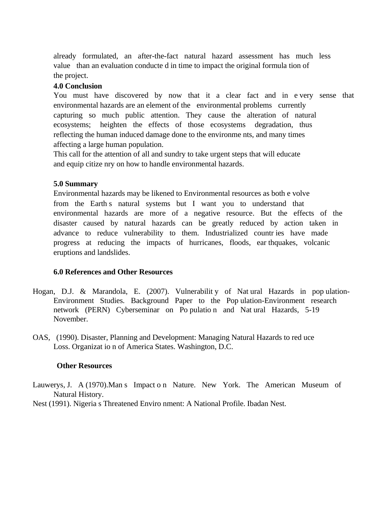already formulated, an after-the-fact natural hazard assessment has much less value than an evaluation conducte d in time to impact the original formula tion of the project.

#### **4.0 Conclusion**

You must have discovered by now that it a clear fact and in e very sense that environmental hazards are an element of the environmental problems currently capturing so much public attention. They cause the alteration of natural ecosystems; heighten the effects of those ecosystems degradation, thus reflecting the human induced damage done to the environme nts, and many times affecting a large human population.

This call for the attention of all and sundry to take urgent steps that will educate and equip citize nry on how to handle environmental hazards.

#### **5.0 Summary**

Environmental hazards may be likened to Environmental resources as both e volve from the Earth s natural systems but I want you to understand that environmental hazards are more of a negative resource. But the effects of the disaster caused by natural hazards can be greatly reduced by action taken in advance to reduce vulnerability to them. Industrialized countr ies have made progress at reducing the impacts of hurricanes, floods, ear thquakes, volcanic eruptions and landslides.

#### **6.0 References and Other Resources**

- Hogan, D.J. & Marandola, E. (2007). Vulnerabilit y of Nat ural Hazards in pop ulation-Environment Studies. Background Paper to the Pop ulation-Environment research network (PERN) Cyberseminar on Po pulatio n and Nat ural Hazards, 5-19 November.
- OAS, (1990). Disaster, Planning and Development: Managing Natural Hazards to red uce Loss. Organizat io n of America States. Washington, D.C.

## **Other Resources**

Lauwerys, J. A (1970).Man s Impact o n Nature. New York. The American Museum of Natural History.

Nest (1991). Nigeria s Threatened Enviro nment: A National Profile. Ibadan Nest.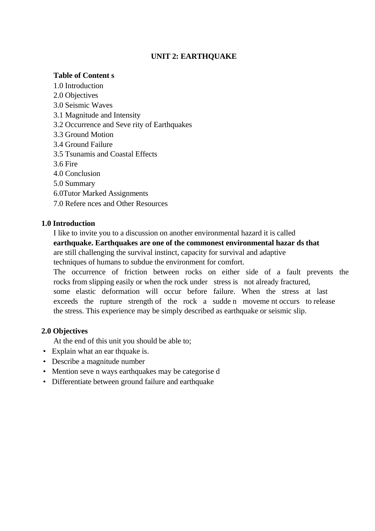# **UNIT 2: EARTHQUAKE**

## **Table of Content s**

- 1.0 Introduction
- 2.0 Objectives
- 3.0 Seismic Waves
- 3.1 Magnitude and Intensity
- 3.2 Occurrence and Seve rity of Earthquakes
- 3.3 Ground Motion
- 3.4 Ground Failure
- 3.5 Tsunamis and Coastal Effects
- 3.6 Fire
- 4.0 Conclusion
- 5.0 Summary
- 6.0Tutor Marked Assignments
- 7.0 Refere nces and Other Resources

# **1.0 Introduction**

I like to invite you to a discussion on another environmental hazard it is called **earthquake. Earthquakes are one of the commonest environmental hazar ds that**  are still challenging the survival instinct, capacity for survival and adaptive techniques of humans to subdue the environment for comfort.

The occurrence of friction between rocks on either side of a fault prevents the rocks from slipping easily or when the rock under stress is not already fractured, some elastic deformation will occur before failure. When the stress at last exceeds the rupture strength of the rock a sudde n moveme nt occurs to release the stress. This experience may be simply described as earthquake or seismic slip.

# **2.0 Objectives**

At the end of this unit you should be able to;

- Explain what an ear thquake is.
- Describe a magnitude number
- Mention seve n ways earthquakes may be categorise d
- Differentiate between ground failure and earthquake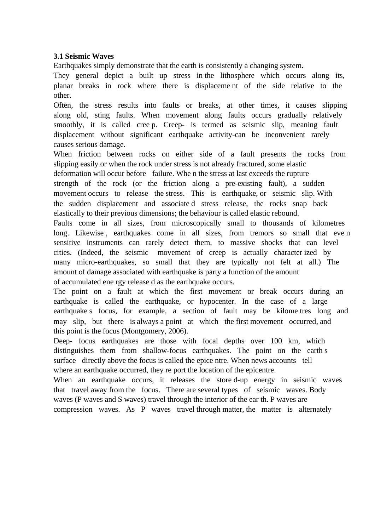## **3.1 Seismic Waves**

Earthquakes simply demonstrate that the earth is consistently a changing system.

They general depict a built up stress in the lithosphere which occurs along its, planar breaks in rock where there is displaceme nt of the side relative to the other.

Often, the stress results into faults or breaks, at other times, it causes slipping along old, sting faults. When movement along faults occurs gradually relatively smoothly, it is called cree p. Creep- is termed as seismic slip, meaning fault displacement without significant earthquake activity-can be inconvenient rarely causes serious damage.

When friction between rocks on either side of a fault presents the rocks from slipping easily or when the rock under stress is not already fractured, some elastic deformation will occur before failure. Whe n the stress at last exceeds the rupture strength of the rock (or the friction along a pre-existing fault), a sudden movement occurs to release the stress. This is earthquake, or seismic slip. With the sudden displacement and associate d stress release, the rocks snap back elastically to their previous dimensions; the behaviour is called elastic rebound. Faults come in all sizes, from microscopically small to thousands of kilometres long. Likewise, earthquakes come in all sizes, from tremors so small that even sensitive instruments can rarely detect them, to massive shocks that can level cities. (Indeed, the seismic movement of creep is actually character ized by many micro-earthquakes, so small that they are typically not felt at all.) The amount of damage associated with earthquake is party a function of the amount of accumulated ene rgy release d as the earthquake occurs.

The point on a fault at which the first movement or break occurs during an earthquake is called the earthquake, or hypocenter. In the case of a large earthquake s focus, for example, a section of fault may be kilome tres long and may slip, but there is always a point at which the first movement occurred, and this point is the focus (Montgomery, 2006).

Deep- focus earthquakes are those with focal depths over 100 km, which distinguishes them from shallow-focus earthquakes. The point on the earth s surface directly above the focus is called the epice ntre. When news accounts tell where an earthquake occurred, they re port the location of the epicentre.

When an earthquake occurs, it releases the store d-up energy in seismic waves that travel away from the focus. There are several types of seismic waves. Body waves (P waves and S waves) travel through the interior of the ear th. P waves are compression waves. As P waves travel through matter, the matter is alternately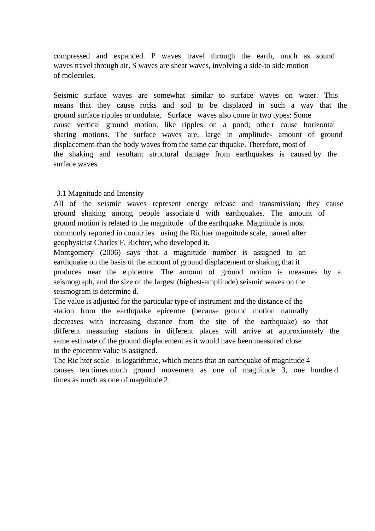compressed and expanded. P waves travel through the earth, much as sound waves travel through air. S waves are shear waves, involving a side-to side motion of molecules.

Seismic surface waves are somewhat similar to surface waves on water. This means that they cause rocks and soil to be displaced in such a way that the ground surface ripples or undulate. Surface waves also come in two types: Some cause vertical ground motion, like ripples on a pond; othe r cause horizontal sharing motions. The surface waves are, large in amplitude- amount of ground displacement-than the body waves from the same ear thquake. Therefore, most of the shaking and resultant structural damage from earthquakes is caused by the surface waves.

## 3.1 Magnitude and Intensity

All of the seismic waves represent energy release and transmission; they cause ground shaking among people associate d with earthquakes. The amount of ground motion is related to the magnitude of the earthquake. Magnitude is most commonly reported in countr ies using the Richter magnitude scale, named after geophysicist Charles F. Richter, who developed it.

Montgomery (2006) says that a magnitude number is assigned to an earthquake on the basis of the amount of ground displacement or shaking that it produces near the e picentre. The amount of ground motion is measures by a seismograph, and the size of the largest (highest-amplitude) seismic waves on the seismogram is determine d.

The value is adjusted for the particular type of instrument and the distance of the station from the earthquake epicentre (because ground motion naturally decreases with increasing distance from the site of the earthquake) so that different measuring stations in different places will arrive at approximately the same estimate of the ground displacement as it would have been measured close to the epicentre value is assigned.

The Ric hter scale is logarithmic, which means that an earthquake of magnitude 4 causes ten times much ground movement as one of magnitude 3, one hundre d times as much as one of magnitude 2.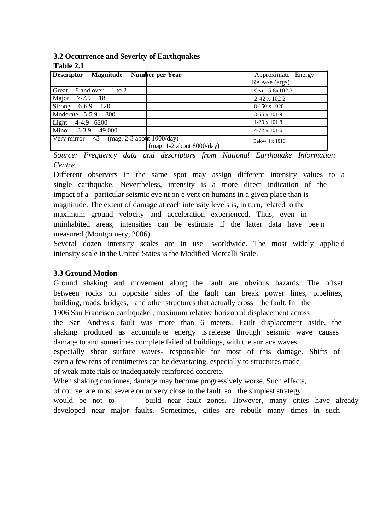**3.2 Occurrence and Severity of Earthquakes Table 2.1** 

| <b>Descriptor</b><br>Magnitude                                               | Number per Year             | Approximate Energy    |
|------------------------------------------------------------------------------|-----------------------------|-----------------------|
|                                                                              |                             | Release (ergs)        |
| Great<br>8 and over<br>1 to 2                                                |                             | Over 5.8x102 3        |
| Major<br>$7 - 7.9$                                                           |                             | 2-42 x 102 2          |
| Strong<br>120<br>$6 - 6.9$                                                   |                             | 8-150 x 1020          |
| $\sqrt{\text{Moderate}}$ 5-5.9<br>800                                        |                             | 3-55 x 101 9          |
| Light<br>$4-4.9$ 6200                                                        |                             | $1-20 \times 1018$    |
| $\boxed{\text{Minor}}$ 3-3.9<br>49.000                                       |                             | $4-72 \times 1016$    |
| Very mirror<br>$\overline{(mag. 2-3$ about 1000/day)<br>$\langle 31 \rangle$ |                             | Below $4 \times 1016$ |
|                                                                              | (mag. $1-2$ about 8000/day) |                       |

*Source: Frequency data and descriptors from National Earthquake Information Centre.* 

Different observers in the same spot may assign different intensity values to a single earthquake. Nevertheless, intensity is a more direct indication of the impact of a particular seismic eve nt on e vent on humans in a given place than is magnitude. The extent of damage at each intensity levels is, in turn, related to the maximum ground velocity and acceleration experienced. Thus, even in uninhabited areas, intensities can be estimate if the latter data have bee n measured (Montgomery, 2006).

Several dozen intensity scales are in use worldwide. The most widely applie d intensity scale in the United States is the Modified Mercalli Scale.

## **3.3 Ground Motion**

Ground shaking and movement along the fault are obvious hazards. The offset between rocks on opposite sides of the fault can break power lines, pipelines, building, roads, bridges, and other structures that actually cross the fault. In the 1906 San Francisco earthquake , maximum relative horizontal displacement across the San Andres s fault was more than 6 meters. Fault displacement aside, the shaking produced as accumula te energy is release through seismic wave causes damage to and sometimes complete failed of buildings, with the surface waves

especially shear surface waves- responsible for most of this damage. Shifts of even a few tens of centimetres can be devastating, especially to structures made of weak mate rials or inadequately reinforced concrete.

When shaking continues, damage may become progressively worse. Such effects,

of course, are most severe on or very close to the fault, so the simplest strategy

would be not to build near fault zones. However, many cities have already developed near major faults. Sometimes, cities are rebuilt many times in such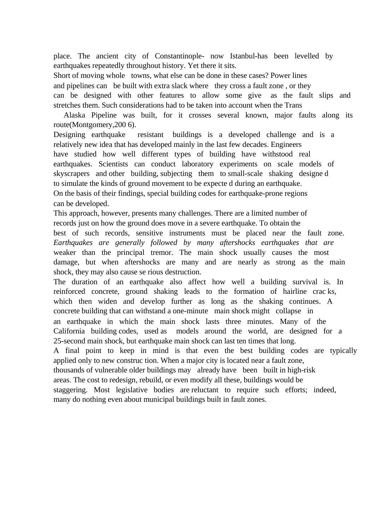place. The ancient city of Constantinople- now Istanbul-has been levelled by earthquakes repeatedly throughout history. Yet there it sits.

Short of moving whole towns, what else can be done in these cases? Power lines

and pipelines can be built with extra slack where they cross a fault zone , or they

can be designed with other features to allow some give as the fault slips and stretches them. Such considerations had to be taken into account when the Trans

 Alaska Pipeline was built, for it crosses several known, major faults along its route(Montgomery,200 6).

Designing earthquake resistant buildings is a developed challenge and is a relatively new idea that has developed mainly in the last few decades. Engineers have studied how well different types of building have withstood real earthquakes. Scientists can conduct laboratory experiments on scale models of skyscrapers and other building, subjecting them to small-scale shaking designe d to simulate the kinds of ground movement to be expecte d during an earthquake. On the basis of their findings, special building codes for earthquake-prone regions can be developed.

This approach, however, presents many challenges. There are a limited number of records just on how the ground does move in a severe earthquake. To obtain the best of such records, sensitive instruments must be placed near the fault zone. *Earthquakes are generally followed by many aftershocks earthquakes that are*  weaker than the principal tremor. The main shock usually causes the most damage, but when aftershocks are many and are nearly as strong as the main shock, they may also cause se rious destruction.

The duration of an earthquake also affect how well a building survival is. In reinforced concrete, ground shaking leads to the formation of hairline crac ks, which then widen and develop further as long as the shaking continues. A concrete building that can withstand a one-minute main shock might collapse in an earthquake in which the main shock lasts three minutes. Many of the California building codes, used as models around the world, are designed for a 25-second main shock, but earthquake main shock can last ten times that long.

A final point to keep in mind is that even the best building codes are typically applied only to new construc tion. When a major city is located near a fault zone,

thousands of vulnerable older buildings may already have been built in high-risk

areas. The cost to redesign, rebuild, or even modify all these, buildings would be

staggering. Most legislative bodies are reluctant to require such efforts; indeed, many do nothing even about municipal buildings built in fault zones.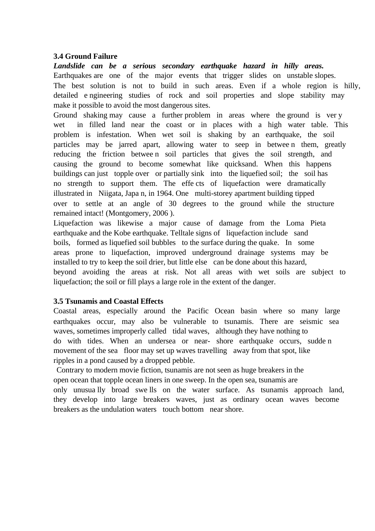#### **3.4 Ground Failure**

*Landslide can be a serious secondary earthquake hazard in hilly areas.*  Earthquakes are one of the major events that trigger slides on unstable slopes. The best solution is not to build in such areas. Even if a whole region is hilly, detailed e ngineering studies of rock and soil properties and slope stability may make it possible to avoid the most dangerous sites.

Ground shaking may cause a further problem in areas where the ground is ver y wet in filled land near the coast or in places with a high water table. This problem is infestation. When wet soil is shaking by an earthquake, the soil particles may be jarred apart, allowing water to seep in betwee n them, greatly reducing the friction betwee n soil particles that gives the soil strength, and causing the ground to become somewhat like quicksand. When this happens buildings can just topple over or partially sink into the liquefied soil; the soil has no strength to support them. The effe cts of liquefaction were dramatically illustrated in Niigata, Japa n, in 1964. One multi-storey apartment building tipped over to settle at an angle of 30 degrees to the ground while the structure remained intact! (Montgomery, 2006 ).

Liquefaction was likewise a major cause of damage from the Loma Pieta earthquake and the Kobe earthquake. Telltale signs of liquefaction include sand boils, formed as liquefied soil bubbles to the surface during the quake. In some areas prone to liquefaction, improved underground drainage systems may be installed to try to keep the soil drier, but little else can be done about this hazard, beyond avoiding the areas at risk. Not all areas with wet soils are subject to liquefaction; the soil or fill plays a large role in the extent of the danger.

## **3.5 Tsunamis and Coastal Effects**

Coastal areas, especially around the Pacific Ocean basin where so many large earthquakes occur, may also be vulnerable to tsunamis. There are seismic sea waves, sometimes improperly called tidal waves, although they have nothing to do with tides. When an undersea or near- shore earthquake occurs, sudde n movement of the sea floor may set up waves travelling away from that spot, like ripples in a pond caused by a dropped pebble.

 Contrary to modern movie fiction, tsunamis are not seen as huge breakers in the open ocean that topple ocean liners in one sweep. In the open sea, tsunamis are only unusua lly broad swe lls on the water surface. As tsunamis approach land, they develop into large breakers waves, just as ordinary ocean waves become breakers as the undulation waters touch bottom near shore.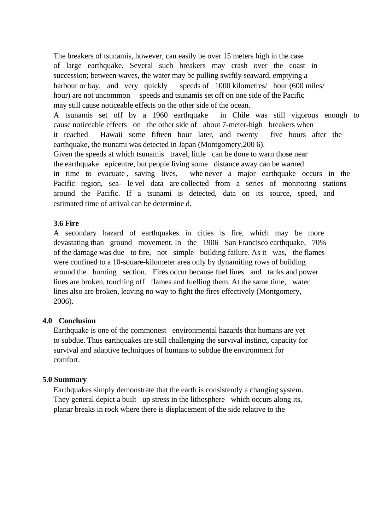The breakers of tsunamis, however, can easily be over 15 meters high in the case of large earthquake. Several such breakers may crash over the coast in succession; between waves, the water may be pulling swiftly seaward, emptying a harbour or bay, and very quickly speeds of 1000 kilometres/ hour (600 miles/ hour) are not uncommon speeds and tsunamis set off on one side of the Pacific may still cause noticeable effects on the other side of the ocean.

A tsunamis set off by a 1960 earthquake in Chile was still vigorous enough to cause noticeable effects on the other side of about 7-meter-high breakers when it reached Hawaii some fifteen hour later, and twenty five hours after the earthquake, the tsunami was detected in Japan (Montgomery,200 6).

Given the speeds at which tsunamis travel, little can be done to warn those near the earthquake epicentre, but people living some distance away can be warned in time to evacuate , saving lives, whe never a major earthquake occurs in the Pacific region, sea- le vel data are collected from a series of monitoring stations around the Pacific. If a tsunami is detected, data on its source, speed, and estimated time of arrival can be determine d.

## **3.6 Fire**

A secondary hazard of earthquakes in cities is fire, which may be more devastating than ground movement. In the 1906 San Francisco earthquake, 70% of the damage was due to fire, not simple building failure. As it was, the flames were confined to a 10-square-kilometer area only by dynamiting rows of building around the burning section. Fires occur because fuel lines and tanks and power lines are broken, touching off flames and fuelling them. At the same time, water lines also are broken, leaving no way to fight the fires effectively (Montgomery, 2006).

# **4.0 Conclusion**

Earthquake is one of the commonest environmental hazards that humans are yet to subdue. Thus earthquakes are still challenging the survival instinct, capacity for survival and adaptive techniques of humans to subdue the environment for comfort.

## **5.0 Summary**

Earthquakes simply demonstrate that the earth is consistently a changing system. They general depict a built up stress in the lithosphere which occurs along its, planar breaks in rock where there is displacement of the side relative to the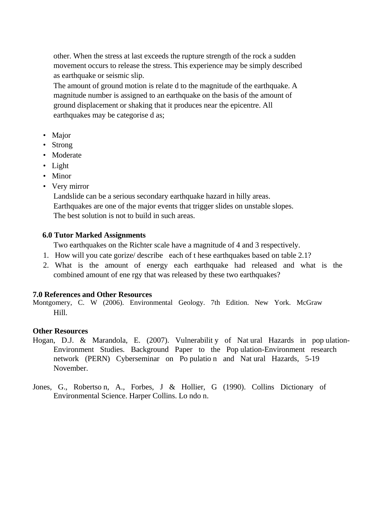other. When the stress at last exceeds the rupture strength of the rock a sudden movement occurs to release the stress. This experience may be simply described as earthquake or seismic slip.

The amount of ground motion is relate d to the magnitude of the earthquake. A magnitude number is assigned to an earthquake on the basis of the amount of ground displacement or shaking that it produces near the epicentre. All earthquakes may be categorise d as;

- Major
- Strong
- Moderate
- Light
- Minor
- Very mirror

Landslide can be a serious secondary earthquake hazard in hilly areas. Earthquakes are one of the major events that trigger slides on unstable slopes. The best solution is not to build in such areas.

#### **6.0 Tutor Marked Assignments**

Two earthquakes on the Richter scale have a magnitude of 4 and 3 respectively.

- 1. How will you cate gorize/ describe each of t hese earthquakes based on table 2.1?
- 2. What is the amount of energy each earthquake had released and what is the combined amount of ene rgy that was released by these two earthquakes?

#### **7.0 References and Other Resources**

Montgomery, C. W (2006). Environmental Geology. 7th Edition. New York. McGraw Hill.

#### **Other Resources**

- Hogan, D.J. & Marandola, E. (2007). Vulnerabilit y of Nat ural Hazards in pop ulation-Environment Studies. Background Paper to the Pop ulation-Environment research network (PERN) Cyberseminar on Po pulatio n and Nat ural Hazards, 5-19 November.
- Jones, G., Robertso n, A., Forbes, J & Hollier, G (1990). Collins Dictionary of Environmental Science. Harper Collins. Lo ndo n.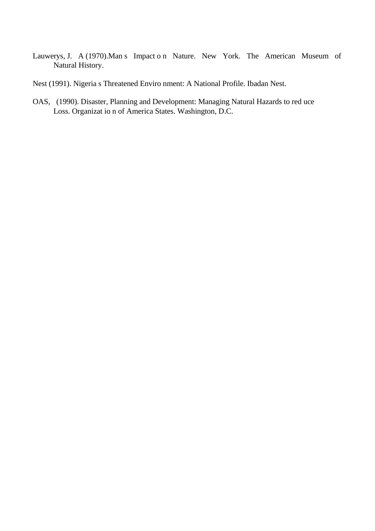- Lauwerys, J. A (1970).Man s Impact o n Nature. New York. The American Museum of Natural History.
- Nest (1991). Nigeria s Threatened Enviro nment: A National Profile. Ibadan Nest.
- OAS, (1990). Disaster, Planning and Development: Managing Natural Hazards to red uce Loss. Organizat io n of America States. Washington, D.C.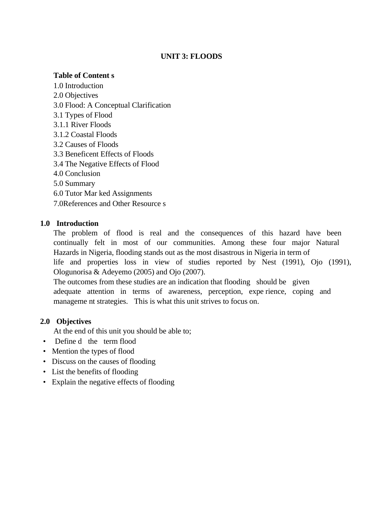## **UNIT 3: FLOODS**

## **Table of Content s**

- 1.0 Introduction
- 2.0 Objectives
- 3.0 Flood: A Conceptual Clarification
- 3.1 Types of Flood
- 3.1.1 River Floods
- 3.1.2 Coastal Floods
- 3.2 Causes of Floods
- 3.3 Beneficent Effects of Floods
- 3.4 The Negative Effects of Flood
- 4.0 Conclusion
- 5.0 Summary
- 6.0 Tutor Mar ked Assignments
- 7.0References and Other Resource s

# **1.0 Introduction**

The problem of flood is real and the consequences of this hazard have been continually felt in most of our communities. Among these four major Natural Hazards in Nigeria, flooding stands out as the most disastrous in Nigeria in term of life and properties loss in view of studies reported by Nest (1991), Ojo (1991), Ologunorisa & Adeyemo (2005) and Ojo (2007).

The outcomes from these studies are an indication that flooding should be given adequate attention in terms of awareness, perception, expe rience, coping and manageme nt strategies. This is what this unit strives to focus on.

# **2.0 Objectives**

At the end of this unit you should be able to;

- Define d the term flood
- Mention the types of flood
- Discuss on the causes of flooding
- List the benefits of flooding
- Explain the negative effects of flooding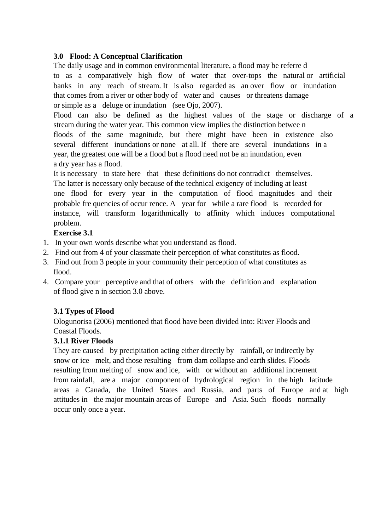# **3.0 Flood: A Conceptual Clarification**

The daily usage and in common environmental literature, a flood may be referre d to as a comparatively high flow of water that over-tops the natural or artificial banks in any reach of stream. It is also regarded as an over flow or inundation that comes from a river or other body of water and causes or threatens damage or simple as a deluge or inundation (see Ojo, 2007).

Flood can also be defined as the highest values of the stage or discharge of a stream during the water year. This common view implies the distinction betwee n floods of the same magnitude, but there might have been in existence also several different inundations or none at all. If there are several inundations in a year, the greatest one will be a flood but a flood need not be an inundation, even a dry year has a flood.

It is necessary to state here that these definitions do not contradict themselves. The latter is necessary only because of the technical exigency of including at least one flood for every year in the computation of flood magnitudes and their probable fre quencies of occur rence. A year for while a rare flood is recorded for instance, will transform logarithmically to affinity which induces computational problem.

## **Exercise 3.1**

- 1. In your own words describe what you understand as flood.
- 2. Find out from 4 of your classmate their perception of what constitutes as flood.
- 3. Find out from 3 people in your community their perception of what constitutes as flood.
- 4. Compare your perceptive and that of others with the definition and explanation of flood give n in section 3.0 above.

# **3.1 Types of Flood**

Ologunorisa (2006) mentioned that flood have been divided into: River Floods and Coastal Floods.

# **3.1.1 River Floods**

They are caused by precipitation acting either directly by rainfall, or indirectly by snow or ice melt, and those resulting from dam collapse and earth slides. Floods resulting from melting of snow and ice, with or without an additional increment from rainfall, are a major component of hydrological region in the high latitude areas a Canada, the United States and Russia, and parts of Europe and at high attitudes in the major mountain areas of Europe and Asia. Such floods normally occur only once a year.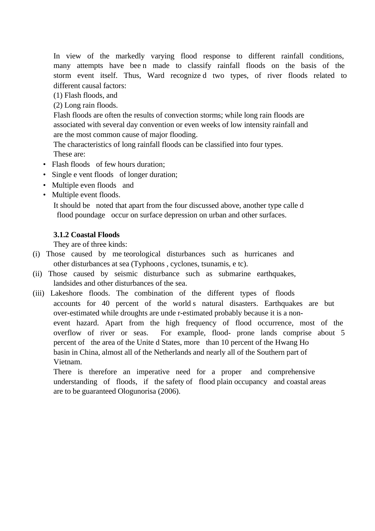In view of the markedly varying flood response to different rainfall conditions, many attempts have bee n made to classify rainfall floods on the basis of the storm event itself. Thus, Ward recognize d two types, of river floods related to different causal factors:

(1) Flash floods, and

(2) Long rain floods.

Flash floods are often the results of convection storms; while long rain floods are associated with several day convention or even weeks of low intensity rainfall and are the most common cause of major flooding.

The characteristics of long rainfall floods can be classified into four types. These are:

- Flash floods of few hours duration;
- Single e vent floods of longer duration;
- Multiple even floods and
- Multiple event floods.

It should be noted that apart from the four discussed above, another type calle d flood poundage occur on surface depression on urban and other surfaces.

# **3.1.2 Coastal Floods**

They are of three kinds:

- (i) Those caused by me teorological disturbances such as hurricanes and other disturbances at sea (Typhoons , cyclones, tsunamis, e tc).
- (ii) Those caused by seismic disturbance such as submarine earthquakes, landsides and other disturbances of the sea.
- (iii) Lakeshore floods. The combination of the different types of floods accounts for 40 percent of the world s natural disasters. Earthquakes are but over-estimated while droughts are unde r-estimated probably because it is a nonevent hazard. Apart from the high frequency of flood occurrence, most of the overflow of river or seas. For example, flood- prone lands comprise about 5 percent of the area of the Unite d States, more than 10 percent of the Hwang Ho basin in China, almost all of the Netherlands and nearly all of the Southern part of Vietnam.

There is therefore an imperative need for a proper and comprehensive understanding of floods, if the safety of flood plain occupancy and coastal areas are to be guaranteed Ologunorisa (2006).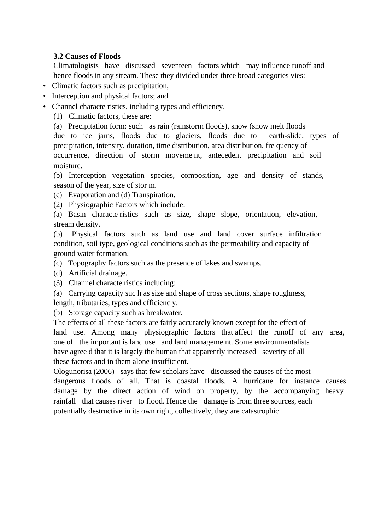## **3.2 Causes of Floods**

Climatologists have discussed seventeen factors which may influence runoff and hence floods in any stream. These they divided under three broad categories vies:

- Climatic factors such as precipitation,
- Interception and physical factors; and
- Channel characte ristics, including types and efficiency.
	- (1) Climatic factors, these are:

(a) Precipitation form: such as rain (rainstorm floods), snow (snow melt floods due to ice jams, floods due to glaciers, floods due to earth-slide; types of precipitation, intensity, duration, time distribution, area distribution, fre quency of occurrence, direction of storm moveme nt, antecedent precipitation and soil moisture.

(b) Interception vegetation species, composition, age and density of stands, season of the year, size of stor m.

- (c) Evaporation and (d) Transpiration.
- (2) Physiographic Factors which include:

(a) Basin characte ristics such as size, shape slope, orientation, elevation, stream density.

(b) Physical factors such as land use and land cover surface infiltration condition, soil type, geological conditions such as the permeability and capacity of ground water formation.

(c) Topography factors such as the presence of lakes and swamps.

- (d) Artificial drainage.
- (3) Channel characte ristics including:
- (a) Carrying capacity suc h as size and shape of cross sections, shape roughness, length, tributaries, types and efficienc y.

(b) Storage capacity such as breakwater.

The effects of all these factors are fairly accurately known except for the effect of land use. Among many physiographic factors that affect the runoff of any area, one of the important is land use and land manageme nt. Some environmentalists have agree d that it is largely the human that apparently increased severity of all these factors and in them alone insufficient.

Ologunorisa (2006) says that few scholars have discussed the causes of the most dangerous floods of all. That is coastal floods. A hurricane for instance causes damage by the direct action of wind on property, by the accompanying heavy rainfall that causes river to flood. Hence the damage is from three sources, each potentially destructive in its own right, collectively, they are catastrophic.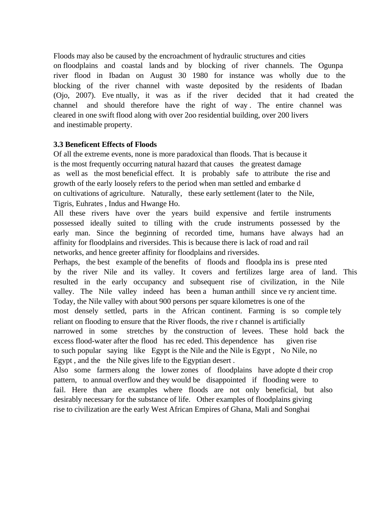Floods may also be caused by the encroachment of hydraulic structures and cities on floodplains and coastal lands and by blocking of river channels. The Ogunpa river flood in Ibadan on August 30 1980 for instance was wholly due to the blocking of the river channel with waste deposited by the residents of Ibadan (Ojo, 2007). Eve ntually, it was as if the river decided that it had created the channel and should therefore have the right of way . The entire channel was cleared in one swift flood along with over 2oo residential building, over 200 livers and inestimable property.

# **3.3 Beneficent Effects of Floods**

Of all the extreme events, none is more paradoxical than floods. That is because it is the most frequently occurring natural hazard that causes the greatest damage as well as the most beneficial effect. It is probably safe to attribute the rise and growth of the early loosely refers to the period when man settled and embarke d on cultivations of agriculture. Naturally, these early settlement (later to the Nile, Tigris, Euhrates , Indus and Hwange Ho.

All these rivers have over the years build expensive and fertile instruments possessed ideally suited to tilling with the crude instruments possessed by the early man. Since the beginning of recorded time, humans have always had an affinity for floodplains and riversides. This is because there is lack of road and rail networks, and hence greeter affinity for floodplains and riversides.

Perhaps, the best example of the benefits of floods and floodpla ins is prese nted by the river Nile and its valley. It covers and fertilizes large area of land. This resulted in the early occupancy and subsequent rise of civilization, in the Nile valley. The Nile valley indeed has been a human anthill since ve ry ancient time. Today, the Nile valley with about 900 persons per square kilometres is one of the most densely settled, parts in the African continent. Farming is so comple tely reliant on flooding to ensure that the River floods, the rive r channel is artificially narrowed in some stretches by the construction of levees. These hold back the excess flood-water after the flood has rec eded. This dependence has given rise to such popular saying like Egypt is the Nile and the Nile is Egypt , No Nile, no Egypt , and the the Nile gives life to the Egyptian desert .

Also some farmers along the lower zones of floodplains have adopte d their crop pattern, to annual overflow and they would be disappointed if flooding were to fail. Here than are examples where floods are not only beneficial, but also desirably necessary for the substance of life. Other examples of floodplains giving rise to civilization are the early West African Empires of Ghana, Mali and Songhai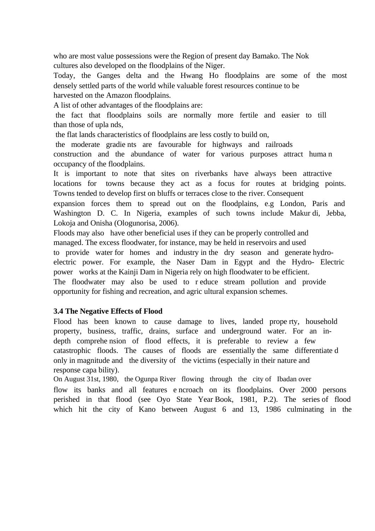who are most value possessions were the Region of present day Bamako. The Nok cultures also developed on the floodplains of the Niger.

Today, the Ganges delta and the Hwang Ho floodplains are some of the most densely settled parts of the world while valuable forest resources continue to be harvested on the Amazon floodplains.

A list of other advantages of the floodplains are:

 the fact that floodplains soils are normally more fertile and easier to till than those of upla nds,

the flat lands characteristics of floodplains are less costly to build on,

the moderate gradie nts are favourable for highways and railroads

construction and the abundance of water for various purposes attract huma n occupancy of the floodplains.

It is important to note that sites on riverbanks have always been attractive locations for towns because they act as a focus for routes at bridging points. Towns tended to develop first on bluffs or terraces close to the river. Consequent

expansion forces them to spread out on the floodplains, e.g London, Paris and Washington D. C. In Nigeria, examples of such towns include Makur di, Jebba, Lokoja and Onisha (Ologunorisa, 2006).

Floods may also have other beneficial uses if they can be properly controlled and managed. The excess floodwater, for instance, may be held in reservoirs and used to provide water for homes and industry in the dry season and generate hydroelectric power. For example, the Naser Dam in Egypt and the Hydro- Electric power works at the Kainji Dam in Nigeria rely on high floodwater to be efficient. The floodwater may also be used to r educe stream pollution and provide opportunity for fishing and recreation, and agric ultural expansion schemes.

# **3.4 The Negative Effects of Flood**

Flood has been known to cause damage to lives, landed prope rty, household property, business, traffic, drains, surface and underground water. For an indepth comprehe nsion of flood effects, it is preferable to review a few catastrophic floods. The causes of floods are essentially the same differentiate d only in magnitude and the diversity of the victims (especially in their nature and response capa bility).

On August 31st, 1980, the Ogunpa River flowing through the city of Ibadan over flow its banks and all features e ncroach on its floodplains. Over 2000 persons perished in that flood (see Oyo State Year Book, 1981, P.2). The series of flood which hit the city of Kano between August 6 and 13, 1986 culminating in the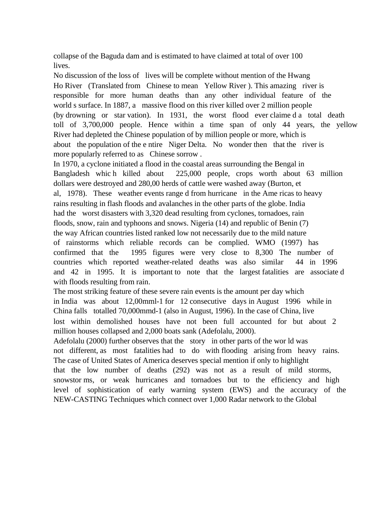collapse of the Baguda dam and is estimated to have claimed at total of over 100 lives.

No discussion of the loss of lives will be complete without mention of the Hwang Ho River (Translated from Chinese to mean Yellow River ). This amazing river is responsible for more human deaths than any other individual feature of the world s surface. In 1887, a massive flood on this river killed over 2 million people (by drowning or star vation). In 1931, the worst flood ever claime d a total death toll of 3,700,000 people. Hence within a time span of only 44 years, the yellow River had depleted the Chinese population of by million people or more, which is about the population of the e ntire Niger Delta. No wonder then that the river is more popularly referred to as Chinese sorrow .

In 1970, a cyclone initiated a flood in the coastal areas surrounding the Bengal in Bangladesh whic h killed about 225,000 people, crops worth about 63 million dollars were destroyed and 280,00 herds of cattle were washed away (Burton, et al, 1978). These weather events range d from hurricane in the Ame ricas to heavy rains resulting in flash floods and avalanches in the other parts of the globe. India had the worst disasters with 3,320 dead resulting from cyclones, tornadoes, rain floods, snow, rain and typhoons and snows. Nigeria (14) and republic of Benin (7) the way African countries listed ranked low not necessarily due to the mild nature of rainstorms which reliable records can be complied. WMO (1997) has confirmed that the 1995 figures were very close to 8,300 The number of countries which reported weather-related deaths was also similar 44 in 1996 and 42 in 1995. It is important to note that the largest fatalities are associate d with floods resulting from rain.

The most striking feature of these severe rain events is the amount per day which in India was about 12,00mml-1 for 12 consecutive days in August 1996 while in China falls totalled 70,000mmd-1 (also in August, 1996). In the case of China, live lost within demolished houses have not been full accounted for but about 2 million houses collapsed and 2,000 boats sank (Adefolalu, 2000).

Adefolalu (2000) further observes that the story in other parts of the wor ld was not different, as most fatalities had to do with flooding arising from heavy rains. The case of United States of America deserves special mention if only to highlight that the low number of deaths (292) was not as a result of mild storms, snowstor ms, or weak hurricanes and tornadoes but to the efficiency and high level of sophistication of early warning system (EWS) and the accuracy of the NEW-CASTING Techniques which connect over 1,000 Radar network to the Global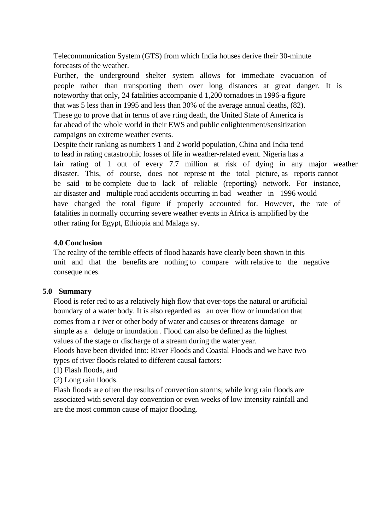Telecommunication System (GTS) from which India houses derive their 30-minute forecasts of the weather.

Further, the underground shelter system allows for immediate evacuation of people rather than transporting them over long distances at great danger. It is noteworthy that only, 24 fatalities accompanie d 1,200 tornadoes in 1996-a figure that was 5 less than in 1995 and less than 30% of the average annual deaths, (82). These go to prove that in terms of ave rting death, the United State of America is far ahead of the whole world in their EWS and public enlightenment/sensitization campaigns on extreme weather events.

Despite their ranking as numbers 1 and 2 world population, China and India tend to lead in rating catastrophic losses of life in weather-related event. Nigeria has a fair rating of 1 out of every 7.7 million at risk of dying in any major weather disaster. This, of course, does not represe nt the total picture, as reports cannot be said to be complete due to lack of reliable (reporting) network. For instance, air disaster and multiple road accidents occurring in bad weather in 1996 would have changed the total figure if properly accounted for. However, the rate of fatalities in normally occurring severe weather events in Africa is amplified by the other rating for Egypt, Ethiopia and Malaga sy.

### **4.0 Conclusion**

The reality of the terrible effects of flood hazards have clearly been shown in this unit and that the benefits are nothing to compare with relative to the negative conseque nces.

### **5.0 Summary**

Flood is refer red to as a relatively high flow that over-tops the natural or artificial boundary of a water body. It is also regarded as an over flow or inundation that comes from a r iver or other body of water and causes or threatens damage or simple as a deluge or inundation . Flood can also be defined as the highest values of the stage or discharge of a stream during the water year. Floods have been divided into: River Floods and Coastal Floods and we have two

types of river floods related to different causal factors:

(1) Flash floods, and

(2) Long rain floods.

Flash floods are often the results of convection storms; while long rain floods are associated with several day convention or even weeks of low intensity rainfall and are the most common cause of major flooding.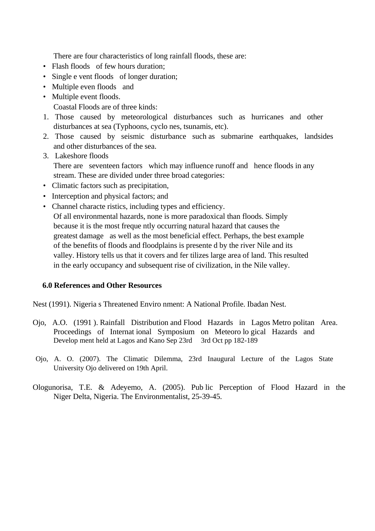There are four characteristics of long rainfall floods, these are:

- Flash floods of few hours duration;
- Single e vent floods of longer duration;
- Multiple even floods and
- Multiple event floods.

Coastal Floods are of three kinds:

- 1. Those caused by meteorological disturbances such as hurricanes and other disturbances at sea (Typhoons, cyclo nes, tsunamis, etc).
- 2. Those caused by seismic disturbance such as submarine earthquakes, landsides and other disturbances of the sea.
- 3. Lakeshore floods There are seventeen factors which may influence runoff and hence floods in any stream. These are divided under three broad categories:
- Climatic factors such as precipitation,
- Interception and physical factors; and
- Channel characte ristics, including types and efficiency. Of all environmental hazards, none is more paradoxical than floods. Simply because it is the most freque ntly occurring natural hazard that causes the greatest damage as well as the most beneficial effect. Perhaps, the best example of the benefits of floods and floodplains is presente d by the river Nile and its valley. History tells us that it covers and fer tilizes large area of land. This resulted in the early occupancy and subsequent rise of civilization, in the Nile valley.

### **6.0 References and Other Resources**

Nest (1991). Nigeria s Threatened Enviro nment: A National Profile. Ibadan Nest.

- Ojo, A.O. (1991 ). Rainfall Distribution and Flood Hazards in Lagos Metro politan Area. Proceedings of Internat ional Symposium on Meteoro lo gical Hazards and Develop ment held at Lagos and Kano Sep 23rd 3rd Oct pp 182-189
- Ojo, A. O. (2007). The Climatic Dilemma, 23rd Inaugural Lecture of the Lagos State University Ojo delivered on 19th April.
- Ologunorisa, T.E. & Adeyemo, A. (2005). Pub lic Perception of Flood Hazard in the Niger Delta, Nigeria. The Environmentalist, 25-39-45.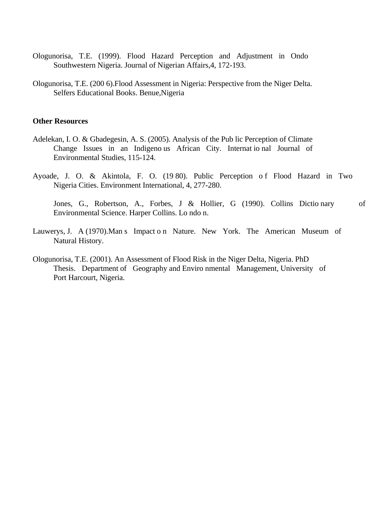- Ologunorisa, T.E. (1999). Flood Hazard Perception and Adjustment in Ondo Southwestern Nigeria. Journal of Nigerian Affairs,4, 172-193.
- Ologunorisa, T.E. (200 6).Flood Assessment in Nigeria: Perspective from the Niger Delta. Selfers Educational Books. Benue,Nigeria

#### **Other Resources**

- Adelekan, I. O. & Gbadegesin, A. S. (2005). Analysis of the Pub lic Perception of Climate Change Issues in an Indigeno us African City. Internat io nal Journal of Environmental Studies, 115-124.
- Ayoade, J. O. & Akintola, F. O. (1980). Public Perception of Flood Hazard in Two Nigeria Cities. Environment International, 4, 277-280.

Jones, G., Robertson, A., Forbes, J & Hollier, G (1990). Collins Dictio nary of Environmental Science. Harper Collins. Lo ndo n.

- Lauwerys, J. A (1970).Man s Impact o n Nature. New York. The American Museum of Natural History.
- Ologunorisa, T.E. (2001). An Assessment of Flood Risk in the Niger Delta, Nigeria. PhD Thesis. Department of Geography and Enviro nmental Management, University of Port Harcourt, Nigeria.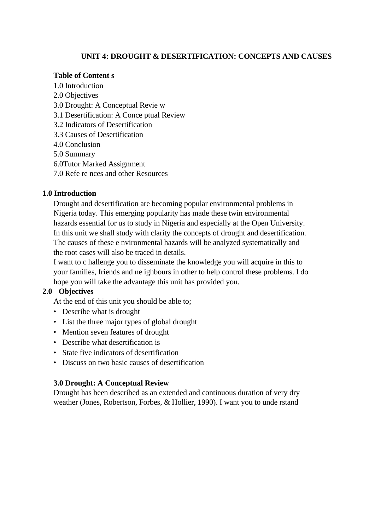# **UNIT 4: DROUGHT & DESERTIFICATION: CONCEPTS AND CAUSES**

### **Table of Content s**

1.0 Introduction 2.0 Objectives 3.0 Drought: A Conceptual Revie w 3.1 Desertification: A Conce ptual Review 3.2 Indicators of Desertification 3.3 Causes of Desertification 4.0 Conclusion 5.0 Summary 6.0Tutor Marked Assignment 7.0 Refe re nces and other Resources

### **1.0 Introduction**

Drought and desertification are becoming popular environmental problems in Nigeria today. This emerging popularity has made these twin environmental hazards essential for us to study in Nigeria and especially at the Open University. In this unit we shall study with clarity the concepts of drought and desertification. The causes of these e nvironmental hazards will be analyzed systematically and the root cases will also be traced in details.

I want to c hallenge you to disseminate the knowledge you will acquire in this to your families, friends and ne ighbours in other to help control these problems. I do hope you will take the advantage this unit has provided you.

# **2.0 Objectives**

At the end of this unit you should be able to;

- Describe what is drought
- List the three major types of global drought
- Mention seven features of drought
- Describe what desertification is
- State five indicators of desertification
- Discuss on two basic causes of desertification

### **3.0 Drought: A Conceptual Review**

Drought has been described as an extended and continuous duration of very dry weather (Jones, Robertson, Forbes, & Hollier, 1990). I want you to unde rstand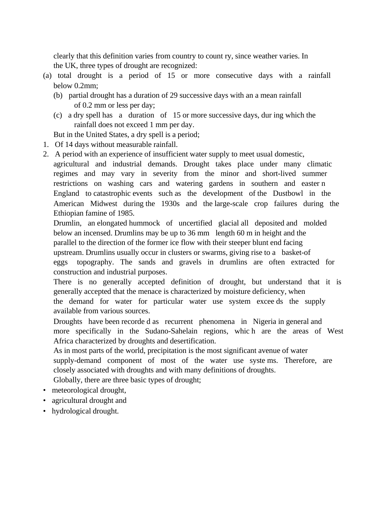clearly that this definition varies from country to count ry, since weather varies. In the UK, three types of drought are recognized:

- (a) total drought is a period of 15 or more consecutive days with a rainfall below 0.2mm;
	- (b) partial drought has a duration of 29 successive days with an a mean rainfall of 0.2 mm or less per day;
	- (c) a dry spell has a duration of 15 or more successive days, dur ing which the rainfall does not exceed 1 mm per day.

But in the United States, a dry spell is a period;

- 1. Of 14 days without measurable rainfall.
- 2. A period with an experience of insufficient water supply to meet usual domestic, agricultural and industrial demands. Drought takes place under many climatic regimes and may vary in severity from the minor and short-lived summer restrictions on washing cars and watering gardens in southern and easter n England to catastrophic events such as the development of the Dustbowl in the American Midwest during the 1930s and the large-scale crop failures during the Ethiopian famine of 1985.

Drumlin, an elongated hummock of uncertified glacial all deposited and molded below an incensed. Drumlins may be up to 36 mm length 60 m in height and the parallel to the direction of the former ice flow with their steeper blunt end facing upstream. Drumlins usually occur in clusters or swarms, giving rise to a basket-of eggs topography. The sands and gravels in drumlins are often extracted for construction and industrial purposes.

There is no generally accepted definition of drought, but understand that it is generally accepted that the menace is characterized by moisture deficiency, when the demand for water for particular water use system excee ds the supply available from various sources.

Droughts have been recorde d as recurrent phenomena in Nigeria in general and more specifically in the Sudano-Sahelain regions, whic h are the areas of West Africa characterized by droughts and desertification.

As in most parts of the world, precipitation is the most significant avenue of water supply-demand component of most of the water use syste ms. Therefore, are closely associated with droughts and with many definitions of droughts. Globally, there are three basic types of drought;

• meteorological drought,

- agricultural drought and
- hydrological drought.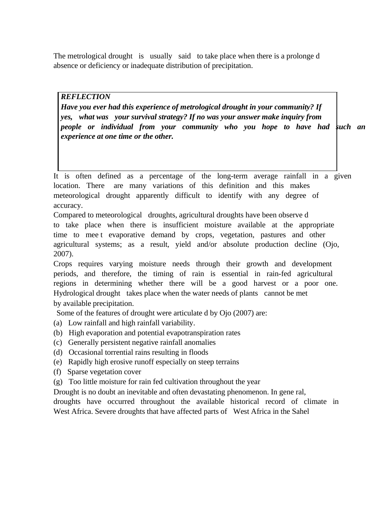The metrological drought is usually said to take place when there is a prolonge d absence or deficiency or inadequate distribution of precipitation.

### *REFLECTION*

*Have you ever had this experience of metrological drought in your community? If yes, what was your survival strategy? If no was your answer make inquiry from people or individual from your community who you hope to have had fuch an experience at one time or the other.* 

It is often defined as a percentage of the long-term average rainfall in a given location. There are many variations of this definition and this makes meteorological drought apparently difficult to identify with any degree of accuracy.

Compared to meteorological droughts, agricultural droughts have been observe d to take place when there is insufficient moisture available at the appropriate time to mee t evaporative demand by crops, vegetation, pastures and other agricultural systems; as a result, yield and/or absolute production decline (Ojo, 2007).

Crops requires varying moisture needs through their growth and development periods, and therefore, the timing of rain is essential in rain-fed agricultural regions in determining whether there will be a good harvest or a poor one. Hydrological drought takes place when the water needs of plants cannot be met by available precipitation.

Some of the features of drought were articulate d by Ojo (2007) are:

- (a) Low rainfall and high rainfall variability.
- (b) High evaporation and potential evapotranspiration rates
- (c) Generally persistent negative rainfall anomalies
- (d) Occasional torrential rains resulting in floods
- (e) Rapidly high erosive runoff especially on steep terrains
- (f) Sparse vegetation cover
- (g) Too little moisture for rain fed cultivation throughout the year

Drought is no doubt an inevitable and often devastating phenomenon. In gene ral,

droughts have occurred throughout the available historical record of climate in West Africa. Severe droughts that have affected parts of West Africa in the Sahel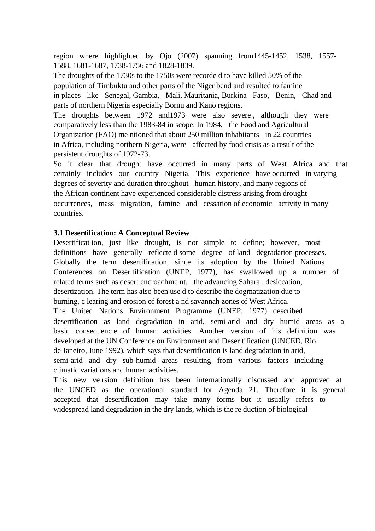region where highlighted by Ojo (2007) spanning from1445-1452, 1538, 1557- 1588, 1681-1687, 1738-1756 and 1828-1839.

The droughts of the 1730s to the 1750s were recorde d to have killed 50% of the population of Timbuktu and other parts of the Niger bend and resulted to famine in places like Senegal, Gambia, Mali, Mauritania, Burkina Faso, Benin, Chad and parts of northern Nigeria especially Bornu and Kano regions.

The droughts between 1972 and1973 were also severe , although they were comparatively less than the 1983-84 in scope. In 1984, the Food and Agricultural Organization (FAO) me ntioned that about 250 million inhabitants in 22 countries in Africa, including northern Nigeria, were affected by food crisis as a result of the persistent droughts of 1972-73.

So it clear that drought have occurred in many parts of West Africa and that certainly includes our country Nigeria. This experience have occurred in varying degrees of severity and duration throughout human history, and many regions of the African continent have experienced considerable distress arising from drought occurrences, mass migration, famine and cessation of economic activity in many countries.

### **3.1 Desertification: A Conceptual Review**

Desertificat ion, just like drought, is not simple to define; however, most definitions have generally reflecte d some degree of land degradation processes. Globally the term desertification, since its adoption by the United Nations Conferences on Deser tification (UNEP, 1977), has swallowed up a number of related terms such as desert encroachme nt, the advancing Sahara , desiccation, desertization. The term has also been use d to describe the dogmatization due to burning, c learing and erosion of forest a nd savannah zones of West Africa. The United Nations Environment Programme (UNEP, 1977) described desertification as land degradation in arid, semi-arid and dry humid areas as a basic consequenc e of human activities. Another version of his definition was developed at the UN Conference on Environment and Deser tification (UNCED, Rio de Janeiro, June 1992), which says that desertification is land degradation in arid, semi-arid and dry sub-humid areas resulting from various factors including climatic variations and human activities.

This new ve rsion definition has been internationally discussed and approved at the UNCED as the operational standard for Agenda 21. Therefore it is general accepted that desertification may take many forms but it usually refers to widespread land degradation in the dry lands, which is the re duction of biological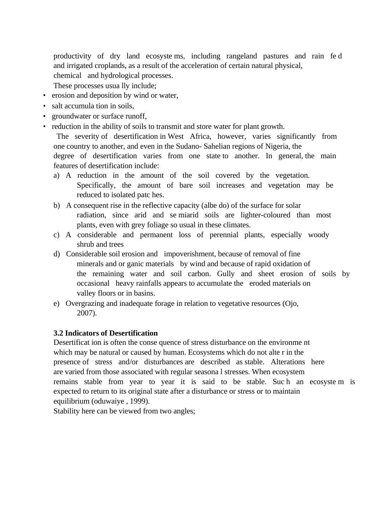productivity of dry land ecosyste ms, including rangeland pastures and rain fe d and irrigated croplands, as a result of the acceleration of certain natural physical,

chemical and hydrological processes.

These processes usua lly include;

- erosion and deposition by wind or water,
- salt accumula tion in soils,
- groundwater or surface runoff,
- reduction in the ability of soils to transmit and store water for plant growth.

 The severity of desertification in West Africa, however, varies significantly from one country to another, and even in the Sudano- Sahelian regions of Nigeria, the degree of desertification varies from one state to another. In general, the main features of desertification include:

- a) A reduction in the amount of the soil covered by the vegetation. Specifically, the amount of bare soil increases and vegetation may be reduced to isolated patc hes.
- b) A consequent rise in the reflective capacity (albe do) of the surface for solar radiation, since arid and se miarid soils are lighter-coloured than most plants, even with grey foliage so usual in these climates.
- c) A considerable and permanent loss of perennial plants, especially woody shrub and trees
- d) Considerable soil erosion and impoverishment, because of removal of fine minerals and or ganic materials by wind and because of rapid oxidation of the remaining water and soil carbon. Gully and sheet erosion of soils by occasional heavy rainfalls appears to accumulate the eroded materials on valley floors or in basins.
- e) Overgrazing and inadequate forage in relation to vegetative resources (Ojo, 2007).

# **3.2 Indicators of Desertification**

Desertificat ion is often the conse quence of stress disturbance on the environme nt which may be natural or caused by human. Ecosystems which do not alte r in the presence of stress and/or disturbances are described as stable. Alterations here are varied from those associated with regular seasona l stresses. When ecosystem remains stable from year to year it is said to be stable. Suc h an ecosyste m is expected to return to its original state after a disturbance or stress or to maintain equilibrium (oduwaiye , 1999).

Stability here can be viewed from two angles;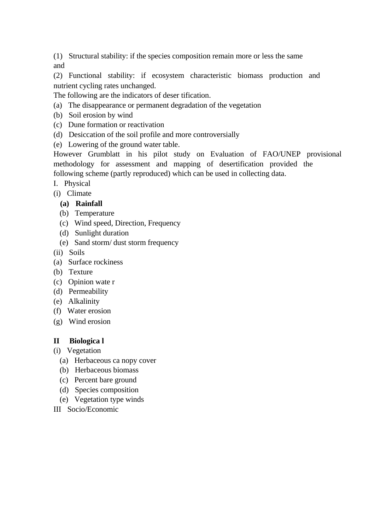(1) Structural stability: if the species composition remain more or less the same and

(2) Functional stability: if ecosystem characteristic biomass production and nutrient cycling rates unchanged.

The following are the indicators of deser tification.

- (a) The disappearance or permanent degradation of the vegetation
- (b) Soil erosion by wind
- (c) Dune formation or reactivation
- (d) Desiccation of the soil profile and more controversially
- (e) Lowering of the ground water table.

However Grumblatt in his pilot study on Evaluation of FAO/UNEP provisional methodology for assessment and mapping of desertification provided the following scheme (partly reproduced) which can be used in collecting data.

- I. Physical
- (i) Climate

# **(a) Rainfall**

- (b) Temperature
- (c) Wind speed, Direction, Frequency
- (d) Sunlight duration
- (e) Sand storm/ dust storm frequency
- (ii) Soils
- (a) Surface rockiness
- (b) Texture
- (c) Opinion wate r
- (d) Permeability
- (e) Alkalinity
- (f) Water erosion
- (g) Wind erosion

# **II Biologica l**

- (i) Vegetation
	- (a) Herbaceous ca nopy cover
	- (b) Herbaceous biomass
	- (c) Percent bare ground
	- (d) Species composition
	- (e) Vegetation type winds
- III Socio/Economic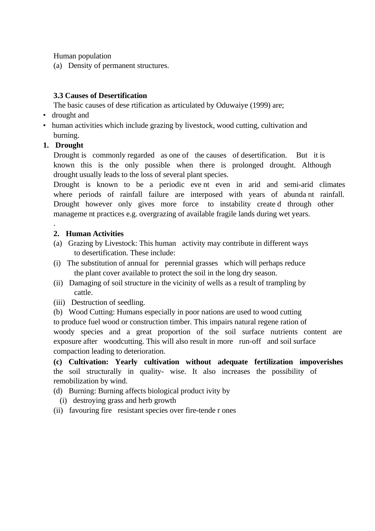Human population

(a) Density of permanent structures.

# **3.3 Causes of Desertification**

The basic causes of dese rtification as articulated by Oduwaiye (1999) are;

- drought and
- human activities which include grazing by livestock, wood cutting, cultivation and burning.

# **1. Drought**

Drought is commonly regarded as one of the causes of desertification. But it is known this is the only possible when there is prolonged drought. Although drought usually leads to the loss of several plant species.

Drought is known to be a periodic eve nt even in arid and semi-arid climates where periods of rainfall failure are interposed with years of abunda nt rainfall. Drought however only gives more force to instability create d through other manageme nt practices e.g. overgrazing of available fragile lands during wet years.

### . **2. Human Activities**

- (a) Grazing by Livestock: This human activity may contribute in different ways to desertification. These include:
- (i) The substitution of annual for perennial grasses which will perhaps reduce the plant cover available to protect the soil in the long dry season.
- (ii) Damaging of soil structure in the vicinity of wells as a result of trampling by cattle.
- (iii) Destruction of seedling.
- (b) Wood Cutting: Humans especially in poor nations are used to wood cutting

to produce fuel wood or construction timber. This impairs natural regene ration of woody species and a great proportion of the soil surface nutrients content are exposure after woodcutting. This will also result in more run-off and soil surface compaction leading to deterioration.

**(c) Cultivation: Yearly cultivation without adequate fertilization impoverishes**  the soil structurally in quality- wise. It also increases the possibility of remobilization by wind.

(d) Burning: Burning affects biological product ivity by

- (i) destroying grass and herb growth
- (ii) favouring fire resistant species over fire-tende r ones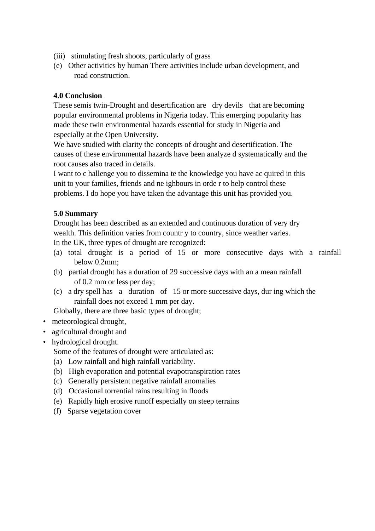- (iii) stimulating fresh shoots, particularly of grass
- (e) Other activities by human There activities include urban development, and road construction.

## **4.0 Conclusion**

These semis twin-Drought and desertification are dry devils that are becoming popular environmental problems in Nigeria today. This emerging popularity has made these twin environmental hazards essential for study in Nigeria and especially at the Open University.

We have studied with clarity the concepts of drought and desertification. The causes of these environmental hazards have been analyze d systematically and the root causes also traced in details.

I want to c hallenge you to dissemina te the knowledge you have ac quired in this unit to your families, friends and ne ighbours in orde r to help control these problems. I do hope you have taken the advantage this unit has provided you.

### **5.0 Summary**

Drought has been described as an extended and continuous duration of very dry wealth. This definition varies from country to country, since weather varies. In the UK, three types of drought are recognized:

- (a) total drought is a period of 15 or more consecutive days with a rainfall below 0.2mm;
- (b) partial drought has a duration of 29 successive days with an a mean rainfall of 0.2 mm or less per day;
- (c) a dry spell has a duration of 15 or more successive days, dur ing which the rainfall does not exceed 1 mm per day.

Globally, there are three basic types of drought;

- meteorological drought,
- agricultural drought and
- hydrological drought.
	- Some of the features of drought were articulated as:
	- (a) Low rainfall and high rainfall variability.
	- (b) High evaporation and potential evapotranspiration rates
	- (c) Generally persistent negative rainfall anomalies
	- (d) Occasional torrential rains resulting in floods
	- (e) Rapidly high erosive runoff especially on steep terrains
	- (f) Sparse vegetation cover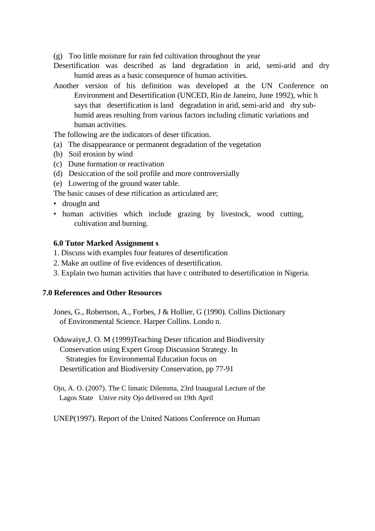(g) Too little moisture for rain fed cultivation throughout the year

- Desertification was described as land degradation in arid, semi-arid and dry humid areas as a basic consequence of human activities.
- Another version of his definition was developed at the UN Conference on Environment and Desertification (UNCED, Rio de Janeiro, June 1992), whic h says that desertification is land degradation in arid, semi-arid and dry subhumid areas resulting from various factors including climatic variations and human activities.

The following are the indicators of deser tification.

- (a) The disappearance or permanent degradation of the vegetation
- (b) Soil erosion by wind
- (c) Dune formation or reactivation
- (d) Desiccation of the soil profile and more controversially
- (e) Lowering of the ground water table.

The basic causes of dese rtification as articulated are;

- drought and
- human activities which include grazing by livestock, wood cutting, cultivation and burning.

#### **6.0 Tutor Marked Assignment s**

- 1. Discuss with examples four features of desertification
- 2. Make an outline of five evidences of desertification.
- 3. Explain two human activities that have c ontributed to desertification in Nigeria.

#### **7.0 References and Other Resources**

Jones, G., Robertson, A., Forbes, J & Hollier, G (1990). Collins Dictionary of Environmental Science. Harper Collins. Londo n.

Oduwaiye,J. O. M (1999)Teaching Deser tification and Biodiversity Conservation using Expert Group Discussion Strategy. In Strategies for Environmental Education focus on Desertification and Biodiversity Conservation, pp 77-91

Ojo, A. O. (2007). The C limatic Dilemma, 23rd Inaugural Lecture of the Lagos State Unive rsity Ojo delivered on 19th April

UNEP(1997). Report of the United Nations Conference on Human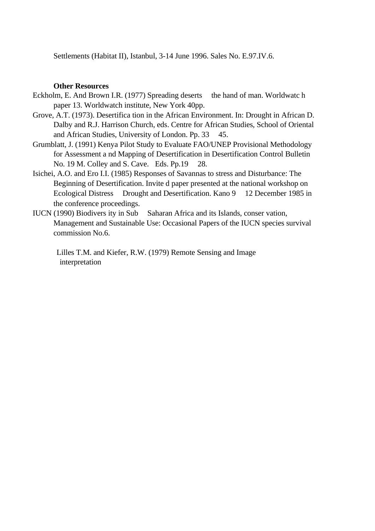Settlements (Habitat II), Istanbul, 3-14 June 1996. Sales No. E.97.IV.6.

#### **Other Resources**

- Eckholm, E. And Brown I.R. (1977) Spreading deserts the hand of man. Worldwatc h paper 13. Worldwatch institute, New York 40pp.
- Grove, A.T. (1973). Desertifica tion in the African Environment. In: Drought in African D. Dalby and R.J. Harrison Church, eds. Centre for African Studies, School of Oriental and African Studies, University of London. Pp. 33 45.
- Grumblatt, J. (1991) Kenya Pilot Study to Evaluate FAO/UNEP Provisional Methodology for Assessment a nd Mapping of Desertification in Desertification Control Bulletin No. 19 M. Colley and S. Cave. Eds. Pp.19 28.
- Isichei, A.O. and Ero I.I. (1985) Responses of Savannas to stress and Disturbance: The Beginning of Desertification. Invite d paper presented at the national workshop on Ecological Distress Drought and Desertification. Kano 9 12 December 1985 in the conference proceedings.
- IUCN (1990) Biodivers ity in Sub Saharan Africa and its Islands, conser vation, Management and Sustainable Use: Occasional Papers of the IUCN species survival commission No.6.

 Lilles T.M. and Kiefer, R.W. (1979) Remote Sensing and Image interpretation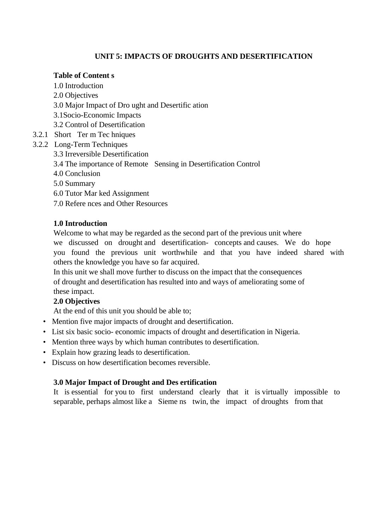# **UNIT 5: IMPACTS OF DROUGHTS AND DESERTIFICATION**

### **Table of Content s**

- 1.0 Introduction
- 2.0 Objectives
- 3.0 Major Impact of Dro ught and Desertific ation
- 3.1Socio-Economic Impacts
- 3.2 Control of Desertification
- 3.2.1 Short Ter m Tec hniques
- 3.2.2 Long-Term Techniques
	- 3.3 Irreversible Desertification
	- 3.4 The importance of Remote Sensing in Desertification Control
	- 4.0 Conclusion
	- 5.0 Summary
	- 6.0 Tutor Mar ked Assignment
	- 7.0 Refere nces and Other Resources

# **1.0 Introduction**

Welcome to what may be regarded as the second part of the previous unit where we discussed on drought and desertification- concepts and causes. We do hope you found the previous unit worthwhile and that you have indeed shared with others the knowledge you have so far acquired.

In this unit we shall move further to discuss on the impact that the consequences of drought and desertification has resulted into and ways of ameliorating some of these impact.

# **2.0 Objectives**

At the end of this unit you should be able to;

- Mention five major impacts of drought and desertification.
- List six basic socio- economic impacts of drought and desertification in Nigeria.
- Mention three ways by which human contributes to desertification.
- Explain how grazing leads to desertification.
- Discuss on how desertification becomes reversible.

# **3.0 Major Impact of Drought and Des ertification**

It is essential for you to first understand clearly that it is virtually impossible to separable, perhaps almost like a Sieme ns twin, the impact of droughts from that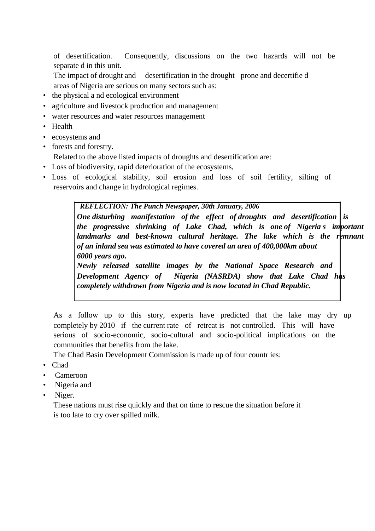of desertification. Consequently, discussions on the two hazards will not be separate d in this unit.

- The impact of drought and desertification in the drought prone and decertified areas of Nigeria are serious on many sectors such as:
- the physical a nd ecological environment
- agriculture and livestock production and management
- water resources and water resources management
- Health
- ecosystems and
- forests and forestry.

Related to the above listed impacts of droughts and desertification are:

- Loss of biodiversity, rapid deterioration of the ecosystems,
- Loss of ecological stability, soil erosion and loss of soil fertility, silting of reservoirs and change in hydrological regimes.

 *REFLECTION: The Punch Newspaper, 30th January, 2006* 

*One disturbing manifestation of the effect of droughts and desertification is the progressive shrinking of Lake Chad, which is one of Nigeria s important landmarks and best-known cultural heritage. The lake which is the remnant of an inland sea was estimated to have covered an area of 400,000km about 6000 years ago.* 

*Newly released satellite images by the National Space Research and Development Agency of Nigeria (NASRDA) show that Lake Chad has completely withdrawn from Nigeria and is now located in Chad Republic.* 

As a follow up to this story, experts have predicted that the lake may dry up completely by 2010 if the current rate of retreat is not controlled. This will have serious of socio-economic, socio-cultural and socio-political implications on the communities that benefits from the lake.

The Chad Basin Development Commission is made up of four countr ies:

- Chad
- Cameroon
- Nigeria and
- Niger.

These nations must rise quickly and that on time to rescue the situation before it is too late to cry over spilled milk.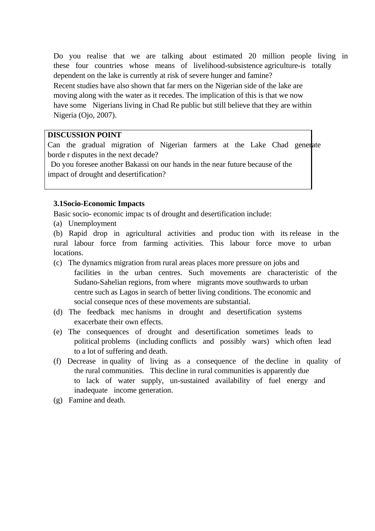Do you realise that we are talking about estimated 20 million people living in these four countries whose means of livelihood-subsistence agriculture-is totally dependent on the lake is currently at risk of severe hunger and famine? Recent studies have also shown that far mers on the Nigerian side of the lake are moving along with the water as it recedes. The implication of this is that we now have some Nigerians living in Chad Re public but still believe that they are within Nigeria (Ojo, 2007).

#### **DISCUSSION POINT**

Can the gradual migration of Nigerian farmers at the Lake Chad generate borde r disputes in the next decade?

 Do you foresee another Bakassi on our hands in the near future because of the impact of drought and desertification?

### **3.1Socio-Economic Impacts**

Basic socio- economic impac ts of drought and desertification include:

(a) Unemployment

(b) Rapid drop in agricultural activities and produc tion with its release in the rural labour force from farming activities. This labour force move to urban locations.

- (c) The dynamics migration from rural areas places more pressure on jobs and facilities in the urban centres. Such movements are characteristic of the Sudano-Sahelian regions, from where migrants move southwards to urban centre such as Lagos in search of better living conditions. The economic and social conseque nces of these movements are substantial.
- (d) The feedback mec hanisms in drought and desertification systems exacerbate their own effects.
- (e) The consequences of drought and desertification sometimes leads to political problems (including conflicts and possibly wars) which often lead to a lot of suffering and death.
- (f) Decrease in quality of living as a consequence of the decline in quality of the rural communities. This decline in rural communities is apparently due to lack of water supply, un-sustained availability of fuel energy and inadequate income generation.
- (g) Famine and death.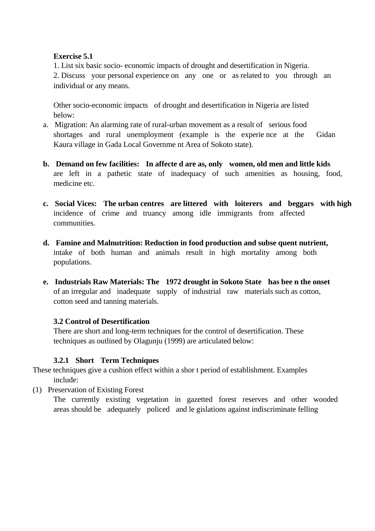### **Exercise 5.1**

1. List six basic socio- economic impacts of drought and desertification in Nigeria. 2. Discuss your personal experience on any one or as related to you through an individual or any means.

Other socio-economic impacts of drought and desertification in Nigeria are listed below:

- a. Migration: An alarming rate of rural-urban movement as a result of serious food shortages and rural unemployment (example is the experie nce at the Gidan Kaura village in Gada Local Governme nt Area of Sokoto state).
- **b. Demand on few facilities: In affecte d are as, only women, old men and little kids**  are left in a pathetic state of inadequacy of such amenities as housing, food, medicine etc.
- **c. Social Vices: The urban centres are littered with loiterers and beggars with high**  incidence of crime and truancy among idle immigrants from affected communities.
- **d. Famine and Malnutrition: Reduction in food production and subse quent nutrient,**  intake of both human and animals result in high mortality among both populations.
- **e. Industrials Raw Materials: The 1972 drought in Sokoto State has bee n the onset**  of an irregular and inadequate supply of industrial raw materials such as cotton, cotton seed and tanning materials.

# **3.2 Control of Desertification**

There are short and long-term techniques for the control of desertification. These techniques as outlined by Olagunju (1999) are articulated below:

# **3.2.1 Short Term Techniques**

These techniques give a cushion effect within a shor t period of establishment. Examples include:

(1) Preservation of Existing Forest

The currently existing vegetation in gazetted forest reserves and other wooded areas should be adequately policed and le gislations against indiscriminate felling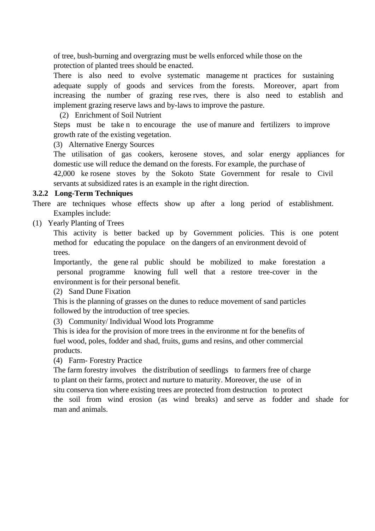of tree, bush-burning and overgrazing must be wells enforced while those on the protection of planted trees should be enacted.

There is also need to evolve systematic manageme nt practices for sustaining adequate supply of goods and services from the forests. Moreover, apart from increasing the number of grazing rese rves, there is also need to establish and implement grazing reserve laws and by-laws to improve the pasture.

(2) Enrichment of Soil Nutrient

Steps must be take n to encourage the use of manure and fertilizers to improve growth rate of the existing vegetation.

(3) Alternative Energy Sources

The utilisation of gas cookers, kerosene stoves, and solar energy appliances for domestic use will reduce the demand on the forests. For example, the purchase of 42,000 ke rosene stoves by the Sokoto State Government for resale to Civil servants at subsidized rates is an example in the right direction.

### **3.2.2 Long-Term Techniques**

There are techniques whose effects show up after a long period of establishment. Examples include:

(1) Yearly Planting of Trees

This activity is better backed up by Government policies. This is one potent method for educating the populace on the dangers of an environment devoid of trees.

Importantly, the gene ral public should be mobilized to make forestation a personal programme knowing full well that a restore tree-cover in the environment is for their personal benefit.

(2) Sand Dune Fixation

This is the planning of grasses on the dunes to reduce movement of sand particles followed by the introduction of tree species.

(3) Community/ Individual Wood lots Programme

This is idea for the provision of more trees in the environme nt for the benefits of fuel wood, poles, fodder and shad, fruits, gums and resins, and other commercial products.

(4) Farm- Forestry Practice

The farm forestry involves the distribution of seedlings to farmers free of charge to plant on their farms, protect and nurture to maturity. Moreover, the use of in situ conserva tion where existing trees are protected from destruction to protect the soil from wind erosion (as wind breaks) and serve as fodder and shade for man and animals.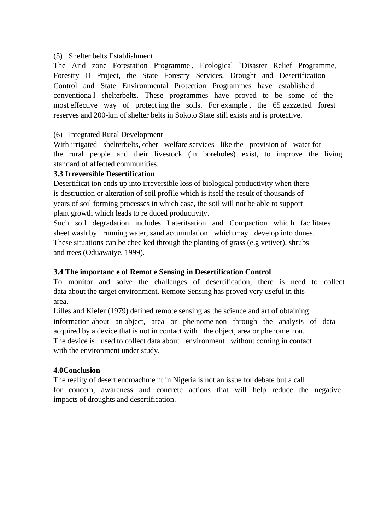## (5) Shelter belts Establishment

The Arid zone Forestation Programme , Ecological `Disaster Relief Programme, Forestry II Project, the State Forestry Services, Drought and Desertification Control and State Environmental Protection Programmes have establishe d conventiona l shelterbelts. These programmes have proved to be some of the most effective way of protect ing the soils. For example , the 65 gazzetted forest reserves and 200-km of shelter belts in Sokoto State still exists and is protective.

### (6) Integrated Rural Development

With irrigated shelterbelts, other welfare services like the provision of water for the rural people and their livestock (in boreholes) exist, to improve the living standard of affected communities.

### **3.3 Irreversible Desertification**

Desertificat ion ends up into irreversible loss of biological productivity when there is destruction or alteration of soil profile which is itself the result of thousands of years of soil forming processes in which case, the soil will not be able to support plant growth which leads to re duced productivity.

Such soil degradation includes Lateritsation and Compaction whic h facilitates sheet wash by running water, sand accumulation which may develop into dunes. These situations can be chec ked through the planting of grass (e.g vetiver), shrubs and trees (Oduawaiye, 1999).

# **3.4 The importanc e of Remot e Sensing in Desertification Control**

To monitor and solve the challenges of desertification, there is need to collect data about the target environment. Remote Sensing has proved very useful in this area.

Lilles and Kiefer (1979) defined remote sensing as the science and art of obtaining information about an object, area or phe nome non through the analysis of data acquired by a device that is not in contact with the object, area or phenome non. The device is used to collect data about environment without coming in contact with the environment under study.

### **4.0Conclusion**

The reality of desert encroachme nt in Nigeria is not an issue for debate but a call for concern, awareness and concrete actions that will help reduce the negative impacts of droughts and desertification.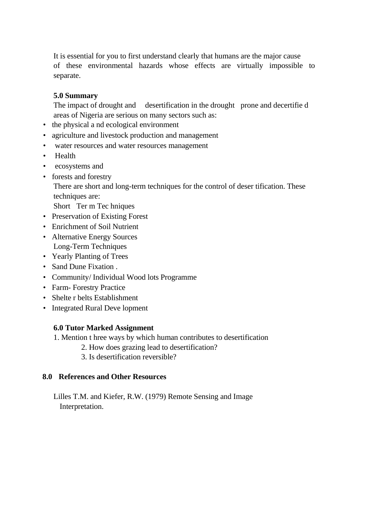It is essential for you to first understand clearly that humans are the major cause of these environmental hazards whose effects are virtually impossible to separate.

### **5.0 Summary**

The impact of drought and desertification in the drought prone and decertified areas of Nigeria are serious on many sectors such as:

- the physical a nd ecological environment
- agriculture and livestock production and management
- water resources and water resources management
- Health
- ecosystems and
- forests and forestry

There are short and long-term techniques for the control of deser tification. These techniques are:

Short Ter m Tec hniques

- Preservation of Existing Forest
- Enrichment of Soil Nutrient
- Alternative Energy Sources Long-Term Techniques
- Yearly Planting of Trees
- Sand Dune Fixation .
- Community/ Individual Wood lots Programme
- Farm- Forestry Practice
- Shelte r belts Establishment
- Integrated Rural Deve lopment

### **6.0 Tutor Marked Assignment**

- 1. Mention t hree ways by which human contributes to desertification
	- 2. How does grazing lead to desertification?
	- 3. Is desertification reversible?

### **8.0 References and Other Resources**

Lilles T.M. and Kiefer, R.W. (1979) Remote Sensing and Image Interpretation.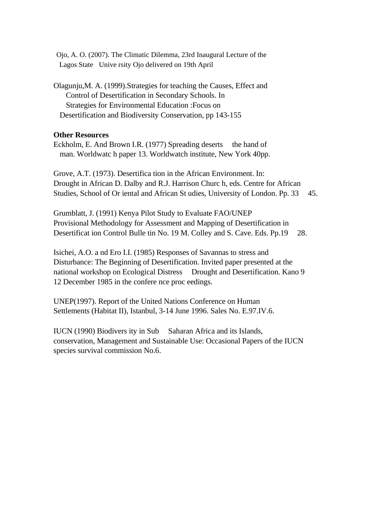Ojo, A. O. (2007). The Climatic Dilemma, 23rd Inaugural Lecture of the Lagos State Unive rsity Ojo delivered on 19th April

Olagunju,M. A. (1999).Strategies for teaching the Causes, Effect and Control of Desertification in Secondary Schools. In Strategies for Environmental Education :Focus on Desertification and Biodiversity Conservation, pp 143-155

#### **Other Resources**

Eckholm, E. And Brown I.R. (1977) Spreading deserts the hand of man. Worldwatc h paper 13. Worldwatch institute, New York 40pp.

Grove, A.T. (1973). Desertifica tion in the African Environment. In: Drought in African D. Dalby and R.J. Harrison Churc h, eds. Centre for African Studies, School of Or iental and African St udies, University of London. Pp. 33 45.

Grumblatt, J. (1991) Kenya Pilot Study to Evaluate FAO/UNEP Provisional Methodology for Assessment and Mapping of Desertification in Desertificat ion Control Bulle tin No. 19 M. Colley and S. Cave. Eds. Pp.19 28.

Isichei, A.O. a nd Ero I.I. (1985) Responses of Savannas to stress and Disturbance: The Beginning of Desertification. Invited paper presented at the national workshop on Ecological Distress Drought and Desertification. Kano 9 12 December 1985 in the confere nce proc eedings.

UNEP(1997). Report of the United Nations Conference on Human Settlements (Habitat II), Istanbul, 3-14 June 1996. Sales No. E.97.IV.6.

IUCN (1990) Biodivers ity in Sub Saharan Africa and its Islands, conservation, Management and Sustainable Use: Occasional Papers of the IUCN species survival commission No.6.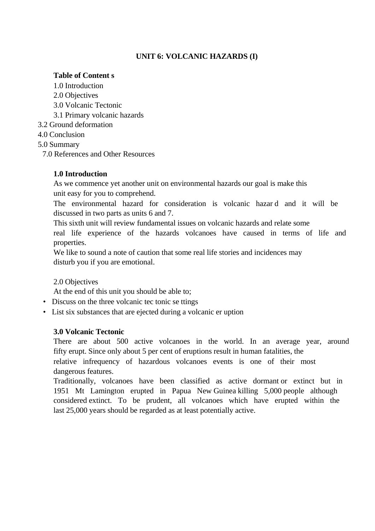# **UNIT 6: VOLCANIC HAZARDS (I)**

## **Table of Content s**

- 1.0 Introduction
- 2.0 Objectives
- 3.0 Volcanic Tectonic
- 3.1 Primary volcanic hazards

3.2 Ground deformation

4.0 Conclusion

5.0 Summary

7.0 References and Other Resources

# **1.0 Introduction**

As we commence yet another unit on environmental hazards our goal is make this unit easy for you to comprehend.

The environmental hazard for consideration is volcanic hazar d and it will be discussed in two parts as units 6 and 7.

This sixth unit will review fundamental issues on volcanic hazards and relate some real life experience of the hazards volcanoes have caused in terms of life and properties.

We like to sound a note of caution that some real life stories and incidences may disturb you if you are emotional.

### 2.0 Objectives

At the end of this unit you should be able to;

- Discuss on the three volcanic tec tonic se ttings
- List six substances that are ejected during a volcanic er uption

### **3.0 Volcanic Tectonic**

There are about 500 active volcanoes in the world. In an average year, around fifty erupt. Since only about 5 per cent of eruptions result in human fatalities, the relative infrequency of hazardous volcanoes events is one of their most dangerous features.

Traditionally, volcanoes have been classified as active dormant or extinct but in 1951 Mt Lamington erupted in Papua New Guinea killing 5,000 people although considered extinct. To be prudent, all volcanoes which have erupted within the last 25,000 years should be regarded as at least potentially active.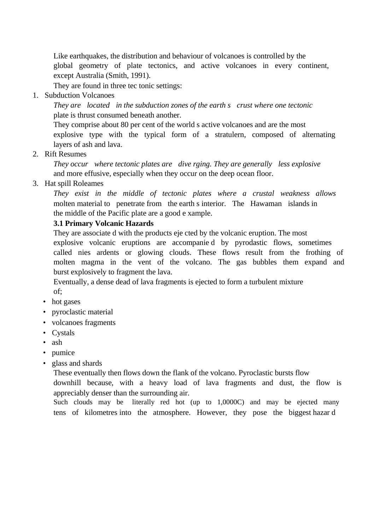Like earthquakes, the distribution and behaviour of volcanoes is controlled by the global geometry of plate tectonics, and active volcanoes in every continent, except Australia (Smith, 1991).

They are found in three tec tonic settings:

1. Subduction Volcanoes

*They are located in the subduction zones of the earth s crust where one tectonic*  plate is thrust consumed beneath another.

They comprise about 80 per cent of the world s active volcanoes and are the most explosive type with the typical form of a stratulern, composed of alternating layers of ash and lava.

2. Rift Resumes

*They occur where tectonic plates are dive rging. They are generally less explosive*  and more effusive, especially when they occur on the deep ocean floor.

3. Hat spill Roleames

*They exist in the middle of tectonic plates where a crustal weakness allows*  molten material to penetrate from the earth s interior. The Hawaman islands in the middle of the Pacific plate are a good e xample.

### **3.1 Primary Volcanic Hazards**

They are associate d with the products eje cted by the volcanic eruption. The most explosive volcanic eruptions are accompanie d by pyrodastic flows, sometimes called nies ardents or glowing clouds. These flows result from the frothing of molten magma in the vent of the volcano. The gas bubbles them expand and burst explosively to fragment the lava.

Eventually, a dense dead of lava fragments is ejected to form a turbulent mixture of;

- hot gases
- pyroclastic material
- volcanoes fragments
- Cystals
- ash
- pumice
- glass and shards

These eventually then flows down the flank of the volcano. Pyroclastic bursts flow

downhill because, with a heavy load of lava fragments and dust, the flow is appreciably denser than the surrounding air.

Such clouds may be literally red hot (up to 1,0000C) and may be ejected many tens of kilometres into the atmosphere. However, they pose the biggest hazar d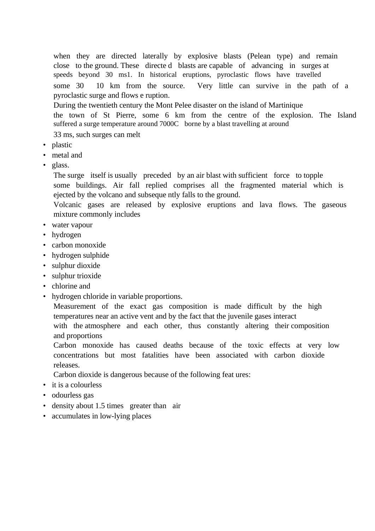when they are directed laterally by explosive blasts (Pelean type) and remain close to the ground. These directe d blasts are capable of advancing in surges at speeds beyond 30 ms1. In historical eruptions, pyroclastic flows have travelled some 30 10 km from the source. Very little can survive in the path of a pyroclastic surge and flows e ruption. During the twentieth century the Mont Pelee disaster on the island of Martinique the town of St Pierre, some 6 km from the centre of the explosion. The Island suffered a surge temperature around 7000C borne by a blast travelling at around 33 ms, such surges can melt

- plastic
- metal and
- glass.

The surge itself is usually preceded by an air blast with sufficient force to topple some buildings. Air fall replied comprises all the fragmented material which is ejected by the volcano and subseque ntly falls to the ground.

Volcanic gases are released by explosive eruptions and lava flows. The gaseous mixture commonly includes

- water vapour
- hydrogen
- carbon monoxide
- hydrogen sulphide
- sulphur dioxide
- sulphur trioxide
- chlorine and
- hydrogen chloride in variable proportions.

Measurement of the exact gas composition is made difficult by the high temperatures near an active vent and by the fact that the juvenile gases interact with the atmosphere and each other, thus constantly altering their composition and proportions

Carbon monoxide has caused deaths because of the toxic effects at very low concentrations but most fatalities have been associated with carbon dioxide releases.

Carbon dioxide is dangerous because of the following feat ures:

- it is a colourless
- odourless gas
- density about 1.5 times greater than air
- accumulates in low-lying places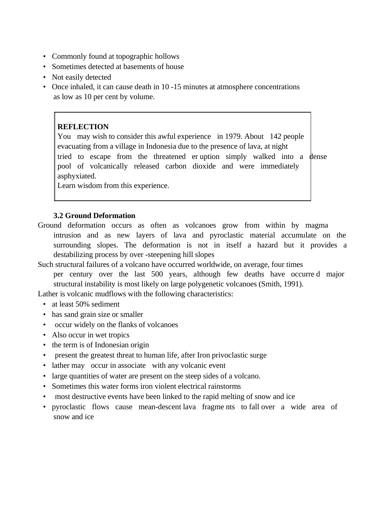- Commonly found at topographic hollows
- Sometimes detected at basements of house
- Not easily detected
- Once inhaled, it can cause death in 10 -15 minutes at atmosphere concentrations as low as 10 per cent by volume.

#### **REFLECTION**

You may wish to consider this awful experience in 1979. About 142 people evacuating from a village in Indonesia due to the presence of lava, at night tried to escape from the threatened er uption simply walked into a dense pool of volcanically released carbon dioxide and were immediately asphyxiated.

Learn wisdom from this experience.

#### **3.2 Ground Deformation**

Ground deformation occurs as often as volcanoes grow from within by magma intrusion and as new layers of lava and pyroclastic material accumulate on the surrounding slopes. The deformation is not in itself a hazard but it provides a destabilizing process by over -steepening hill slopes

Such structural failures of a volcano have occurred worldwide, on average, four times

per century over the last 500 years, although few deaths have occurre d major structural instability is most likely on large polygenetic volcanoes (Smith, 1991).

Lather is volcanic mudflows with the following characteristics:

- at least 50% sediment
- has sand grain size or smaller
- occur widely on the flanks of volcanoes
- Also occur in wet tropics
- the term is of Indonesian origin
- present the greatest threat to human life, after Iron privoclastic surge
- lather may occur in associate with any volcanic event
- large quantities of water are present on the steep sides of a volcano.
- Sometimes this water forms iron violent electrical rainstorms
- most destructive events have been linked to the rapid melting of snow and ice
- pyroclastic flows cause mean-descent lava fragme nts to fall over a wide area of snow and ice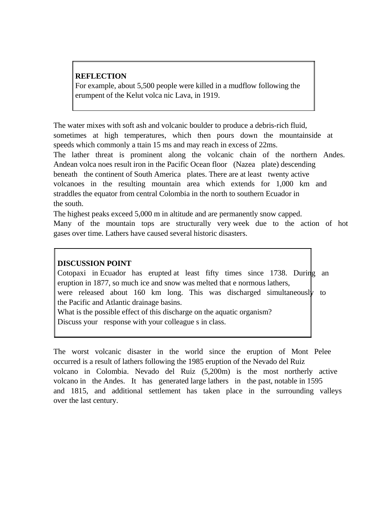## **REFLECTION**

For example, about 5,500 people were killed in a mudflow following the erumpent of the Kelut volca nic Lava, in 1919.

The water mixes with soft ash and volcanic boulder to produce a debris-rich fluid, sometimes at high temperatures, which then pours down the mountainside at speeds which commonly a ttain 15 ms and may reach in excess of 22ms.

The lather threat is prominent along the volcanic chain of the northern Andes. Andean volca noes result iron in the Pacific Ocean floor (Nazea plate) descending beneath the continent of South America plates. There are at least twenty active volcanoes in the resulting mountain area which extends for 1,000 km and straddles the equator from central Colombia in the north to southern Ecuador in the south.

The highest peaks exceed 5,000 m in altitude and are permanently snow capped. Many of the mountain tops are structurally very week due to the action of hot gases over time. Lathers have caused several historic disasters.

### **DISCUSSION POINT**

Cotopaxi in Ecuador has erupted at least fifty times since 1738. During an eruption in 1877, so much ice and snow was melted that e normous lathers, were released about 160 km long. This was discharged simultaneously to the Pacific and Atlantic drainage basins. What is the possible effect of this discharge on the aquatic organism? Discuss your response with your colleague s in class.

The worst volcanic disaster in the world since the eruption of Mont Pelee occurred is a result of lathers following the 1985 eruption of the Nevado del Ruiz volcano in Colombia. Nevado del Ruiz (5,200m) is the most northerly active volcano in the Andes. It has generated large lathers in the past, notable in 1595 and 1815, and additional settlement has taken place in the surrounding valleys over the last century.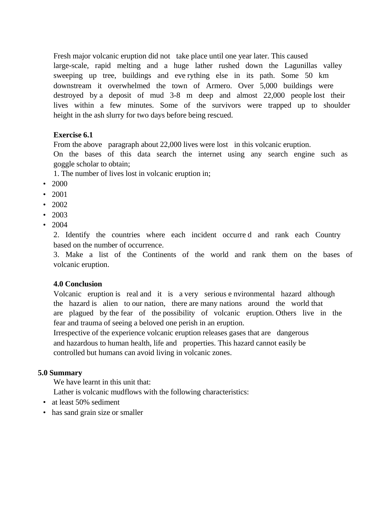Fresh major volcanic eruption did not take place until one year later. This caused large-scale, rapid melting and a huge lather rushed down the Lagunillas valley sweeping up tree, buildings and eve rything else in its path. Some 50 km downstream it overwhelmed the town of Armero. Over 5,000 buildings were destroyed by a deposit of mud 3-8 m deep and almost 22,000 people lost their lives within a few minutes. Some of the survivors were trapped up to shoulder height in the ash slurry for two days before being rescued.

### **Exercise 6.1**

From the above paragraph about 22,000 lives were lost in this volcanic eruption.

On the bases of this data search the internet using any search engine such as goggle scholar to obtain;

1. The number of lives lost in volcanic eruption in;

- 2000
- 2001
- 2002
- 2003
- 2004

2. Identify the countries where each incident occurre d and rank each Country based on the number of occurrence.

3. Make a list of the Continents of the world and rank them on the bases of volcanic eruption.

# **4.0 Conclusion**

Volcanic eruption is real and it is a very serious e nvironmental hazard although the hazard is alien to our nation, there are many nations around the world that are plagued by the fear of the possibility of volcanic eruption. Others live in the fear and trauma of seeing a beloved one perish in an eruption.

Irrespective of the experience volcanic eruption releases gases that are dangerous and hazardous to human health, life and properties. This hazard cannot easily be controlled but humans can avoid living in volcanic zones.

### **5.0 Summary**

We have learnt in this unit that:

Lather is volcanic mudflows with the following characteristics:

- at least 50% sediment
- has sand grain size or smaller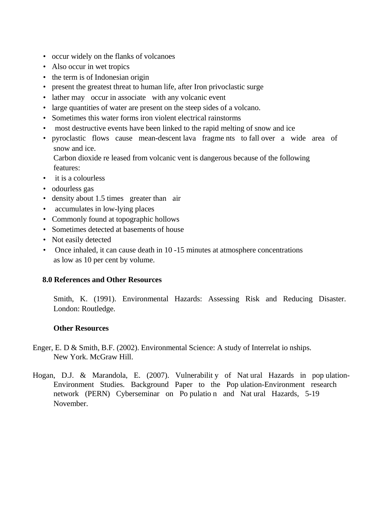- occur widely on the flanks of volcanoes
- Also occur in wet tropics
- the term is of Indonesian origin
- present the greatest threat to human life, after Iron privoclastic surge
- lather may occur in associate with any volcanic event
- large quantities of water are present on the steep sides of a volcano.
- Sometimes this water forms iron violent electrical rainstorms
- most destructive events have been linked to the rapid melting of snow and ice
- pyroclastic flows cause mean-descent lava fragme nts to fall over a wide area of snow and ice.

Carbon dioxide re leased from volcanic vent is dangerous because of the following features:

- it is a colourless
- odourless gas
- density about 1.5 times greater than air
- accumulates in low-lying places
- Commonly found at topographic hollows
- Sometimes detected at basements of house
- Not easily detected
- Once inhaled, it can cause death in 10 -15 minutes at atmosphere concentrations as low as 10 per cent by volume.

### **8.0 References and Other Resources**

Smith, K. (1991). Environmental Hazards: Assessing Risk and Reducing Disaster. London: Routledge.

### **Other Resources**

- Enger, E. D & Smith, B.F. (2002). Environmental Science: A study of Interrelat io nships. New York. McGraw Hill.
- Hogan, D.J. & Marandola, E. (2007). Vulnerabilit y of Nat ural Hazards in pop ulation-Environment Studies. Background Paper to the Pop ulation-Environment research network (PERN) Cyberseminar on Po pulatio n and Nat ural Hazards, 5-19 November.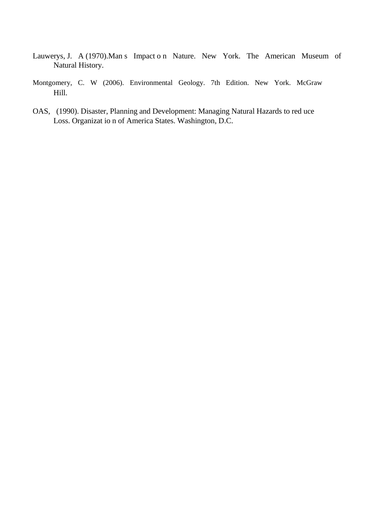- Lauwerys, J. A (1970).Man s Impact o n Nature. New York. The American Museum of Natural History.
- Montgomery, C. W (2006). Environmental Geology. 7th Edition. New York. McGraw Hill.
- OAS, (1990). Disaster, Planning and Development: Managing Natural Hazards to red uce Loss. Organizat io n of America States. Washington, D.C.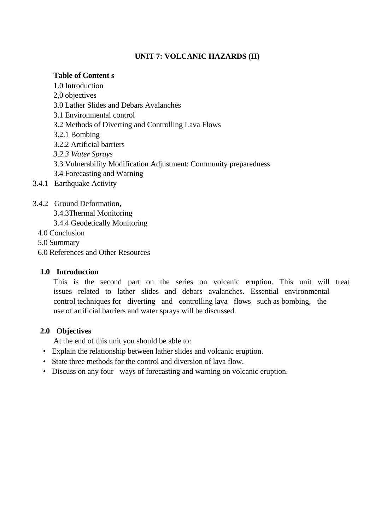# **UNIT 7: VOLCANIC HAZARDS (II)**

### **Table of Content s**

- 1.0 Introduction
- 2,0 objectives
- 3.0 Lather Slides and Debars Avalanches
- 3.1 Environmental control
- 3.2 Methods of Diverting and Controlling Lava Flows
- 3.2.1 Bombing
- 3.2.2 Artificial barriers
- *3.2.3 Water Sprays*
- 3.3 Vulnerability Modification Adjustment: Community preparedness
- 3.4 Forecasting and Warning
- 3.4.1 Earthquake Activity
- 3.4.2 Ground Deformation,
	- 3.4.3Thermal Monitoring
	- 3.4.4 Geodetically Monitoring
	- 4.0 Conclusion
	- 5.0 Summary
	- 6.0 References and Other Resources

# **1.0 Introduction**

This is the second part on the series on volcanic eruption. This unit will treat issues related to lather slides and debars avalanches. Essential environmental control techniques for diverting and controlling lava flows such as bombing, the use of artificial barriers and water sprays will be discussed.

# **2.0 Objectives**

At the end of this unit you should be able to:

- Explain the relationship between lather slides and volcanic eruption.
- State three methods for the control and diversion of lava flow.
- Discuss on any four ways of forecasting and warning on volcanic eruption.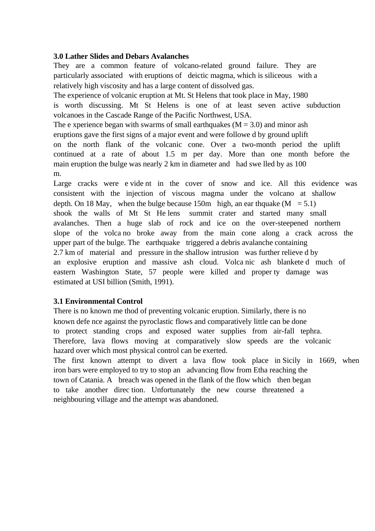### **3.0 Lather Slides and Debars Avalanches**

They are a common feature of volcano-related ground failure. They are particularly associated with eruptions of deictic magma, which is siliceous with a relatively high viscosity and has a large content of dissolved gas.

The experience of volcanic eruption at Mt. St Helens that took place in May, 1980 is worth discussing. Mt St Helens is one of at least seven active subduction volcanoes in the Cascade Range of the Pacific Northwest, USA.

The e xperience began with swarms of small earthquakes ( $M = 3.0$ ) and minor ash eruptions gave the first signs of a major event and were followe d by ground uplift on the north flank of the volcanic cone. Over a two-month period the uplift continued at a rate of about 1.5 m per day. More than one month before the main eruption the bulge was nearly 2 km in diameter and had swe lled by as 100 m.

Large cracks were e vide nt in the cover of snow and ice. All this evidence was consistent with the injection of viscous magma under the volcano at shallow depth. On 18 May, when the bulge because 150m high, an ear thquake  $(M = 5.1)$ shook the walls of Mt St He lens summit crater and started many small avalanches. Then a huge slab of rock and ice on the over-steepened northern slope of the volca no broke away from the main cone along a crack across the upper part of the bulge. The earthquake triggered a debris avalanche containing 2.7 km of material and pressure in the shallow intrusion was further relieve d by an explosive eruption and massive ash cloud. Volca nic ash blankete d much of eastern Washington State, 57 people were killed and proper ty damage was estimated at USI billion (Smith, 1991).

# **3.1 Environmental Control**

There is no known me thod of preventing volcanic eruption. Similarly, there is no known defe nce against the pyroclastic flows and comparatively little can be done to protect standing crops and exposed water supplies from air-fall tephra. Therefore, lava flows moving at comparatively slow speeds are the volcanic hazard over which most physical control can be exerted.

The first known attempt to divert a lava flow took place in Sicily in 1669, when iron bars were employed to try to stop an advancing flow from Etha reaching the town of Catania. A breach was opened in the flank of the flow which then began to take another direc tion. Unfortunately the new course threatened a neighbouring village and the attempt was abandoned.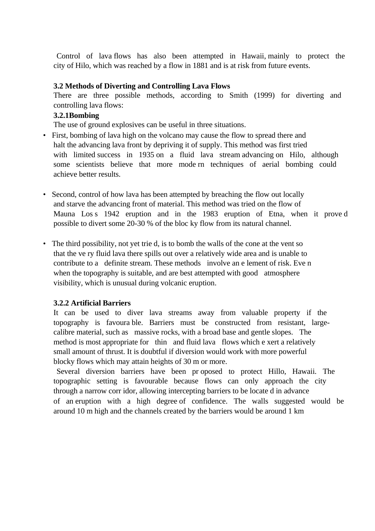Control of lava flows has also been attempted in Hawaii, mainly to protect the city of Hilo, which was reached by a flow in 1881 and is at risk from future events.

### **3.2 Methods of Diverting and Controlling Lava Flows**

There are three possible methods, according to Smith (1999) for diverting and controlling lava flows:

#### **3.2.1Bombing**

The use of ground explosives can be useful in three situations.

- First, bombing of lava high on the volcano may cause the flow to spread there and halt the advancing lava front by depriving it of supply. This method was first tried with limited success in 1935 on a fluid lava stream advancing on Hilo, although some scientists believe that more mode rn techniques of aerial bombing could achieve better results.
- Second, control of how lava has been attempted by breaching the flow out locally and starve the advancing front of material. This method was tried on the flow of Mauna Los s 1942 eruption and in the 1983 eruption of Etna, when it prove d possible to divert some 20-30 % of the bloc ky flow from its natural channel.
- The third possibility, not yet trie d, is to bomb the walls of the cone at the vent so that the ve ry fluid lava there spills out over a relatively wide area and is unable to contribute to a definite stream. These methods involve an e lement of risk. Eve n when the topography is suitable, and are best attempted with good atmosphere visibility, which is unusual during volcanic eruption.

#### **3.2.2 Artificial Barriers**

It can be used to diver lava streams away from valuable property if the topography is favoura ble. Barriers must be constructed from resistant, largecalibre material, such as massive rocks, with a broad base and gentle slopes. The method is most appropriate for thin and fluid lava flows which e xert a relatively small amount of thrust. It is doubtful if diversion would work with more powerful blocky flows which may attain heights of 30 m or more.

 Several diversion barriers have been pr oposed to protect Hillo, Hawaii. The topographic setting is favourable because flows can only approach the city through a narrow corr idor, allowing intercepting barriers to be locate d in advance of an eruption with a high degree of confidence. The walls suggested would be around 10 m high and the channels created by the barriers would be around 1 km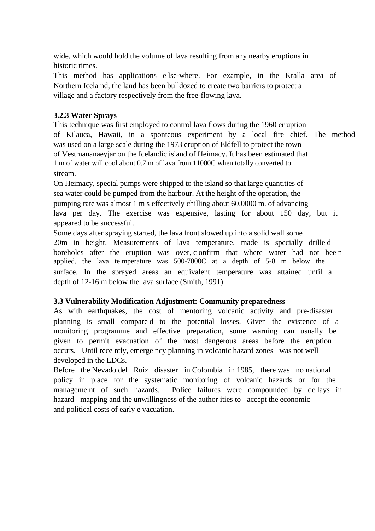wide, which would hold the volume of lava resulting from any nearby eruptions in historic times.

This method has applications e lse-where. For example, in the Kralla area of Northern Icela nd, the land has been bulldozed to create two barriers to protect a village and a factory respectively from the free-flowing lava.

# **3.2.3 Water Sprays**

This technique was first employed to control lava flows during the 1960 er uption of Kilauca, Hawaii, in a sponteous experiment by a local fire chief. The method was used on a large scale during the 1973 eruption of Eldfell to protect the town of Vestmananaeyjar on the Icelandic island of Heimacy. It has been estimated that 1 m of water will cool about 0.7 m of lava from 11000C when totally converted to stream.

On Heimacy, special pumps were shipped to the island so that large quantities of sea water could be pumped from the harbour. At the height of the operation, the pumping rate was almost 1 m s effectively chilling about 60.0000 m. of advancing lava per day. The exercise was expensive, lasting for about 150 day, but it appeared to be successful.

Some days after spraying started, the lava front slowed up into a solid wall some 20m in height. Measurements of lava temperature, made is specially drille d boreholes after the eruption was over, c onfirm that where water had not bee n applied, the lava te mperature was 500-7000C at a depth of 5-8 m below the surface. In the sprayed areas an equivalent temperature was attained until a depth of 12-16 m below the lava surface (Smith, 1991).

# **3.3 Vulnerability Modification Adjustment: Community preparedness**

As with earthquakes, the cost of mentoring volcanic activity and pre-disaster planning is small compare d to the potential losses. Given the existence of a monitoring programme and effective preparation, some warning can usually be given to permit evacuation of the most dangerous areas before the eruption occurs. Until rece ntly, emerge ncy planning in volcanic hazard zones was not well developed in the LDCs.

Before the Nevado del Ruiz disaster in Colombia in 1985, there was no national policy in place for the systematic monitoring of volcanic hazards or for the manageme nt of such hazards. Police failures were compounded by de lays in hazard mapping and the unwillingness of the author ities to accept the economic and political costs of early e vacuation.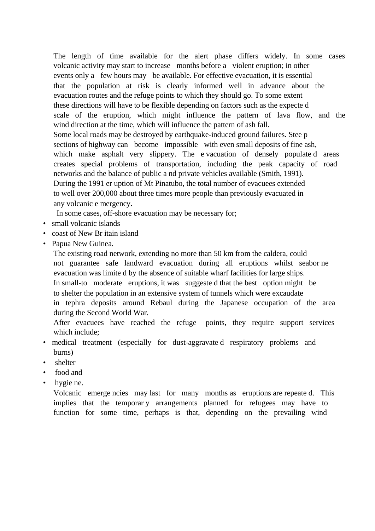The length of time available for the alert phase differs widely. In some cases volcanic activity may start to increase months before a violent eruption; in other events only a few hours may be available. For effective evacuation, it is essential that the population at risk is clearly informed well in advance about the evacuation routes and the refuge points to which they should go. To some extent these directions will have to be flexible depending on factors such as the expecte d scale of the eruption, which might influence the pattern of lava flow, and the wind direction at the time, which will influence the pattern of ash fall. Some local roads may be destroyed by earthquake-induced ground failures. Stee p sections of highway can become impossible with even small deposits of fine ash, which make asphalt very slippery. The e vacuation of densely populate d areas creates special problems of transportation, including the peak capacity of road networks and the balance of public a nd private vehicles available (Smith, 1991). During the 1991 er uption of Mt Pinatubo, the total number of evacuees extended to well over 200,000 about three times more people than previously evacuated in any volcanic e mergency.

In some cases, off-shore evacuation may be necessary for;

- small volcanic islands
- coast of New Br itain island
- Papua New Guinea.

The existing road network, extending no more than 50 km from the caldera, could not guarantee safe landward evacuation during all eruptions whilst seabor ne evacuation was limite d by the absence of suitable wharf facilities for large ships. In small-to moderate eruptions, it was suggeste d that the best option might be to shelter the population in an extensive system of tunnels which were excaudate in tephra deposits around Rebaul during the Japanese occupation of the area during the Second World War.

After evacuees have reached the refuge points, they require support services which include;

- medical treatment (especially for dust-aggravate d respiratory problems and burns)
- shelter
- food and
- hygie ne.

Volcanic emerge ncies may last for many months as eruptions are repeate d. This implies that the temporar y arrangements planned for refugees may have to function for some time, perhaps is that, depending on the prevailing wind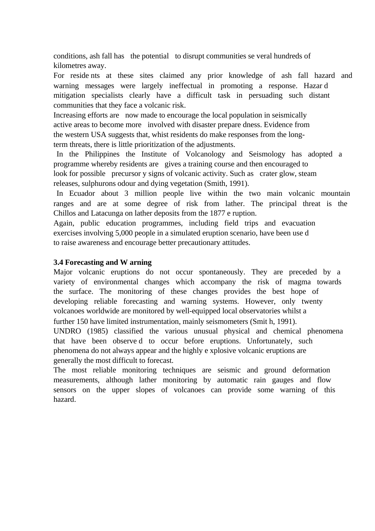conditions, ash fall has the potential to disrupt communities se veral hundreds of kilometres away.

For reside nts at these sites claimed any prior knowledge of ash fall hazard and warning messages were largely ineffectual in promoting a response. Hazar d mitigation specialists clearly have a difficult task in persuading such distant communities that they face a volcanic risk.

Increasing efforts are now made to encourage the local population in seismically active areas to become more involved with disaster prepare dness. Evidence from the western USA suggests that, whist residents do make responses from the longterm threats, there is little prioritization of the adjustments.

 In the Philippines the Institute of Volcanology and Seismology has adopted a programme whereby residents are gives a training course and then encouraged to look for possible precursor y signs of volcanic activity. Such as crater glow, steam releases, sulphurons odour and dying vegetation (Smith, 1991).

 In Ecuador about 3 million people live within the two main volcanic mountain ranges and are at some degree of risk from lather. The principal threat is the Chillos and Latacunga on lather deposits from the 1877 e ruption.

Again, public education programmes, including field trips and evacuation exercises involving 5,000 people in a simulated eruption scenario, have been use d to raise awareness and encourage better precautionary attitudes.

### **3.4 Forecasting and W arning**

Major volcanic eruptions do not occur spontaneously. They are preceded by a variety of environmental changes which accompany the risk of magma towards the surface. The monitoring of these changes provides the best hope of developing reliable forecasting and warning systems. However, only twenty volcanoes worldwide are monitored by well-equipped local observatories whilst a further 150 have limited instrumentation, mainly seismometers (Smit h, 1991).

UNDRO (1985) classified the various unusual physical and chemical phenomena that have been observe d to occur before eruptions. Unfortunately, such phenomena do not always appear and the highly e xplosive volcanic eruptions are generally the most difficult to forecast.

The most reliable monitoring techniques are seismic and ground deformation measurements, although lather monitoring by automatic rain gauges and flow sensors on the upper slopes of volcanoes can provide some warning of this hazard.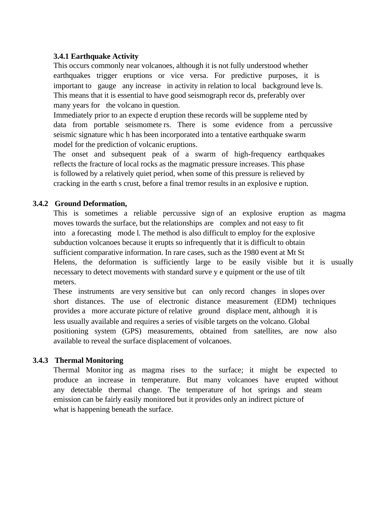## **3.4.1 Earthquake Activity**

This occurs commonly near volcanoes, although it is not fully understood whether earthquakes trigger eruptions or vice versa. For predictive purposes, it is important to gauge any increase in activity in relation to local background leve ls. This means that it is essential to have good seismograph recor ds, preferably over many years for the volcano in question.

Immediately prior to an expecte d eruption these records will be suppleme nted by data from portable seismomete rs. There is some evidence from a percussive seismic signature whic h has been incorporated into a tentative earthquake swarm model for the prediction of volcanic eruptions.

The onset and subsequent peak of a swarm of high-frequency earthquakes reflects the fracture of local rocks as the magmatic pressure increases. This phase is followed by a relatively quiet period, when some of this pressure is relieved by cracking in the earth s crust, before a final tremor results in an explosive e ruption.

### **3.4.2 Ground Deformation,**

This is sometimes a reliable percussive sign of an explosive eruption as magma moves towards the surface, but the relationships are complex and not easy to fit into a forecasting mode l. The method is also difficult to employ for the explosive subduction volcanoes because it erupts so infrequently that it is difficult to obtain sufficient comparative information. In rare cases, such as the 1980 event at Mt St Helens, the deformation is sufficiently large to be easily visible but it is usually necessary to detect movements with standard surve y e quipment or the use of tilt meters.

These instruments are very sensitive but can only record changes in slopes over short distances. The use of electronic distance measurement (EDM) techniques provides a more accurate picture of relative ground displace ment, although it is less usually available and requires a series of visible targets on the volcano. Global positioning system (GPS) measurements, obtained from satellites, are now also available to reveal the surface displacement of volcanoes.

### **3.4.3 Thermal Monitoring**

Thermal Monitor ing as magma rises to the surface; it might be expected to produce an increase in temperature. But many volcanoes have erupted without any detectable thermal change. The temperature of hot springs and steam emission can be fairly easily monitored but it provides only an indirect picture of what is happening beneath the surface.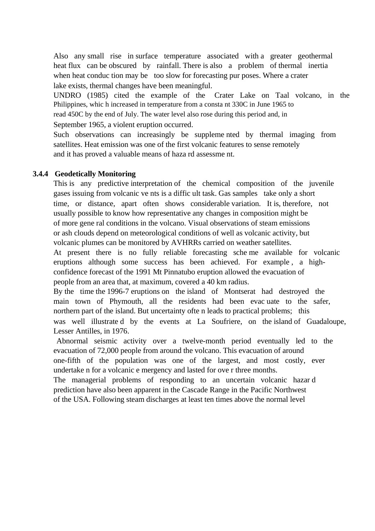Also any small rise in surface temperature associated with a greater geothermal heat flux can be obscured by rainfall. There is also a problem of thermal inertia when heat conduc tion may be too slow for forecasting pur poses. Where a crater lake exists, thermal changes have been meaningful.

UNDRO (1985) cited the example of the Crater Lake on Taal volcano, in the Philippines, whic h increased in temperature from a consta nt 330C in June 1965 to read 450C by the end of July. The water level also rose during this period and, in

September 1965, a violent eruption occurred.

Such observations can increasingly be suppleme nted by thermal imaging from satellites. Heat emission was one of the first volcanic features to sense remotely and it has proved a valuable means of haza rd assessme nt.

#### **3.4.4 Geodetically Monitoring**

This is any predictive interpretation of the chemical composition of the juvenile gases issuing from volcanic ve nts is a diffic ult task. Gas samples take only a short time, or distance, apart often shows considerable variation. It is, therefore, not usually possible to know how representative any changes in composition might be of more gene ral conditions in the volcano. Visual observations of steam emissions or ash clouds depend on meteorological conditions of well as volcanic activity, but volcanic plumes can be monitored by AVHRRs carried on weather satellites. At present there is no fully reliable forecasting sche me available for volcanic eruptions although some success has been achieved. For example , a highconfidence forecast of the 1991 Mt Pinnatubo eruption allowed the evacuation of people from an area that, at maximum, covered a 40 km radius.

By the time the 1996-7 eruptions on the island of Montserat had destroyed the main town of Phymouth, all the residents had been evac uate to the safer, northern part of the island. But uncertainty ofte n leads to practical problems; this was well illustrate d by the events at La Soufriere, on the island of Guadaloupe, Lesser Antilles, in 1976.

 Abnormal seismic activity over a twelve-month period eventually led to the evacuation of 72,000 people from around the volcano. This evacuation of around one-fifth of the population was one of the largest, and most costly, ever undertake n for a volcanic e mergency and lasted for ove r three months.

The managerial problems of responding to an uncertain volcanic hazar d prediction have also been apparent in the Cascade Range in the Pacific Northwest of the USA. Following steam discharges at least ten times above the normal level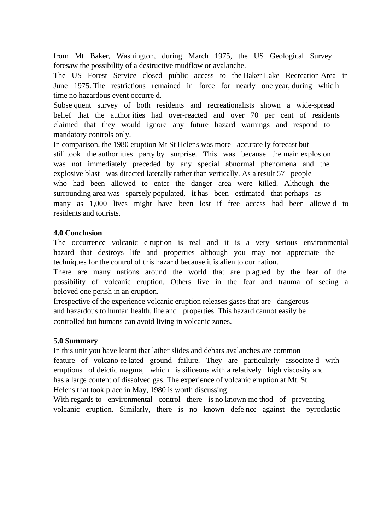from Mt Baker, Washington, during March 1975, the US Geological Survey foresaw the possibility of a destructive mudflow or avalanche.

The US Forest Service closed public access to the Baker Lake Recreation Area in June 1975. The restrictions remained in force for nearly one year, during whic h time no hazardous event occurre d.

Subse quent survey of both residents and recreationalists shown a wide-spread belief that the author ities had over-reacted and over 70 per cent of residents claimed that they would ignore any future hazard warnings and respond to mandatory controls only.

In comparison, the 1980 eruption Mt St Helens was more accurate ly forecast but still took the author ities party by surprise. This was because the main explosion was not immediately preceded by any special abnormal phenomena and the explosive blast was directed laterally rather than vertically. As a result 57 people who had been allowed to enter the danger area were killed. Although the surrounding area was sparsely populated, it has been estimated that perhaps as many as 1,000 lives might have been lost if free access had been allowe d to residents and tourists.

### **4.0 Conclusion**

The occurrence volcanic e ruption is real and it is a very serious environmental hazard that destroys life and properties although you may not appreciate the techniques for the control of this hazar d because it is alien to our nation.

There are many nations around the world that are plagued by the fear of the possibility of volcanic eruption. Others live in the fear and trauma of seeing a beloved one perish in an eruption.

Irrespective of the experience volcanic eruption releases gases that are dangerous and hazardous to human health, life and properties. This hazard cannot easily be controlled but humans can avoid living in volcanic zones.

### **5.0 Summary**

In this unit you have learnt that lather slides and debars avalanches are common feature of volcano-re lated ground failure. They are particularly associate d with eruptions of deictic magma, which is siliceous with a relatively high viscosity and has a large content of dissolved gas. The experience of volcanic eruption at Mt. St Helens that took place in May, 1980 is worth discussing.

With regards to environmental control there is no known me thod of preventing volcanic eruption. Similarly, there is no known defe nce against the pyroclastic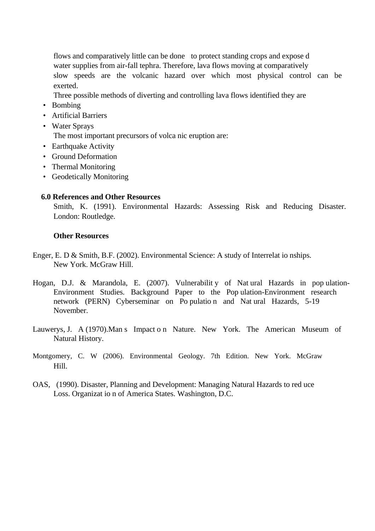flows and comparatively little can be done to protect standing crops and expose d water supplies from air-fall tephra. Therefore, lava flows moving at comparatively slow speeds are the volcanic hazard over which most physical control can be exerted.

- Three possible methods of diverting and controlling lava flows identified they are
- Bombing
- Artificial Barriers
- Water Sprays

The most important precursors of volca nic eruption are:

- Earthquake Activity
- Ground Deformation
- Thermal Monitoring
- Geodetically Monitoring

### **6.0 References and Other Resources**

Smith, K. (1991). Environmental Hazards: Assessing Risk and Reducing Disaster. London: Routledge.

#### **Other Resources**

- Enger, E. D & Smith, B.F. (2002). Environmental Science: A study of Interrelat io nships. New York. McGraw Hill.
- Hogan, D.J. & Marandola, E. (2007). Vulnerabilit y of Nat ural Hazards in pop ulation-Environment Studies. Background Paper to the Pop ulation-Environment research network (PERN) Cyberseminar on Po pulatio n and Nat ural Hazards, 5-19 November.
- Lauwerys, J. A (1970).Man s Impact o n Nature. New York. The American Museum of Natural History.
- Montgomery, C. W (2006). Environmental Geology. 7th Edition. New York. McGraw Hill.
- OAS, (1990). Disaster, Planning and Development: Managing Natural Hazards to red uce Loss. Organizat io n of America States. Washington, D.C.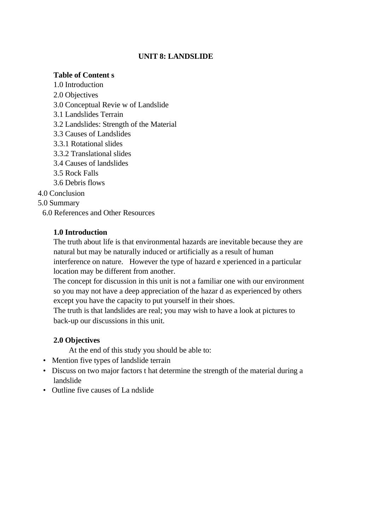### **UNIT 8: LANDSLIDE**

#### **Table of Content s**

1.0 Introduction 2.0 Objectives 3.0 Conceptual Revie w of Landslide 3.1 Landslides Terrain 3.2 Landslides: Strength of the Material 3.3 Causes of Landslides 3.3.1 Rotational slides 3.3.2 Translational slides 3.4 Causes of landslides 3.5 Rock Falls 3.6 Debris flows

4.0 Conclusion

5.0 Summary

6.0 References and Other Resources

#### **1.0 Introduction**

The truth about life is that environmental hazards are inevitable because they are natural but may be naturally induced or artificially as a result of human interference on nature. However the type of hazard e xperienced in a particular location may be different from another.

The concept for discussion in this unit is not a familiar one with our environment so you may not have a deep appreciation of the hazar d as experienced by others except you have the capacity to put yourself in their shoes.

The truth is that landslides are real; you may wish to have a look at pictures to back-up our discussions in this unit.

#### **2.0 Objectives**

At the end of this study you should be able to:

- Mention five types of landslide terrain
- Discuss on two major factors t hat determine the strength of the material during a landslide
- Outline five causes of La ndslide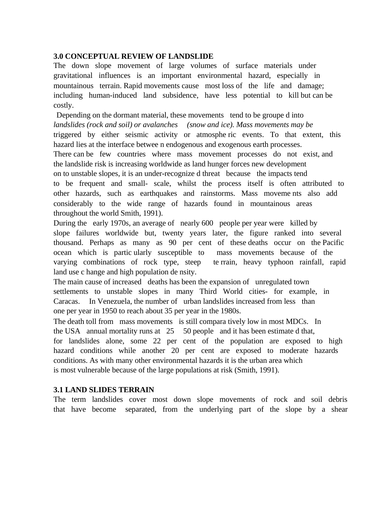#### **3.0 CONCEPTUAL REVIEW OF LANDSLIDE**

The down slope movement of large volumes of surface materials under gravitational influences is an important environmental hazard, especially in mountainous terrain. Rapid movements cause most loss of the life and damage; including human-induced land subsidence, have less potential to kill but can be costly.

Depending on the dormant material, these movements tend to be groupe d into *landslides (rock and soil) or avalanches (snow and ice). Mass movements may be*  triggered by either seismic activity or atmosphe ric events. To that extent, this hazard lies at the interface betwee n endogenous and exogenous earth processes. There can be few countries where mass movement processes do not exist, and the landslide risk is increasing worldwide as land hunger forces new development on to unstable slopes, it is an under-recognize d threat because the impacts tend to be frequent and small- scale, whilst the process itself is often attributed to other hazards, such as earthquakes and rainstorms. Mass moveme nts also add considerably to the wide range of hazards found in mountainous areas throughout the world Smith, 1991).

During the early 1970s, an average of nearly 600 people per year were killed by slope failures worldwide but, twenty years later, the figure ranked into several thousand. Perhaps as many as 90 per cent of these deaths occur on the Pacific ocean which is partic ularly susceptible to mass movements because of the varying combinations of rock type, steep te rrain, heavy typhoon rainfall, rapid land use c hange and high population de nsity.

The main cause of increased deaths has been the expansion of unregulated town settlements to unstable slopes in many Third World cities- for example, in Caracas. In Venezuela, the number of urban landslides increased from less than one per year in 1950 to reach about 35 per year in the 1980s.

The death toll from mass movements is still compara tively low in most MDCs. In the USA annual mortality runs at 25 50 people and it has been estimate d that, for landslides alone, some 22 per cent of the population are exposed to high hazard conditions while another 20 per cent are exposed to moderate hazards conditions. As with many other environmental hazards it is the urban area which is most vulnerable because of the large populations at risk (Smith, 1991).

#### **3.1 LAND SLIDES TERRAIN**

The term landslides cover most down slope movements of rock and soil debris that have become separated, from the underlying part of the slope by a shear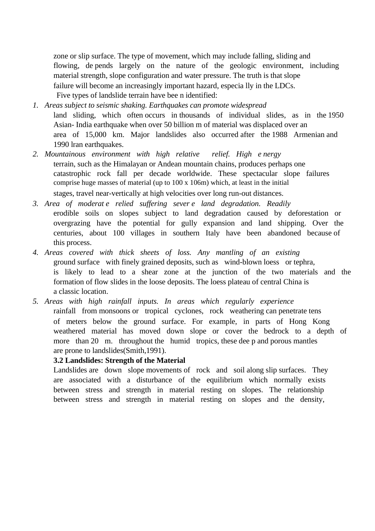zone or slip surface. The type of movement, which may include falling, sliding and flowing, de pends largely on the nature of the geologic environment, including material strength, slope configuration and water pressure. The truth is that slope failure will become an increasingly important hazard, especia lly in the LDCs. Five types of landslide terrain have bee n identified:

- *1. Areas subject to seismic shaking. Earthquakes can promote widespread*  land sliding, which often occurs in thousands of individual slides, as in the 1950 Asian- India earthquake when over 50 billion m of material was displaced over an area of 15,000 km. Major landslides also occurred after the 1988 Armenian and 1990 lran earthquakes.
- *2. Mountainous environment with high relative relief. High e nergy*  terrain, such as the Himalayan or Andean mountain chains, produces perhaps one catastrophic rock fall per decade worldwide. These spectacular slope failures comprise huge masses of material (up to 100 x 106m) which, at least in the initial stages, travel near-vertically at high velocities over long run-out distances.
- *3. Area of moderat e relied suffering sever e land degradation. Readily*  erodible soils on slopes subject to land degradation caused by deforestation or overgrazing have the potential for gully expansion and land shipping. Over the centuries, about 100 villages in southern Italy have been abandoned because of this process.
- *4. Areas covered with thick sheets of loss. Any mantling of an existing*  ground surface with finely grained deposits, such as wind-blown loess or tephra, is likely to lead to a shear zone at the junction of the two materials and the formation of flow slides in the loose deposits. The loess plateau of central China is a classic location.
- *5. Areas with high rainfall inputs. In areas which regularly experience*  rainfall from monsoons or tropical cyclones, rock weathering can penetrate tens of meters below the ground surface. For example, in parts of Hong Kong weathered material has moved down slope or cover the bedrock to a depth of more than 20 m. throughout the humid tropics, these deep and porous mantles are prone to landslides(Smith,1991).

### **3.2 Landslides: Strength of the Material**

Landslides are down slope movements of rock and soil along slip surfaces. They are associated with a disturbance of the equilibrium which normally exists between stress and strength in material resting on slopes. The relationship between stress and strength in material resting on slopes and the density,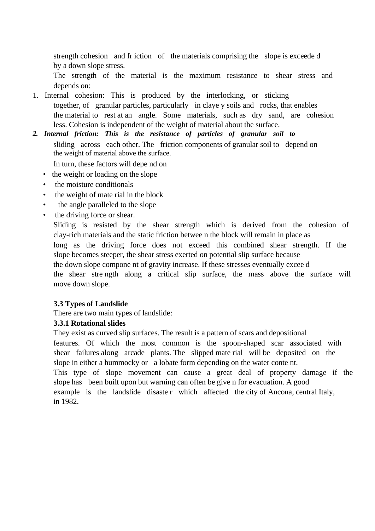strength cohesion and fr iction of the materials comprising the slope is exceede d by a down slope stress.

The strength of the material is the maximum resistance to shear stress and depends on:

- 1. Internal cohesion: This is produced by the interlocking, or sticking together, of granular particles, particularly in claye y soils and rocks, that enables the material to rest at an angle. Some materials, such as dry sand, are cohesion less. Cohesion is independent of the weight of material about the surface.
- *2. Internal friction: This is the resistance of particles of granular soil to*  sliding across each other. The friction components of granular soil to depend on the weight of material above the surface.
	- In turn, these factors will depe nd on
	- the weight or loading on the slope
	- the moisture conditionals
	- the weight of mate rial in the block
	- the angle paralleled to the slope
	- the driving force or shear.

Sliding is resisted by the shear strength which is derived from the cohesion of clay-rich materials and the static friction betwee n the block will remain in place as long as the driving force does not exceed this combined shear strength. If the slope becomes steeper, the shear stress exerted on potential slip surface because the down slope compone nt of gravity increase. If these stresses eventually excee d the shear stre ngth along a critical slip surface, the mass above the surface will move down slope.

### **3.3 Types of Landslide**

There are two main types of landslide:

### **3.3.1 Rotational slides**

They exist as curved slip surfaces. The result is a pattern of scars and depositional features. Of which the most common is the spoon-shaped scar associated with shear failures along arcade plants. The slipped mate rial will be deposited on the slope in either a hummocky or a lobate form depending on the water conte nt. This type of slope movement can cause a great deal of property damage if the slope has been built upon but warning can often be give n for evacuation. A good example is the landslide disaste r which affected the city of Ancona, central Italy, in 1982.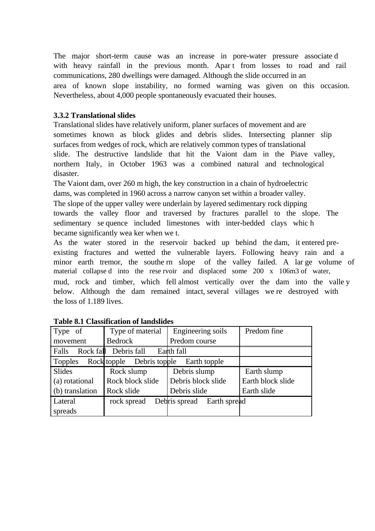The major short-term cause was an increase in pore-water pressure associate d with heavy rainfall in the previous month. Apart from losses to road and rail communications, 280 dwellings were damaged. Although the slide occurred in an area of known slope instability, no formed warning was given on this occasion. Nevertheless, about 4,000 people spontaneously evacuated their houses.

## **3.3.2 Translational slides**

Translational slides have relatively uniform, planer surfaces of movement and are sometimes known as block glides and debris slides. Intersecting planner slip surfaces from wedges of rock, which are relatively common types of translational slide. The destructive landslide that hit the Vaiont dam in the Piave valley, northern Italy, in October 1963 was a combined natural and technological disaster.

The Vaiont dam, over 260 m high, the key construction in a chain of hydroelectric dams, was completed in 1960 across a narrow canyon set within a broader valley. The slope of the upper valley were underlain by layered sedimentary rock dipping towards the valley floor and traversed by fractures parallel to the slope. The sedimentary se quence included limestones with inter-bedded clays whic h became significantly wea ker when we t.

As the water stored in the reservoir backed up behind the dam, it entered preexisting fractures and wetted the vulnerable layers. Following heavy rain and a minor earth tremor, the southe rn slope of the valley failed. A lar ge volume of material collapse d into the rese rvoir and displaced some 200 x 106m3 of water, mud, rock and timber, which fell almost vertically over the dam into the valle y below. Although the dam remained intact, several villages we re destroyed with the loss of 1.189 lives.

| $\vert$ Type of         | Type of material          | Engineering soils          | Predom fine       |  |
|-------------------------|---------------------------|----------------------------|-------------------|--|
| $\parallel$ movement    | <b>Bedrock</b>            | Predom course              |                   |  |
| ∥ Falls                 | Rock fall Debris fall     | Earth fall                 |                   |  |
| $\vert$ Topples         | Rock topple Debris topple | Earth topple               |                   |  |
| Slides<br>Rock slump    |                           | Debris slump               | Earth slump       |  |
| $\vert$ (a) rotational  | Rock block slide          | Debris block slide         | Earth block slide |  |
| $\vert$ (b) translation | Rock slide                | Debris slide               | Earth slide       |  |
| Lateral                 | rock spread               | Debris spread Earth spread |                   |  |
| spreads                 |                           |                            |                   |  |

|  | <b>Table 8.1 Classification of landslides</b> |  |
|--|-----------------------------------------------|--|
|--|-----------------------------------------------|--|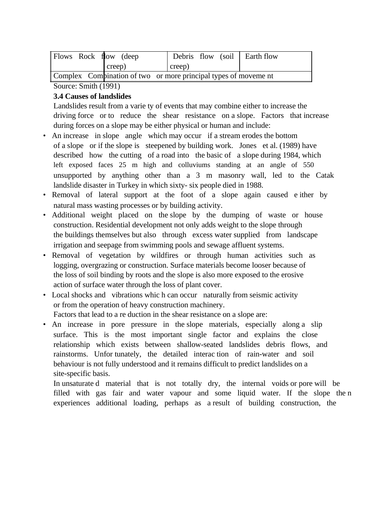| $\parallel$ Flows Rock flow (deep)                             |        | Debris flow (soil Earth flow |  |
|----------------------------------------------------------------|--------|------------------------------|--|
|                                                                | creep) | creep)                       |  |
| Complex Compination of two or more principal types of movement |        |                              |  |

# Source: Smith (1991)

### **3.4 Causes of landslides**

Landslides result from a varie ty of events that may combine either to increase the driving force or to reduce the shear resistance on a slope. Factors that increase during forces on a slope may be either physical or human and include:

- An increase in slope angle which may occur if a stream erodes the bottom of a slope or if the slope is steepened by building work. Jones et al. (1989) have described how the cutting of a road into the basic of a slope during 1984, which left exposed faces 25 m high and colluviums standing at an angle of 550 unsupported by anything other than a 3 m masonry wall, led to the Catak landslide disaster in Turkey in which sixty- six people died in 1988.
- Removal of lateral support at the foot of a slope again caused e ither by natural mass wasting processes or by building activity.
- Additional weight placed on the slope by the dumping of waste or house construction. Residential development not only adds weight to the slope through the buildings themselves but also through excess water supplied from landscape irrigation and seepage from swimming pools and sewage affluent systems.
- Removal of vegetation by wildfires or through human activities such as logging, overgrazing or construction. Surface materials become looser because of the loss of soil binding by roots and the slope is also more exposed to the erosive action of surface water through the loss of plant cover.
- Local shocks and vibrations whic h can occur naturally from seismic activity or from the operation of heavy construction machinery.

Factors that lead to a re duction in the shear resistance on a slope are:

• An increase in pore pressure in the slope materials, especially along a slip surface. This is the most important single factor and explains the close relationship which exists between shallow-seated landslides debris flows, and rainstorms. Unfor tunately, the detailed interac tion of rain-water and soil behaviour is not fully understood and it remains difficult to predict landslides on a site-specific basis.

In unsaturate d material that is not totally dry, the internal voids or pore will be filled with gas fair and water vapour and some liquid water. If the slope the n experiences additional loading, perhaps as a result of building construction, the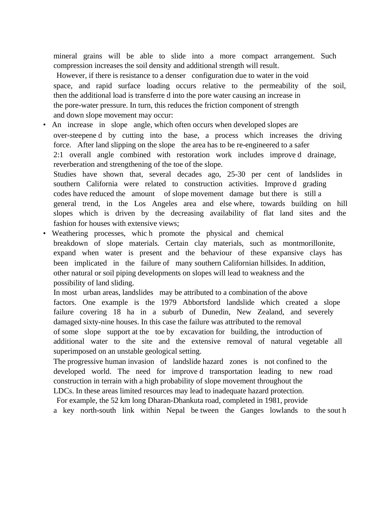mineral grains will be able to slide into a more compact arrangement. Such compression increases the soil density and additional strength will result.

 However, if there is resistance to a denser configuration due to water in the void space, and rapid surface loading occurs relative to the permeability of the soil, then the additional load is transferre d into the pore water causing an increase in the pore-water pressure. In turn, this reduces the friction component of strength and down slope movement may occur:

• An increase in slope angle, which often occurs when developed slopes are over-steepene d by cutting into the base, a process which increases the driving force. After land slipping on the slope the area has to be re-engineered to a safer 2:1 overall angle combined with restoration work includes improve d drainage, reverberation and strengthening of the toe of the slope. Studies have shown that, several decades ago, 25-30 per cent of landslides in southern California were related to construction activities. Improve d grading codes have reduced the amount of slope movement damage but there is still a general trend, in the Los Angeles area and else where, towards building on hill slopes which is driven by the decreasing availability of flat land sites and the fashion for houses with extensive views;

• Weathering processes, whic h promote the physical and chemical breakdown of slope materials. Certain clay materials, such as montmorillonite, expand when water is present and the behaviour of these expansive clays has been implicated in the failure of many southern Californian hillsides. In addition, other natural or soil piping developments on slopes will lead to weakness and the possibility of land sliding.

In most urban areas, landslides may be attributed to a combination of the above factors. One example is the 1979 Abbortsford landslide which created a slope failure covering 18 ha in a suburb of Dunedin, New Zealand, and severely damaged sixty-nine houses. In this case the failure was attributed to the removal of some slope support at the toe by excavation for building, the introduction of additional water to the site and the extensive removal of natural vegetable all superimposed on an unstable geological setting.

The progressive human invasion of landslide hazard zones is not confined to the developed world. The need for improve d transportation leading to new road construction in terrain with a high probability of slope movement throughout the LDCs. In these areas limited resources may lead to inadequate hazard protection.

For example, the 52 km long Dharan-Dhankuta road, completed in 1981, provide

a key north-south link within Nepal be tween the Ganges lowlands to the sout h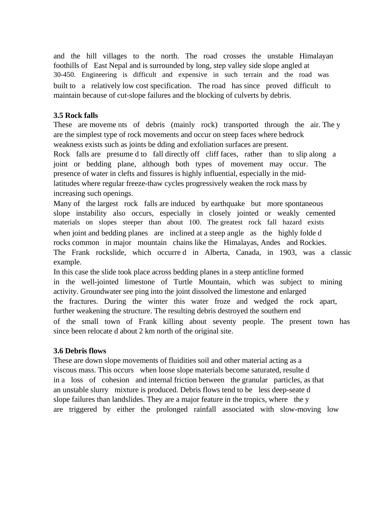and the hill villages to the north. The road crosses the unstable Himalayan foothills of East Nepal and is surrounded by long, step valley side slope angled at 30-450. Engineering is difficult and expensive in such terrain and the road was built to a relatively low cost specification. The road has since proved difficult to maintain because of cut-slope failures and the blocking of culverts by debris.

# **3.5 Rock falls**

These are movements of debris (mainly rock) transported through the air. The y are the simplest type of rock movements and occur on steep faces where bedrock weakness exists such as joints be dding and exfoliation surfaces are present. Rock falls are presume d to fall directly off cliff faces, rather than to slip along a

joint or bedding plane, although both types of movement may occur. The presence of water in clefts and fissures is highly influential, especially in the midlatitudes where regular freeze-thaw cycles progressively weaken the rock mass by increasing such openings.

Many of the largest rock falls are induced by earthquake but more spontaneous slope instability also occurs, especially in closely jointed or weakly cemented materials on slopes steeper than about 100. The greatest rock fall hazard exists when joint and bedding planes are inclined at a steep angle as the highly folded rocks common in major mountain chains like the Himalayas, Andes and Rockies. The Frank rockslide, which occurre d in Alberta, Canada, in 1903, was a classic example.

In this case the slide took place across bedding planes in a steep anticline formed in the well-jointed limestone of Turtle Mountain, which was subject to mining activity. Groundwater see ping into the joint dissolved the limestone and enlarged the fractures. During the winter this water froze and wedged the rock apart, further weakening the structure. The resulting debris destroyed the southern end of the small town of Frank killing about seventy people. The present town has since been relocate d about 2 km north of the original site.

### **3.6 Debris flows**

These are down slope movements of fluidities soil and other material acting as a viscous mass. This occurs when loose slope materials become saturated, resulte d in a loss of cohesion and internal friction between the granular particles, as that an unstable slurry mixture is produced. Debris flows tend to be less deep-seate d slope failures than landslides. They are a major feature in the tropics, where the y are triggered by either the prolonged rainfall associated with slow-moving low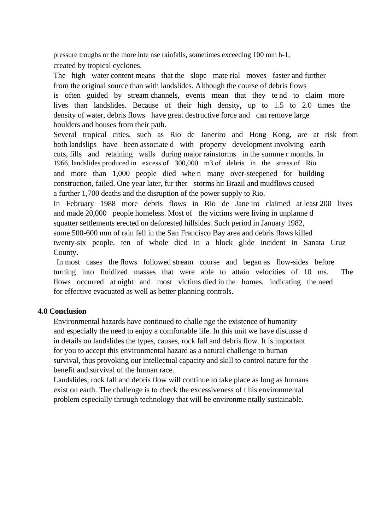pressure troughs or the more inte nse rainfalls, sometimes exceeding 100 mm h-1, created by tropical cyclones.

The high water content means that the slope mate rial moves faster and further from the original source than with landslides. Although the course of debris flows is often guided by stream channels, events mean that they te nd to claim more lives than landslides. Because of their high density, up to 1.5 to 2.0 times the density of water, debris flows have great destructive force and can remove large boulders and houses from their path.

Several tropical cities, such as Rio de Janeriro and Hong Kong, are at risk from both landslips have been associate d with property development involving earth cuts, fills and retaining walls during major rainstorms in the summe r months. In 1966, landslides produced in excess of 300,000 m3 of debris in the stress of Rio and more than 1,000 people died whe n many over-steepened for building construction, failed. One year later, fur ther storms hit Brazil and mudflows caused a further 1,700 deaths and the disruption of the power supply to Rio.

In February 1988 more debris flows in Rio de Jane iro claimed at least 200 lives and made 20,000 people homeless. Most of the victims were living in unplanne d squatter settlements erected on deforested hillsides. Such period in January 1982,

some 500-600 mm of rain fell in the San Francisco Bay area and debris flows killed

twenty-six people, ten of whole died in a block glide incident in Sanata Cruz County.

 In most cases the flows followed stream course and began as flow-sides before turning into fluidized masses that were able to attain velocities of 10 ms. The flows occurred at night and most victims died in the homes, indicating the need for effective evacuated as well as better planning controls.

### **4.0 Conclusion**

Environmental hazards have continued to challe nge the existence of humanity and especially the need to enjoy a comfortable life. In this unit we have discusse d in details on landslides the types, causes, rock fall and debris flow. It is important for you to accept this environmental hazard as a natural challenge to human survival, thus provoking our intellectual capacity and skill to control nature for the benefit and survival of the human race.

Landslides, rock fall and debris flow will continue to take place as long as humans exist on earth. The challenge is to check the excessiveness of t his environmental problem especially through technology that will be environme ntally sustainable.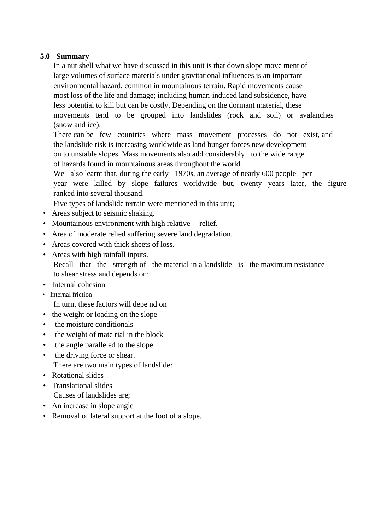### **5.0 Summary**

In a nut shell what we have discussed in this unit is that down slope move ment of large volumes of surface materials under gravitational influences is an important environmental hazard, common in mountainous terrain. Rapid movements cause most loss of the life and damage; including human-induced land subsidence, have less potential to kill but can be costly. Depending on the dormant material, these movements tend to be grouped into landslides (rock and soil) or avalanches (snow and ice).

There can be few countries where mass movement processes do not exist, and the landslide risk is increasing worldwide as land hunger forces new development on to unstable slopes. Mass movements also add considerably to the wide range of hazards found in mountainous areas throughout the world.

We also learnt that, during the early 1970s, an average of nearly 600 people per year were killed by slope failures worldwide but, twenty years later, the figure ranked into several thousand.

Five types of landslide terrain were mentioned in this unit;

- Areas subject to seismic shaking.
- Mountainous environment with high relative relief.
- Area of moderate relied suffering severe land degradation.
- Areas covered with thick sheets of loss.
- Areas with high rainfall inputs.
	- Recall that the strength of the material in a landslide is the maximum resistance to shear stress and depends on:
- Internal cohesion
- Internal friction

In turn, these factors will depe nd on

- the weight or loading on the slope
- the moisture conditionals
- the weight of mate rial in the block
- the angle paralleled to the slope
- the driving force or shear. There are two main types of landslide:
- Rotational slides
- Translational slides
- Causes of landslides are;
- An increase in slope angle
- Removal of lateral support at the foot of a slope.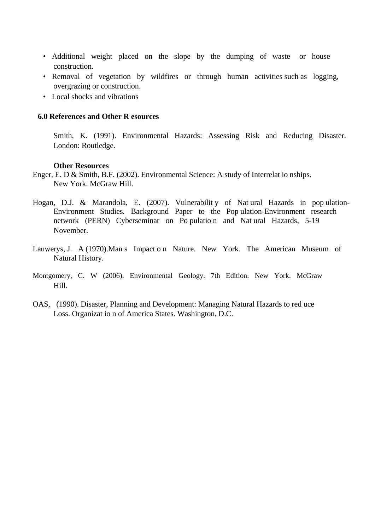- Additional weight placed on the slope by the dumping of waste or house construction.
- Removal of vegetation by wildfires or through human activities such as logging, overgrazing or construction.
- Local shocks and vibrations

#### **6.0 References and Other R esources**

Smith, K. (1991). Environmental Hazards: Assessing Risk and Reducing Disaster. London: Routledge.

#### **Other Resources**

- Enger, E. D & Smith, B.F. (2002). Environmental Science: A study of Interrelat io nships. New York. McGraw Hill.
- Hogan, D.J. & Marandola, E. (2007). Vulnerabilit y of Nat ural Hazards in pop ulation-Environment Studies. Background Paper to the Pop ulation-Environment research network (PERN) Cyberseminar on Po pulatio n and Nat ural Hazards, 5-19 November.
- Lauwerys, J. A (1970).Man s Impact o n Nature. New York. The American Museum of Natural History.
- Montgomery, C. W (2006). Environmental Geology. 7th Edition. New York. McGraw Hill.
- OAS, (1990). Disaster, Planning and Development: Managing Natural Hazards to red uce Loss. Organizat io n of America States. Washington, D.C.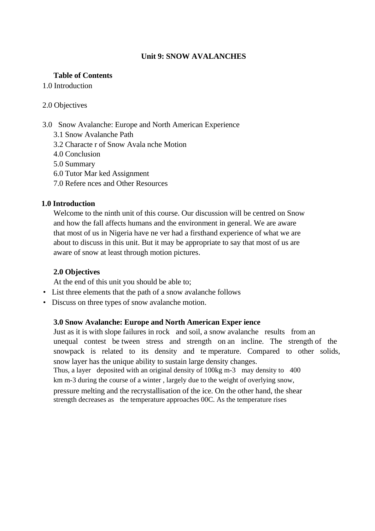### **Unit 9: SNOW AVALANCHES**

### **Table of Contents**

### 1.0 Introduction

### 2.0 Objectives

### 3.0 Snow Avalanche: Europe and North American Experience

- 3.1 Snow Avalanche Path
- 3.2 Characte r of Snow Avala nche Motion
- 4.0 Conclusion
- 5.0 Summary
- 6.0 Tutor Mar ked Assignment
- 7.0 Refere nces and Other Resources

### **1.0 Introduction**

Welcome to the ninth unit of this course. Our discussion will be centred on Snow and how the fall affects humans and the environment in general. We are aware that most of us in Nigeria have ne ver had a firsthand experience of what we are about to discuss in this unit. But it may be appropriate to say that most of us are aware of snow at least through motion pictures.

### **2.0 Objectives**

At the end of this unit you should be able to;

- List three elements that the path of a snow avalanche follows
- Discuss on three types of snow avalanche motion.

### **3.0 Snow Avalanche: Europe and North American Exper ience**

Just as it is with slope failures in rock and soil, a snow avalanche results from an unequal contest be tween stress and strength on an incline. The strength of the snowpack is related to its density and te mperature. Compared to other solids, snow layer has the unique ability to sustain large density changes. Thus, a layer deposited with an original density of 100kg m-3 may density to 400

km m-3 during the course of a winter , largely due to the weight of overlying snow,

pressure melting and the recrystallisation of the ice. On the other hand, the shear strength decreases as the temperature approaches 00C. As the temperature rises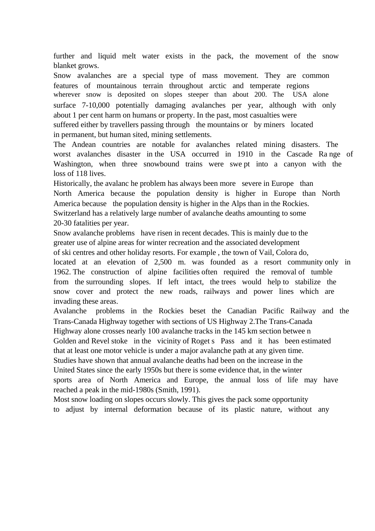further and liquid melt water exists in the pack, the movement of the snow blanket grows.

Snow avalanches are a special type of mass movement. They are common features of mountainous terrain throughout arctic and temperate regions wherever snow is deposited on slopes steeper than about 200. The USA alone surface 7-10,000 potentially damaging avalanches per year, although with only about 1 per cent harm on humans or property. In the past, most casualties were suffered either by travellers passing through the mountains or by miners located in permanent, but human sited, mining settlements.

The Andean countries are notable for avalanches related mining disasters. The worst avalanches disaster in the USA occurred in 1910 in the Cascade Ra nge of Washington, when three snowbound trains were swe pt into a canyon with the loss of 118 lives.

Historically, the avalanc he problem has always been more severe in Europe than North America because the population density is higher in Europe than North America because the population density is higher in the Alps than in the Rockies. Switzerland has a relatively large number of avalanche deaths amounting to some 20-30 fatalities per year.

Snow avalanche problems have risen in recent decades. This is mainly due to the greater use of alpine areas for winter recreation and the associated development

of ski centres and other holiday resorts. For example , the town of Vail, Colora do, located at an elevation of 2,500 m. was founded as a resort community only in 1962. The construction of alpine facilities often required the removal of tumble from the surrounding slopes. If left intact, the trees would help to stabilize the snow cover and protect the new roads, railways and power lines which are invading these areas.

Avalanche problems in the Rockies beset the Canadian Pacific Railway and the Trans-Canada Highway together with sections of US Highway 2.The Trans-Canada

Highway alone crosses nearly 100 avalanche tracks in the 145 km section betwee n

Golden and Revel stoke in the vicinity of Roget s Pass and it has been estimated that at least one motor vehicle is under a major avalanche path at any given time.

Studies have shown that annual avalanche deaths had been on the increase in the

United States since the early 1950s but there is some evidence that, in the winter

sports area of North America and Europe, the annual loss of life may have reached a peak in the mid-1980s (Smith, 1991).

Most snow loading on slopes occurs slowly. This gives the pack some opportunity to adjust by internal deformation because of its plastic nature, without any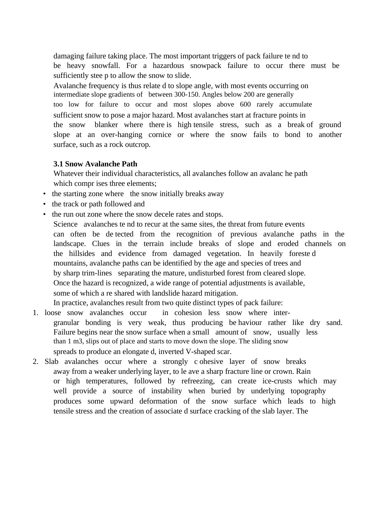damaging failure taking place. The most important triggers of pack failure te nd to be heavy snowfall. For a hazardous snowpack failure to occur there must be sufficiently stee p to allow the snow to slide.

Avalanche frequency is thus relate d to slope angle, with most events occurring on intermediate slope gradients of between 300-150. Angles below 200 are generally too low for failure to occur and most slopes above 600 rarely accumulate sufficient snow to pose a major hazard. Most avalanches start at fracture points in the snow blanker where there is high tensile stress, such as a break of ground slope at an over-hanging cornice or where the snow fails to bond to another surface, such as a rock outcrop.

### **3.1 Snow Avalanche Path**

Whatever their individual characteristics, all avalanches follow an avalanc he path which compr ises three elements;

- the starting zone where the snow initially breaks away
- the track or path followed and
- the run out zone where the snow decele rates and stops. Science avalanches te nd to recur at the same sites, the threat from future events can often be de tected from the recognition of previous avalanche paths in the landscape. Clues in the terrain include breaks of slope and eroded channels on the hillsides and evidence from damaged vegetation. In heavily foreste d mountains, avalanche paths can be identified by the age and species of trees and by sharp trim-lines separating the mature, undisturbed forest from cleared slope. Once the hazard is recognized, a wide range of potential adjustments is available, some of which a re shared with landslide hazard mitigation. In practice, avalanches result from two quite distinct types of pack failure:
- 1. loose snow avalanches occur in cohesion less snow where intergranular bonding is very weak, thus producing be haviour rather like dry sand. Failure begins near the snow surface when a small amount of snow, usually less than 1 m3, slips out of place and starts to move down the slope. The sliding snow spreads to produce an elongate d, inverted V-shaped scar.
- 2. Slab avalanches occur where a strongly c ohesive layer of snow breaks away from a weaker underlying layer, to le ave a sharp fracture line or crown. Rain or high temperatures, followed by refreezing, can create ice-crusts which may well provide a source of instability when buried by underlying topography produces some upward deformation of the snow surface which leads to high tensile stress and the creation of associate d surface cracking of the slab layer. The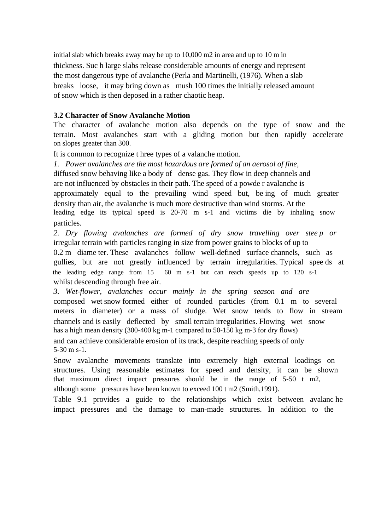initial slab which breaks away may be up to 10,000 m2 in area and up to 10 m in thickness. Suc h large slabs release considerable amounts of energy and represent the most dangerous type of avalanche (Perla and Martinelli, (1976). When a slab breaks loose, it may bring down as mush 100 times the initially released amount of snow which is then deposed in a rather chaotic heap.

### **3.2 Character of Snow Avalanche Motion**

The character of avalanche motion also depends on the type of snow and the terrain. Most avalanches start with a gliding motion but then rapidly accelerate on slopes greater than 300.

It is common to recognize t hree types of a valanche motion.

*1. Power avalanches are the most hazardous are formed of an aerosol of fine,*  diffused snow behaving like a body of dense gas. They flow in deep channels and are not influenced by obstacles in their path. The speed of a powde r avalanche is approximately equal to the prevailing wind speed but, be ing of much greater density than air, the avalanche is much more destructive than wind storms. At the leading edge its typical speed is 20-70 m s-1 and victims die by inhaling snow particles.

*2. Dry flowing avalanches are formed of dry snow travelling over stee p or*  irregular terrain with particles ranging in size from power grains to blocks of up to 0.2 m diame ter. These avalanches follow well-defined surface channels, such as gullies, but are not greatly influenced by terrain irregularities. Typical spee ds at the leading edge range from 15 60 m s-1 but can reach speeds up to 120 s-1 whilst descending through free air.

*3. Wet-flower, avalanches occur mainly in the spring season and are*  composed wet snow formed either of rounded particles (from 0.1 m to several meters in diameter) or a mass of sludge. Wet snow tends to flow in stream channels and is easily deflected by small terrain irregularities. Flowing wet snow has a high mean density (300-400 kg m-1 compared to 50-150 kg m-3 for dry flows)

and can achieve considerable erosion of its track, despite reaching speeds of only 5-30 m s-1.

Snow avalanche movements translate into extremely high external loadings on structures. Using reasonable estimates for speed and density, it can be shown that maximum direct impact pressures should be in the range of 5-50 t m2, although some pressures have been known to exceed 100 t m2 (Smith,1991).

Table 9.1 provides a guide to the relationships which exist between avalanc he impact pressures and the damage to man-made structures. In addition to the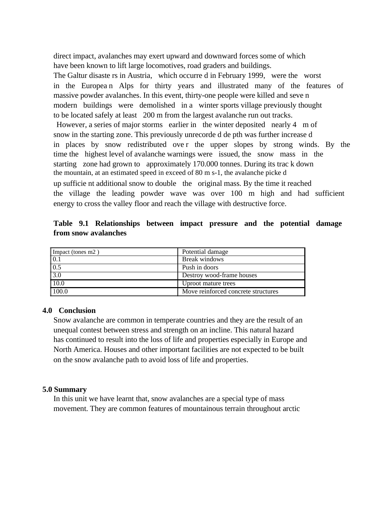direct impact, avalanches may exert upward and downward forces some of which have been known to lift large locomotives, road graders and buildings. The Galtur disaste rs in Austria, which occurre d in February 1999, were the worst in the Europea n Alps for thirty years and illustrated many of the features of massive powder avalanches. In this event, thirty-one people were killed and seve n modern buildings were demolished in a winter sports village previously thought to be located safely at least 200 m from the largest avalanche run out tracks. However, a series of major storms earlier in the winter deposited nearly 4 m of snow in the starting zone. This previously unrecorde d de pth was further increase d in places by snow redistributed ove r the upper slopes by strong winds. By the time the highest level of avalanche warnings were issued, the snow mass in the starting zone had grown to approximately 170.000 tonnes. During its trac k down the mountain, at an estimated speed in exceed of 80 m s-1, the avalanche picke d up sufficie nt additional snow to double the original mass. By the time it reached the village the leading powder wave was over 100 m high and had sufficient energy to cross the valley floor and reach the village with destructive force.

|  | Table 9.1 Relationships between impact pressure and the potential damage |  |  |  |  |
|--|--------------------------------------------------------------------------|--|--|--|--|
|  | from snow avalanches                                                     |  |  |  |  |

| Impact (tones m2) | Potential damage                    |
|-------------------|-------------------------------------|
| $\boxed{0.1}$     | <b>Break windows</b>                |
| $\overline{0.5}$  | Push in doors                       |
| $\vert 3.0 \vert$ | Destroy wood-frame houses           |
| $\sqrt{10.0}$     | Uproot mature trees                 |
| $\sqrt{100.0}$    | Move reinforced concrete structures |

#### **4.0 Conclusion**

Snow avalanche are common in temperate countries and they are the result of an unequal contest between stress and strength on an incline. This natural hazard has continued to result into the loss of life and properties especially in Europe and North America. Houses and other important facilities are not expected to be built on the snow avalanche path to avoid loss of life and properties.

#### **5.0 Summary**

In this unit we have learnt that, snow avalanches are a special type of mass movement. They are common features of mountainous terrain throughout arctic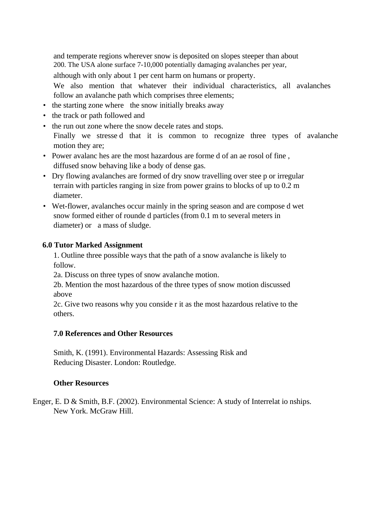and temperate regions wherever snow is deposited on slopes steeper than about 200. The USA alone surface 7-10,000 potentially damaging avalanches per year,

although with only about 1 per cent harm on humans or property.

We also mention that whatever their individual characteristics, all avalanches follow an avalanche path which comprises three elements;

- the starting zone where the snow initially breaks away
- the track or path followed and
- the run out zone where the snow decele rates and stops. Finally we stresse d that it is common to recognize three types of avalanche motion they are;
- Power avalanc hes are the most hazardous are forme d of an ae rosol of fine , diffused snow behaving like a body of dense gas.
- Dry flowing avalanches are formed of dry snow travelling over stee p or irregular terrain with particles ranging in size from power grains to blocks of up to 0.2 m diameter.
- Wet-flower, avalanches occur mainly in the spring season and are compose d wet snow formed either of rounde d particles (from 0.1 m to several meters in diameter) or a mass of sludge.

### **6.0 Tutor Marked Assignment**

1. Outline three possible ways that the path of a snow avalanche is likely to follow.

2a. Discuss on three types of snow avalanche motion.

2b. Mention the most hazardous of the three types of snow motion discussed above

2c. Give two reasons why you conside r it as the most hazardous relative to the others.

### **7.0 References and Other Resources**

Smith, K. (1991). Environmental Hazards: Assessing Risk and Reducing Disaster. London: Routledge.

### **Other Resources**

Enger, E. D & Smith, B.F. (2002). Environmental Science: A study of Interrelat io nships. New York. McGraw Hill.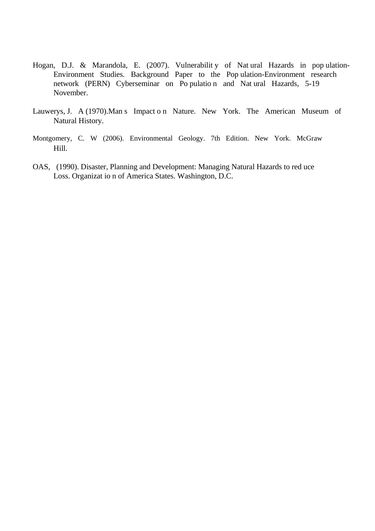- Hogan, D.J. & Marandola, E. (2007). Vulnerabilit y of Nat ural Hazards in pop ulation-Environment Studies. Background Paper to the Pop ulation-Environment research network (PERN) Cyberseminar on Po pulatio n and Nat ural Hazards, 5-19 November.
- Lauwerys, J. A (1970).Man s Impact o n Nature. New York. The American Museum of Natural History.
- Montgomery, C. W (2006). Environmental Geology. 7th Edition. New York. McGraw Hill.
- OAS, (1990). Disaster, Planning and Development: Managing Natural Hazards to red uce Loss. Organizat io n of America States. Washington, D.C.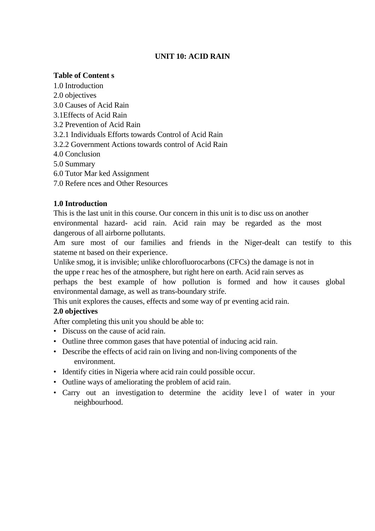# **UNIT 10: ACID RAIN**

## **Table of Content s**

1.0 Introduction 2.0 objectives 3.0 Causes of Acid Rain 3.1Effects of Acid Rain 3.2 Prevention of Acid Rain 3.2.1 Individuals Efforts towards Control of Acid Rain 3.2.2 Government Actions towards control of Acid Rain 4.0 Conclusion 5.0 Summary 6.0 Tutor Mar ked Assignment 7.0 Refere nces and Other Resources

# **1.0 Introduction**

This is the last unit in this course. Our concern in this unit is to disc uss on another environmental hazard- acid rain. Acid rain may be regarded as the most dangerous of all airborne pollutants.

Am sure most of our families and friends in the Niger-dealt can testify to this stateme nt based on their experience.

Unlike smog, it is invisible; unlike chlorofluorocarbons (CFCs) the damage is not in the uppe r reac hes of the atmosphere, but right here on earth. Acid rain serves as

perhaps the best example of how pollution is formed and how it causes global environmental damage, as well as trans-boundary strife.

This unit explores the causes, effects and some way of pr eventing acid rain.

# **2.0 objectives**

After completing this unit you should be able to:

- Discuss on the cause of acid rain.
- Outline three common gases that have potential of inducing acid rain.
- Describe the effects of acid rain on living and non-living components of the environment.
- Identify cities in Nigeria where acid rain could possible occur.
- Outline ways of ameliorating the problem of acid rain.
- Carry out an investigation to determine the acidity leve l of water in your neighbourhood.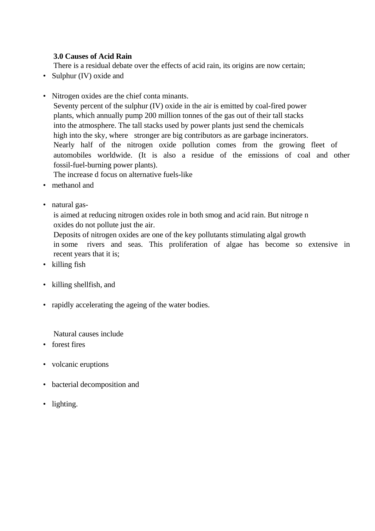## **3.0 Causes of Acid Rain**

There is a residual debate over the effects of acid rain, its origins are now certain;

- Sulphur (IV) oxide and
- Nitrogen oxides are the chief conta minants.

Seventy percent of the sulphur (IV) oxide in the air is emitted by coal-fired power plants, which annually pump 200 million tonnes of the gas out of their tall stacks into the atmosphere. The tall stacks used by power plants just send the chemicals high into the sky, where stronger are big contributors as are garbage incinerators. Nearly half of the nitrogen oxide pollution comes from the growing fleet of automobiles worldwide. (It is also a residue of the emissions of coal and other fossil-fuel-burning power plants).

The increase d focus on alternative fuels-like

- methanol and
- natural gas-

is aimed at reducing nitrogen oxides role in both smog and acid rain. But nitroge n oxides do not pollute just the air.

Deposits of nitrogen oxides are one of the key pollutants stimulating algal growth in some rivers and seas. This proliferation of algae has become so extensive in recent years that it is;

- killing fish
- killing shellfish, and
- rapidly accelerating the ageing of the water bodies.

Natural causes include

- forest fires
- volcanic eruptions
- bacterial decomposition and
- lighting.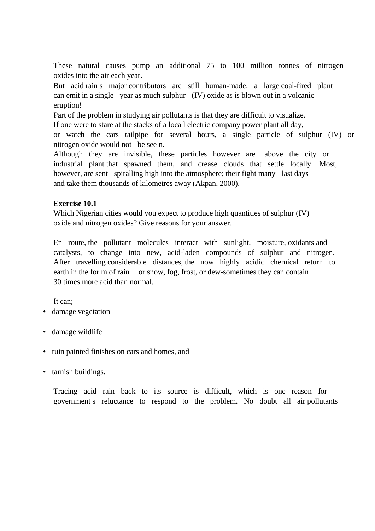These natural causes pump an additional 75 to 100 million tonnes of nitrogen oxides into the air each year.

But acid rain s major contributors are still human-made: a large coal-fired plant can emit in a single year as much sulphur (IV) oxide as is blown out in a volcanic eruption!

Part of the problem in studying air pollutants is that they are difficult to visualize.

If one were to stare at the stacks of a loca l electric company power plant all day,

or watch the cars tailpipe for several hours, a single particle of sulphur (IV) or nitrogen oxide would not be see n.

Although they are invisible, these particles however are above the city or industrial plant that spawned them, and crease clouds that settle locally. Most, however, are sent spiralling high into the atmosphere; their fight many last days and take them thousands of kilometres away (Akpan, 2000).

#### **Exercise 10.1**

Which Nigerian cities would you expect to produce high quantities of sulphur (IV) oxide and nitrogen oxides? Give reasons for your answer.

En route, the pollutant molecules interact with sunlight, moisture, oxidants and catalysts, to change into new, acid-laden compounds of sulphur and nitrogen. After travelling considerable distances, the now highly acidic chemical return to earth in the for m of rain or snow, fog, frost, or dew-sometimes they can contain 30 times more acid than normal.

It can;

- damage vegetation
- damage wildlife
- ruin painted finishes on cars and homes, and
- tarnish buildings.

Tracing acid rain back to its source is difficult, which is one reason for government s reluctance to respond to the problem. No doubt all air pollutants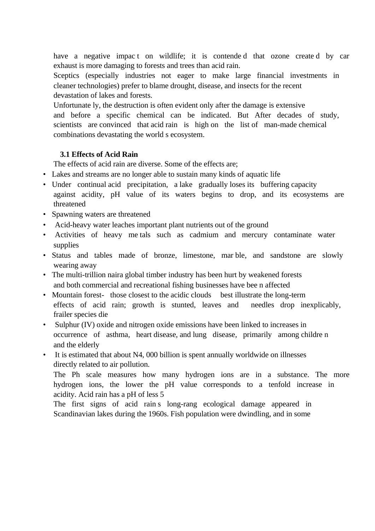have a negative impact on wildlife; it is contended that ozone created by car exhaust is more damaging to forests and trees than acid rain.

Sceptics (especially industries not eager to make large financial investments in cleaner technologies) prefer to blame drought, disease, and insects for the recent devastation of lakes and forests.

Unfortunate ly, the destruction is often evident only after the damage is extensive and before a specific chemical can be indicated. But After decades of study, scientists are convinced that acid rain is high on the list of man-made chemical combinations devastating the world s ecosystem.

# **3.1 Effects of Acid Rain**

The effects of acid rain are diverse. Some of the effects are;

- Lakes and streams are no longer able to sustain many kinds of aquatic life
- Under continual acid precipitation, a lake gradually loses its buffering capacity against acidity, pH value of its waters begins to drop, and its ecosystems are threatened
- Spawning waters are threatened
- Acid-heavy water leaches important plant nutrients out of the ground
- Activities of heavy me tals such as cadmium and mercury contaminate water supplies
- Status and tables made of bronze, limestone, mar ble, and sandstone are slowly wearing away
- The multi-trillion naira global timber industry has been hurt by weakened forests and both commercial and recreational fishing businesses have bee n affected
- Mountain forest- those closest to the acidic clouds best illustrate the long-term effects of acid rain; growth is stunted, leaves and needles drop inexplicably, frailer species die
- Sulphur (IV) oxide and nitrogen oxide emissions have been linked to increases in occurrence of asthma, heart disease, and lung disease, primarily among childre n and the elderly
- It is estimated that about N4, 000 billion is spent annually worldwide on illnesses directly related to air pollution.

The Ph scale measures how many hydrogen ions are in a substance. The more hydrogen ions, the lower the pH value corresponds to a tenfold increase in acidity. Acid rain has a pH of less 5

The first signs of acid rain s long-rang ecological damage appeared in Scandinavian lakes during the 1960s. Fish population were dwindling, and in some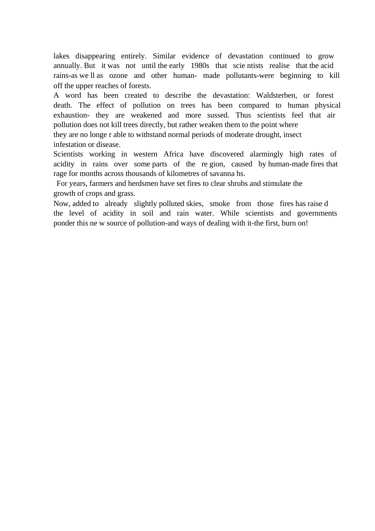lakes disappearing entirely. Similar evidence of devastation continued to grow annually. But it was not until the early 1980s that scie ntists realise that the acid rains-as we ll as ozone and other human- made pollutants-were beginning to kill off the upper reaches of forests.

A word has been created to describe the devastation: Waldsterben, or forest death. The effect of pollution on trees has been compared to human physical exhaustion- they are weakened and more sussed. Thus scientists feel that air pollution does not kill trees directly, but rather weaken them to the point where they are no longe r able to withstand normal periods of moderate drought, insect

infestation or disease.

Scientists working in western Africa have discovered alarmingly high rates of acidity in rains over some parts of the re gion, caused by human-made fires that rage for months across thousands of kilometres of savanna hs.

 For years, farmers and herdsmen have set fires to clear shrubs and stimulate the growth of crops and grass.

Now, added to already slightly polluted skies, smoke from those fires has raise d the level of acidity in soil and rain water. While scientists and governments ponder this ne w source of pollution-and ways of dealing with it-the first, burn on!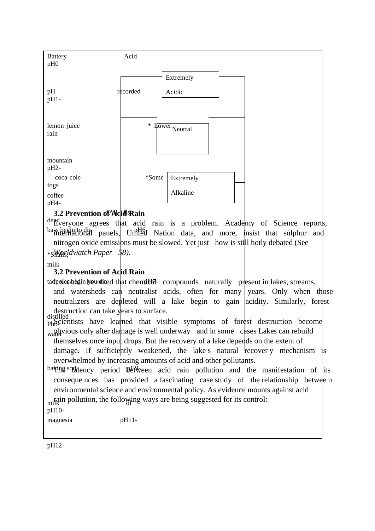

dead erections agrees that acid rain is a problem. Academy of Science reports, bass begin to die panels, United Nation data, and more, insist that sulphur and nitrogen oxide emissions must be slowed. Yet just how is still hotly debated (See \*Snails, *Worldwatch Paper 58).* 

milk

### **3.2 Prevention of Acid Rain**

tadpoles begin been been that chemical compounds naturally present in lakes, streams, and watersheds can neutralist acids, often for many years. Only when those neutralizers are depleted will a lake begin to gain acidity. Similarly, forest destruction can take years to surface.

distilled that the contract of the symptoms of forest destruction become  $\frac{1}{100}$  water damage is well underway and in some cases Lakes can rebuild themselves once input drops. But the recovery of a lake depends on the extent of

damage. If sufficiently weakened, the lake s natural recover y mechanism is overwhelmed by increasing amounts of acid and other pollutants.

baking solution period  $\mathbb{B}^{\mathbb{H}}$  between acid rain pollution and the manifestation of its conseque nces has provided a fascinating case study of the relationship betwee n environmental science and environmental policy. As evidence mounts against acid

rain pollution, the following ways are being suggested for its control:

pH10-

magnesia pH11-

 $\overline{a}$ pH12-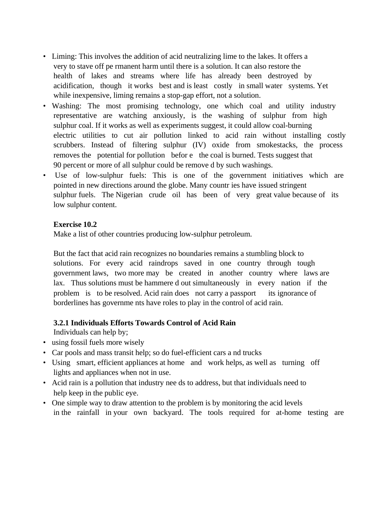- Liming: This involves the addition of acid neutralizing lime to the lakes. It offers a very to stave off pe rmanent harm until there is a solution. It can also restore the health of lakes and streams where life has already been destroyed by acidification, though it works best and is least costly in small water systems. Yet while inexpensive, liming remains a stop-gap effort, not a solution.
- Washing: The most promising technology, one which coal and utility industry representative are watching anxiously, is the washing of sulphur from high sulphur coal. If it works as well as experiments suggest, it could allow coal-burning electric utilities to cut air pollution linked to acid rain without installing costly scrubbers. Instead of filtering sulphur (IV) oxide from smokestacks, the process removes the potential for pollution befor e the coal is burned. Tests suggest that 90 percent or more of all sulphur could be remove d by such washings.
- Use of low-sulphur fuels: This is one of the government initiatives which are pointed in new directions around the globe. Many countr ies have issued stringent sulphur fuels. The Nigerian crude oil has been of very great value because of its low sulphur content.

### **Exercise 10.2**

Make a list of other countries producing low-sulphur petroleum.

But the fact that acid rain recognizes no boundaries remains a stumbling block to solutions. For every acid raindrops saved in one country through tough government laws, two more may be created in another country where laws are lax. Thus solutions must be hammere d out simultaneously in every nation if the problem is to be resolved. Acid rain does not carry a passport its ignorance of borderlines has governme nts have roles to play in the control of acid rain.

# **3.2.1 Individuals Efforts Towards Control of Acid Rain**

Individuals can help by;

- using fossil fuels more wisely
- Car pools and mass transit help; so do fuel-efficient cars a nd trucks
- Using smart, efficient appliances at home and work helps, as well as turning off lights and appliances when not in use.
- Acid rain is a pollution that industry nee ds to address, but that individuals need to help keep in the public eye.
- One simple way to draw attention to the problem is by monitoring the acid levels in the rainfall in your own backyard. The tools required for at-home testing are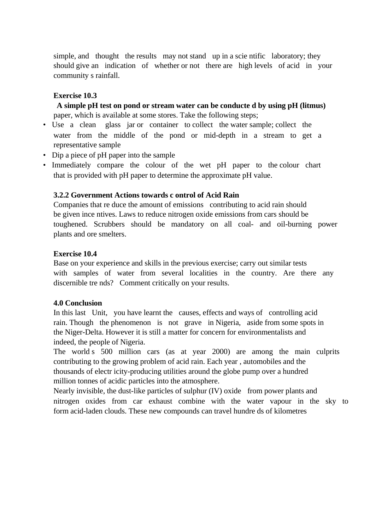simple, and thought the results may not stand up in a scientific laboratory; they should give an indication of whether or not there are high levels of acid in your community s rainfall.

### **Exercise 10.3**

 **A simple pH test on pond or stream water can be conducte d by using pH (litmus)**  paper, which is available at some stores. Take the following steps;

- Use a clean glass jar or container to collect the water sample; collect the water from the middle of the pond or mid-depth in a stream to get a representative sample
- Dip a piece of pH paper into the sample
- Immediately compare the colour of the wet pH paper to the colour chart that is provided with pH paper to determine the approximate pH value.

### **3.2.2 Government Actions towards c ontrol of Acid Rain**

Companies that re duce the amount of emissions contributing to acid rain should be given ince ntives. Laws to reduce nitrogen oxide emissions from cars should be toughened. Scrubbers should be mandatory on all coal- and oil-burning power plants and ore smelters.

### **Exercise 10.4**

Base on your experience and skills in the previous exercise; carry out similar tests with samples of water from several localities in the country. Are there any discernible tre nds? Comment critically on your results.

### **4.0 Conclusion**

In this last Unit, you have learnt the causes, effects and ways of controlling acid rain. Though the phenomenon is not grave in Nigeria, aside from some spots in the Niger-Delta. However it is still a matter for concern for environmentalists and indeed, the people of Nigeria.

The world s 500 million cars (as at year 2000) are among the main culprits contributing to the growing problem of acid rain. Each year , automobiles and the thousands of electr icity-producing utilities around the globe pump over a hundred million tonnes of acidic particles into the atmosphere.

Nearly invisible, the dust-like particles of sulphur (IV) oxide from power plants and nitrogen oxides from car exhaust combine with the water vapour in the sky to form acid-laden clouds. These new compounds can travel hundre ds of kilometres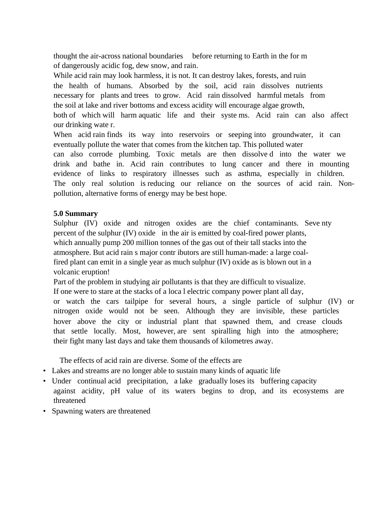thought the air-across national boundaries before returning to Earth in the for m of dangerously acidic fog, dew snow, and rain.

While acid rain may look harmless, it is not. It can destroy lakes, forests, and ruin the health of humans. Absorbed by the soil, acid rain dissolves nutrients necessary for plants and trees to grow. Acid rain dissolved harmful metals from the soil at lake and river bottoms and excess acidity will encourage algae growth,

both of which will harm aquatic life and their syste ms. Acid rain can also affect our drinking wate r.

When acid rain finds its way into reservoirs or seeping into groundwater, it can eventually pollute the water that comes from the kitchen tap. This polluted water

can also corrode plumbing. Toxic metals are then dissolve d into the water we drink and bathe in. Acid rain contributes to lung cancer and there in mounting evidence of links to respiratory illnesses such as asthma, especially in children. The only real solution is reducing our reliance on the sources of acid rain. Nonpollution, alternative forms of energy may be best hope.

### **5.0 Summary**

Sulphur (IV) oxide and nitrogen oxides are the chief contaminants. Seve nty percent of the sulphur (IV) oxide in the air is emitted by coal-fired power plants, which annually pump 200 million tonnes of the gas out of their tall stacks into the atmosphere. But acid rain s major contr ibutors are still human-made: a large coalfired plant can emit in a single year as much sulphur (IV) oxide as is blown out in a volcanic eruption!

Part of the problem in studying air pollutants is that they are difficult to visualize.

If one were to stare at the stacks of a loca l electric company power plant all day,

or watch the cars tailpipe for several hours, a single particle of sulphur (IV) or nitrogen oxide would not be seen. Although they are invisible, these particles hover above the city or industrial plant that spawned them, and crease clouds that settle locally. Most, however, are sent spiralling high into the atmosphere; their fight many last days and take them thousands of kilometres away.

The effects of acid rain are diverse. Some of the effects are

- Lakes and streams are no longer able to sustain many kinds of aquatic life
- Under continual acid precipitation, a lake gradually loses its buffering capacity against acidity, pH value of its waters begins to drop, and its ecosystems are threatened
- Spawning waters are threatened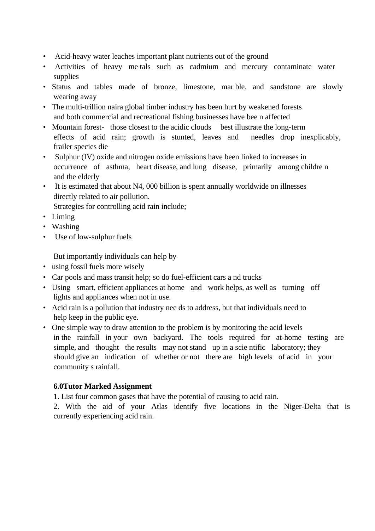- Acid-heavy water leaches important plant nutrients out of the ground
- Activities of heavy me tals such as cadmium and mercury contaminate water supplies
- Status and tables made of bronze, limestone, mar ble, and sandstone are slowly wearing away
- The multi-trillion naira global timber industry has been hurt by weakened forests and both commercial and recreational fishing businesses have bee n affected
- Mountain forest- those closest to the acidic clouds best illustrate the long-term effects of acid rain; growth is stunted, leaves and needles drop inexplicably, frailer species die
- Sulphur (IV) oxide and nitrogen oxide emissions have been linked to increases in occurrence of asthma, heart disease, and lung disease, primarily among childre n and the elderly
- It is estimated that about N4, 000 billion is spent annually worldwide on illnesses directly related to air pollution.

Strategies for controlling acid rain include;

- Liming
- Washing
- Use of low-sulphur fuels

But importantly individuals can help by

- using fossil fuels more wisely
- Car pools and mass transit help; so do fuel-efficient cars a nd trucks
- Using smart, efficient appliances at home and work helps, as well as turning off lights and appliances when not in use.
- Acid rain is a pollution that industry nee ds to address, but that individuals need to help keep in the public eye.
- One simple way to draw attention to the problem is by monitoring the acid levels in the rainfall in your own backyard. The tools required for at-home testing are simple, and thought the results may not stand up in a scientific laboratory; they should give an indication of whether or not there are high levels of acid in your community s rainfall.

# **6.0Tutor Marked Assignment**

1. List four common gases that have the potential of causing to acid rain.

2. With the aid of your Atlas identify five locations in the Niger-Delta that is currently experiencing acid rain.